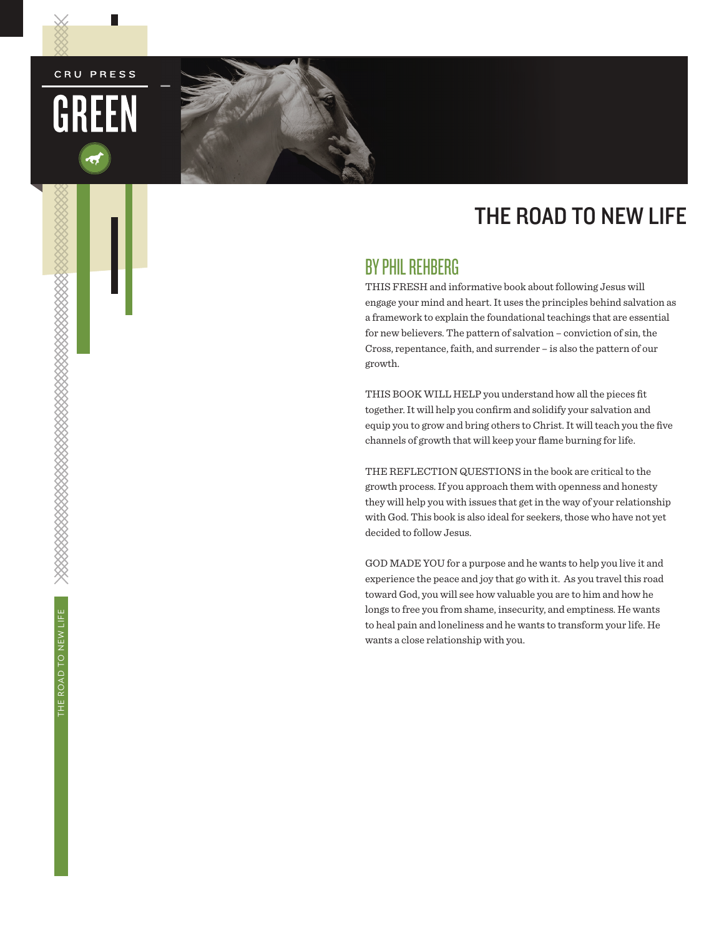CRU PRESS

## GREEN

## THE ROAD TO NEW LIFE

### BY PHIL REHBERG

THIS FRESH and informative book about following Jesus will engage your mind and heart. It uses the principles behind salvation as a framework to explain the foundational teachings that are essential for new believers. The pattern of salvation – conviction of sin, the Cross, repentance, faith, and surrender – is also the pattern of our growth.

THIS BOOK WILL HELP you understand how all the pieces fit together. It will help you confirm and solidify your salvation and equip you to grow and bring others to Christ. It will teach you the five channels of growth that will keep your flame burning for life.

THE REFLECTION QUESTIONS in the book are critical to the growth process. If you approach them with openness and honesty they will help you with issues that get in the way of your relationship with God. This book is also ideal for seekers, those who have not yet decided to follow Jesus.

GOD MADE YOU for a purpose and he wants to help you live it and experience the peace and joy that go with it. As you travel this road toward God, you will see how valuable you are to him and how he longs to free you from shame, insecurity, and emptiness. He wants to heal pain and loneliness and he wants to transform your life. He wants a close relationship with you.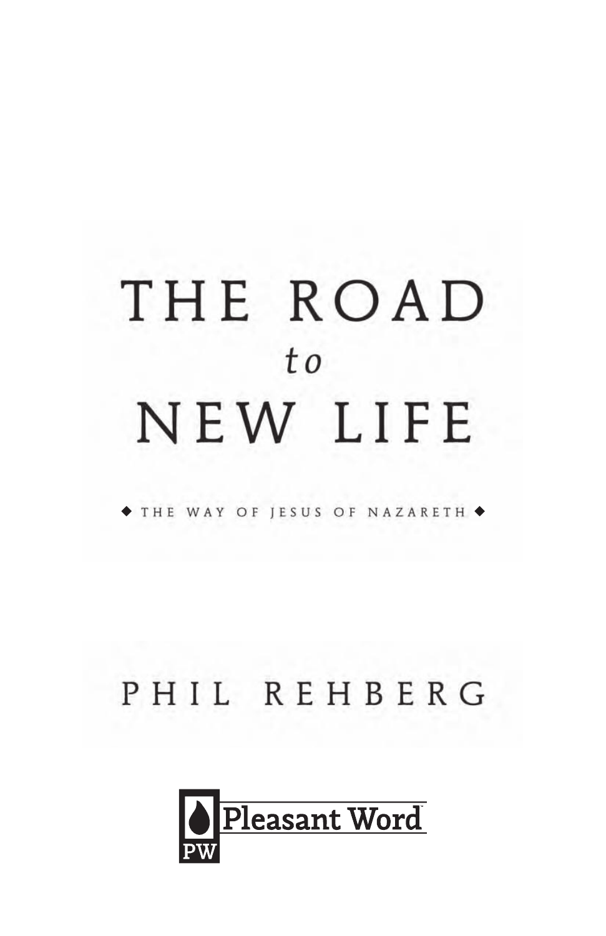## THE ROAD  $to$ NEW LIFE

THE WAY OF JESUS OF NAZARETH ◆

## PHIL REHBERG

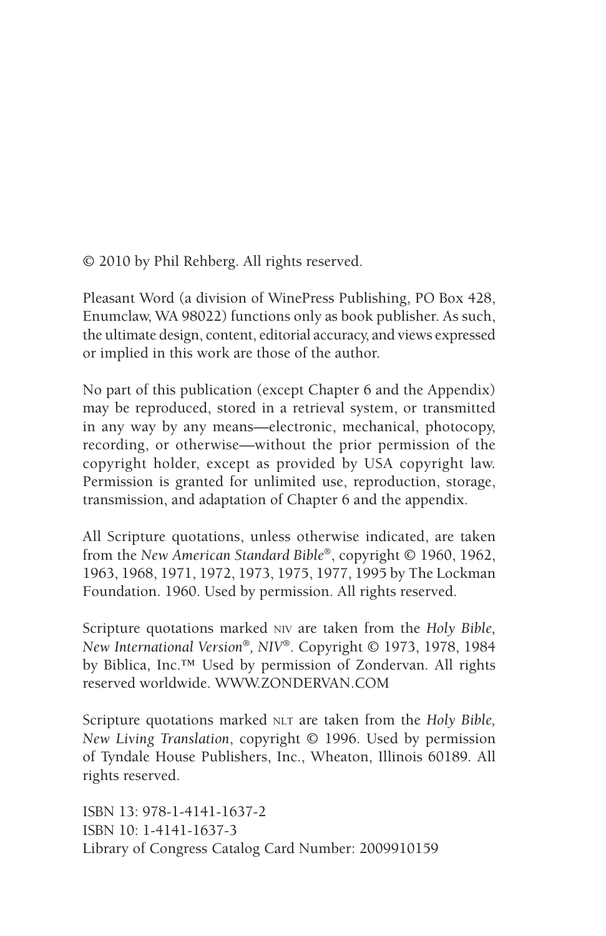© 2010 by Phil Rehberg. All rights reserved.

Pleasant Word (a division of WinePress Publishing, PO Box 428, Enumclaw, WA 98022) functions only as book publisher. As such, the ultimate design, content, editorial accuracy, and views expressed or implied in this work are those of the author.

No part of this publication (except Chapter 6 and the Appendix) may be reproduced, stored in a retrieval system, or transmitted in any way by any means—electronic, mechanical, photocopy, recording, or otherwise—without the prior permission of the copyright holder, except as provided by USA copyright law. Permission is granted for unlimited use, reproduction, storage, transmission, and adaptation of Chapter 6 and the appendix.

All Scripture quotations, unless otherwise indicated, are taken from the *New American Standard Bible*®, copyright © 1960, 1962, 1963, 1968, 1971, 1972, 1973, 1975, 1977, 1995 by The Lockman Foundation. 1960. Used by permission. All rights reserved.

Scripture quotations marked NIV are taken from the *Holy Bible, New International Version®, NIV®*. Copyright © 1973, 1978, 1984 by Biblica, Inc.™ Used by permission of Zondervan. All rights reserved worldwide. WWW.ZONDERVAN.COM

Scripture quotations marked NLT are taken from the *Holy Bible, New Living Translation*, copyright © 1996. Used by permission of Tyndale House Publishers, Inc., Wheaton, Illinois 60189. All rights reserved.

ISBN 13: 978-1-4141-1637-2 ISBN 10: 1-4141-1637-3 Library of Congress Catalog Card Number: 2009910159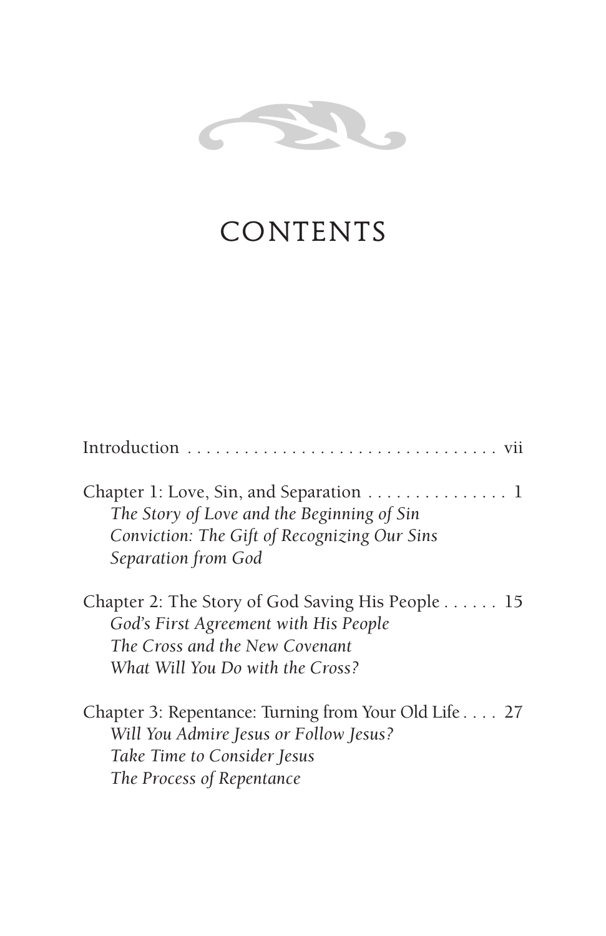

## **CONTENTS**

| Chapter 1: Love, Sin, and Separation 1<br>The Story of Love and the Beginning of Sin<br>Conviction: The Gift of Recognizing Our Sins<br>Separation from God     |
|-----------------------------------------------------------------------------------------------------------------------------------------------------------------|
| Chapter 2: The Story of God Saving His People 15<br>God's First Agreement with His People<br>The Cross and the New Covenant<br>What Will You Do with the Cross? |
| Chapter 3: Repentance: Turning from Your Old Life 27<br>Will You Admire Jesus or Follow Jesus?<br>Take Time to Consider Jesus<br>The Process of Repentance      |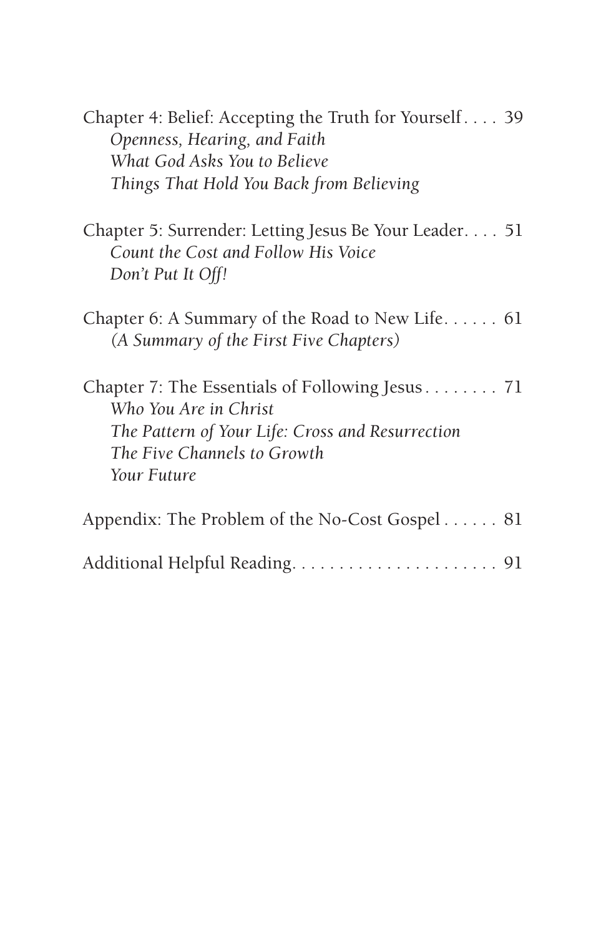| Chapter 4: Belief: Accepting the Truth for Yourself 39<br>Openness, Hearing, and Faith<br>What God Asks You to Believe<br>Things That Hold You Back from Believing                         |
|--------------------------------------------------------------------------------------------------------------------------------------------------------------------------------------------|
| Chapter 5: Surrender: Letting Jesus Be Your Leader 51<br>Count the Cost and Follow His Voice<br>Don't Put It Off!                                                                          |
| Chapter 6: A Summary of the Road to New Life 61<br>(A Summary of the First Five Chapters)                                                                                                  |
| Chapter 7: The Essentials of Following Jesus $\ldots \ldots$ 71<br>Who You Are in Christ<br>The Pattern of Your Life: Cross and Resurrection<br>The Five Channels to Growth<br>Your Future |
| Appendix: The Problem of the No-Cost Gospel 81                                                                                                                                             |
|                                                                                                                                                                                            |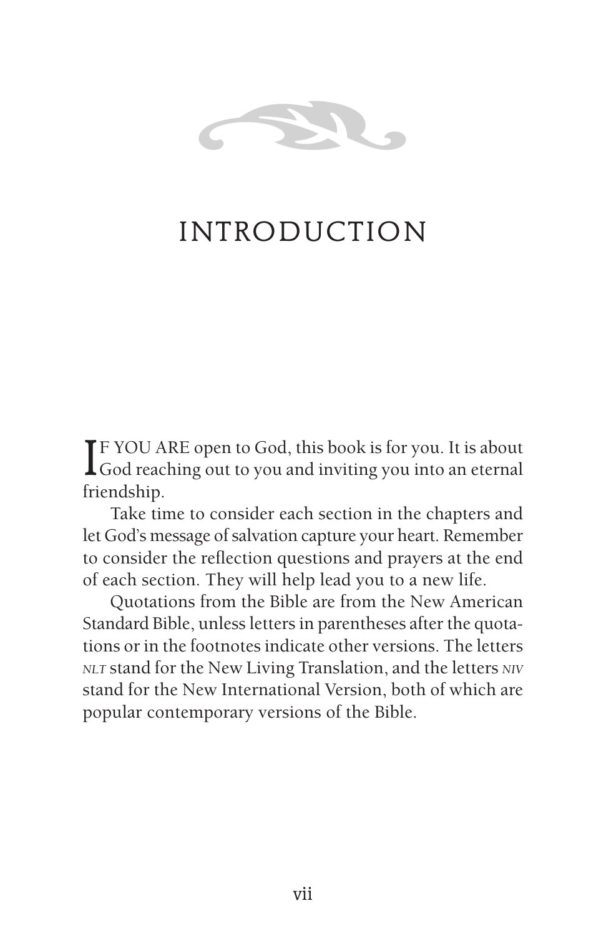

## INTRODUCTION

IF YOU ARE open to God, this book is for you. It is about<br>God reaching out to you and inviting you into an eternal God reaching out to you and inviting you into an eternal friendship.

Take time to consider each section in the chapters and let God's message of salvation capture your heart. Remember to consider the reflection questions and prayers at the end of each section. They will help lead you to a new life.

Quotations from the Bible are from the New American Standard Bible, unless letters in parentheses after the quotations or in the footnotes indicate other versions. The letters *NLT* stand for the New Living Translation, and the letters *NIV* stand for the New International Version, both of which are popular contemporary versions of the Bible.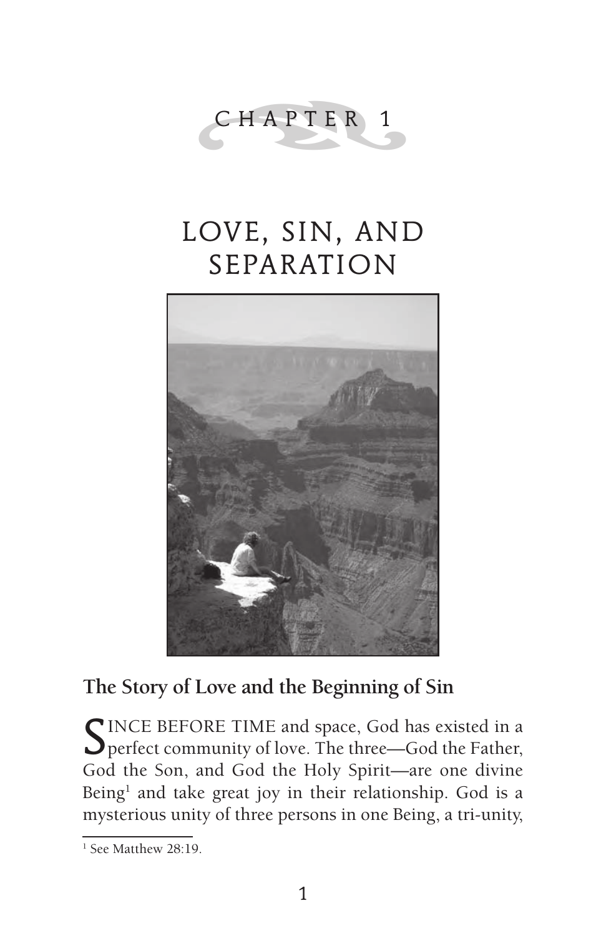

## LOVE, SIN, AND SEPARATION



### **The Story of Love and the Beginning of Sin**

SINCE BEFORE TIME and space, God has existed in a perfect community of love. The three—God the Father, God the Son, and God the Holy Spirit—are one divine Being<sup>1</sup> and take great joy in their relationship. God is a mysterious unity of three persons in one Being, a tri-unity,

<sup>&</sup>lt;sup>1</sup> See Matthew 28:19.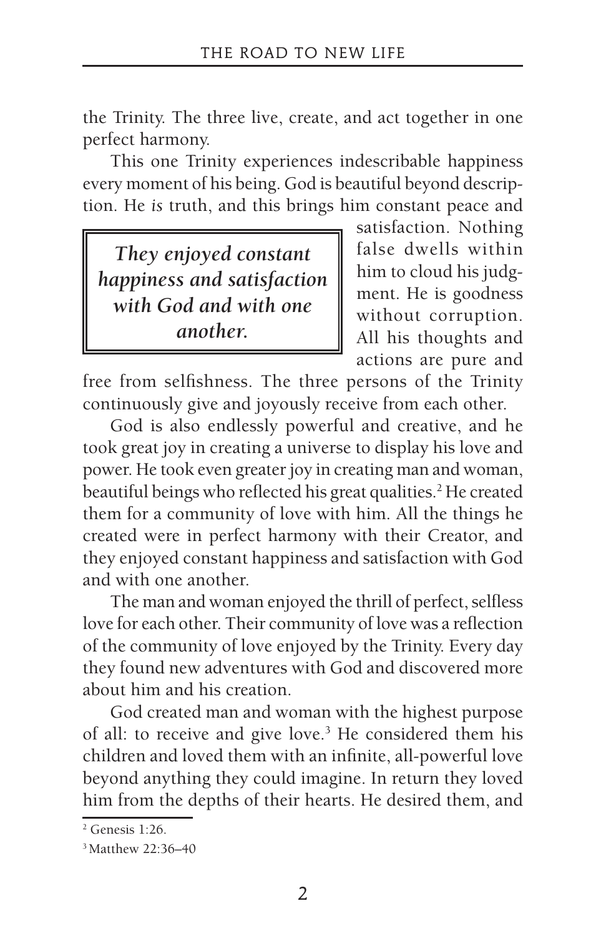the Trinity. The three live, create, and act together in one perfect harmony.

This one Trinity experiences indescribable happiness every moment of his being. God is beautiful beyond description. He *is* truth, and this brings him constant peace and

*They enjoyed constant happiness and satisfaction with God and with one another.*

satisfaction. Nothing false dwells within him to cloud his judgment. He is goodness without corruption. All his thoughts and actions are pure and

free from selfishness. The three persons of the Trinity continuously give and joyously receive from each other.

God is also endlessly powerful and creative, and he took great joy in creating a universe to display his love and power. He took even greater joy in creating man and woman, beautiful beings who reflected his great qualities.<sup>2</sup> He created them for a community of love with him. All the things he created were in perfect harmony with their Creator, and they enjoyed constant happiness and satisfaction with God and with one another.

The man and woman enjoyed the thrill of perfect, selfless love for each other. Their community of love was a reflection of the community of love enjoyed by the Trinity. Every day they found new adventures with God and discovered more about him and his creation.

God created man and woman with the highest purpose of all: to receive and give love.<sup>3</sup> He considered them his children and loved them with an infinite, all-powerful love beyond anything they could imagine. In return they loved him from the depths of their hearts. He desired them, and

<sup>2</sup> Genesis 1:26.

<sup>3</sup> Matthew 22:36–40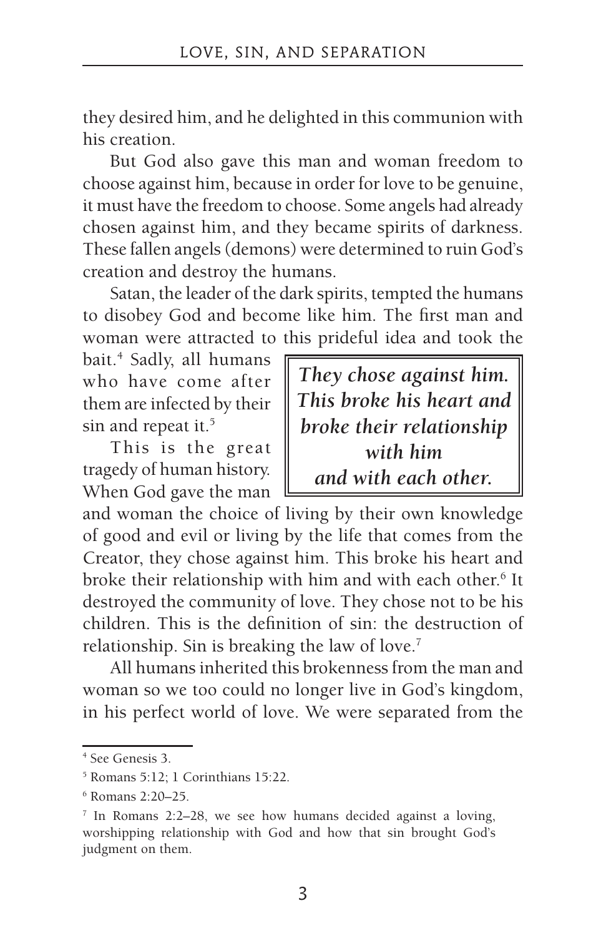they desired him, and he delighted in this communion with his creation.

But God also gave this man and woman freedom to choose against him, because in order for love to be genuine, it must have the freedom to choose. Some angels had already chosen against him, and they became spirits of darkness. These fallen angels (demons) were determined to ruin God's creation and destroy the humans.

Satan, the leader of the dark spirits, tempted the humans to disobey God and become like him. The first man and woman were attracted to this prideful idea and took the

bait.4 Sadly, all humans who have come after them are infected by their sin and repeat it.<sup>5</sup>

This is the great tragedy of human history. When God gave the man

*They chose against him. This broke his heart and broke their relationship with him and with each other.*

and woman the choice of living by their own knowledge of good and evil or living by the life that comes from the Creator, they chose against him. This broke his heart and broke their relationship with him and with each other.<sup>6</sup> It destroyed the community of love. They chose not to be his children. This is the definition of sin: the destruction of relationship. Sin is breaking the law of love.7

All humans inherited this brokenness from the man and woman so we too could no longer live in God's kingdom, in his perfect world of love. We were separated from the

<sup>4</sup> See Genesis 3.

<sup>5</sup> Romans 5:12; 1 Corinthians 15:22.

<sup>6</sup> Romans 2:20–25.

<sup>7</sup> In Romans 2:2–28, we see how humans decided against a loving, worshipping relationship with God and how that sin brought God's judgment on them.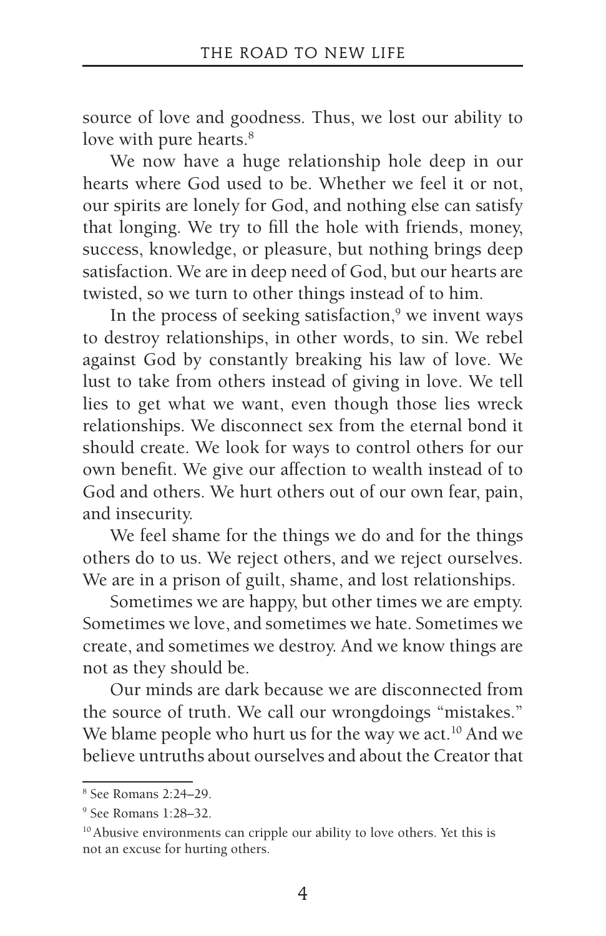source of love and goodness. Thus, we lost our ability to love with pure hearts.<sup>8</sup>

We now have a huge relationship hole deep in our hearts where God used to be. Whether we feel it or not, our spirits are lonely for God, and nothing else can satisfy that longing. We try to fill the hole with friends, money, success, knowledge, or pleasure, but nothing brings deep satisfaction. We are in deep need of God, but our hearts are twisted, so we turn to other things instead of to him.

In the process of seeking satisfaction,<sup>9</sup> we invent ways to destroy relationships, in other words, to sin. We rebel against God by constantly breaking his law of love. We lust to take from others instead of giving in love. We tell lies to get what we want, even though those lies wreck relationships. We disconnect sex from the eternal bond it should create. We look for ways to control others for our own benefit. We give our affection to wealth instead of to God and others. We hurt others out of our own fear, pain, and insecurity.

We feel shame for the things we do and for the things others do to us. We reject others, and we reject ourselves. We are in a prison of guilt, shame, and lost relationships.

Sometimes we are happy, but other times we are empty. Sometimes we love, and sometimes we hate. Sometimes we create, and sometimes we destroy. And we know things are not as they should be.

Our minds are dark because we are disconnected from the source of truth. We call our wrongdoings "mistakes." We blame people who hurt us for the way we act.<sup>10</sup> And we believe untruths about ourselves and about the Creator that

<sup>8</sup> See Romans 2:24–29.

<sup>9</sup> See Romans 1:28–32.

<sup>&</sup>lt;sup>10</sup> Abusive environments can cripple our ability to love others. Yet this is not an excuse for hurting others.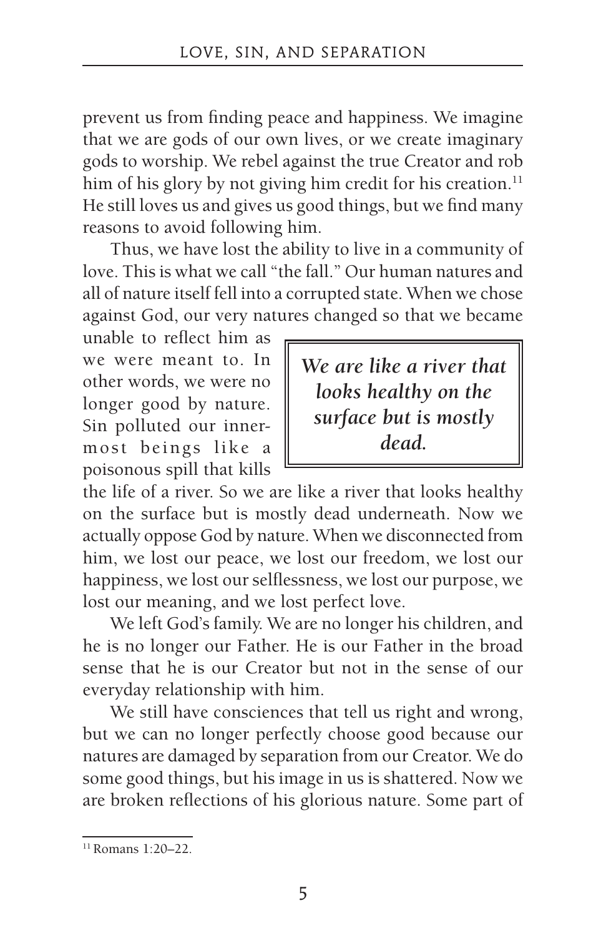prevent us from finding peace and happiness. We imagine that we are gods of our own lives, or we create imaginary gods to worship. We rebel against the true Creator and rob him of his glory by not giving him credit for his creation. $11$ He still loves us and gives us good things, but we find many reasons to avoid following him.

Thus, we have lost the ability to live in a community of love. This is what we call "the fall." Our human natures and all of nature itself fell into a corrupted state. When we chose against God, our very natures changed so that we became

unable to reflect him as we were meant to. In other words, we were no longer good by nature. Sin polluted our innermost beings like a poisonous spill that kills

*We are like a river that looks healthy on the surface but is mostly dead.*

the life of a river. So we are like a river that looks healthy on the surface but is mostly dead underneath. Now we actually oppose God by nature. When we disconnected from him, we lost our peace, we lost our freedom, we lost our happiness, we lost our selflessness, we lost our purpose, we lost our meaning, and we lost perfect love.

We left God's family. We are no longer his children, and he is no longer our Father. He is our Father in the broad sense that he is our Creator but not in the sense of our everyday relationship with him.

We still have consciences that tell us right and wrong, but we can no longer perfectly choose good because our natures are damaged by separation from our Creator. We do some good things, but his image in us is shattered. Now we are broken reflections of his glorious nature. Some part of

 $11$  Romans  $1:20-22$ .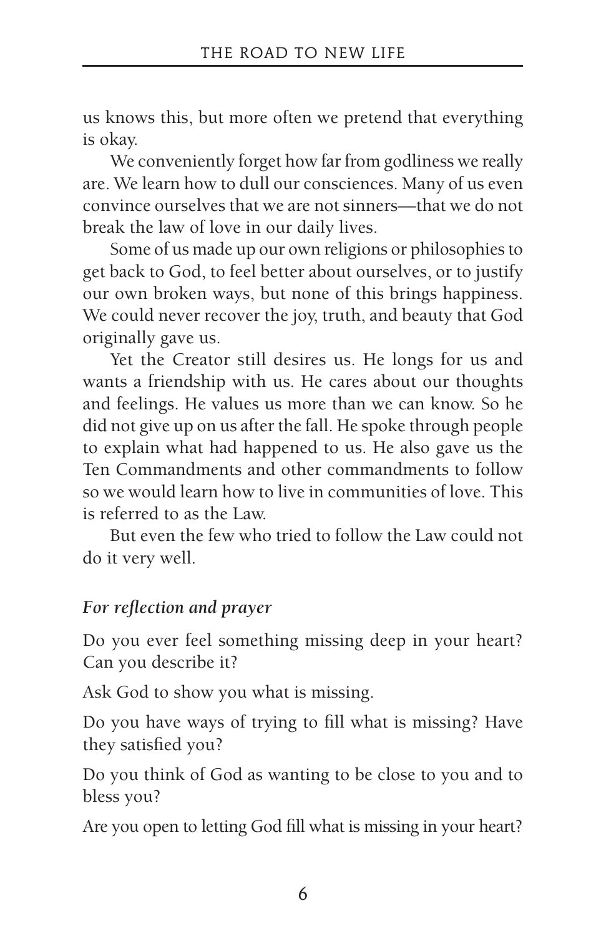us knows this, but more often we pretend that everything is okay.

We conveniently forget how far from godliness we really are. We learn how to dull our consciences. Many of us even convince ourselves that we are not sinners—that we do not break the law of love in our daily lives.

Some of us made up our own religions or philosophies to get back to God, to feel better about ourselves, or to justify our own broken ways, but none of this brings happiness. We could never recover the joy, truth, and beauty that God originally gave us.

Yet the Creator still desires us. He longs for us and wants a friendship with us. He cares about our thoughts and feelings. He values us more than we can know. So he did not give up on us after the fall. He spoke through people to explain what had happened to us. He also gave us the Ten Commandments and other commandments to follow so we would learn how to live in communities of love. This is referred to as the Law.

But even the few who tried to follow the Law could not do it very well.

### *For refl ection and prayer*

Do you ever feel something missing deep in your heart? Can you describe it?

Ask God to show you what is missing.

Do you have ways of trying to fill what is missing? Have they satisfied you?

Do you think of God as wanting to be close to you and to bless you?

Are you open to letting God fill what is missing in your heart?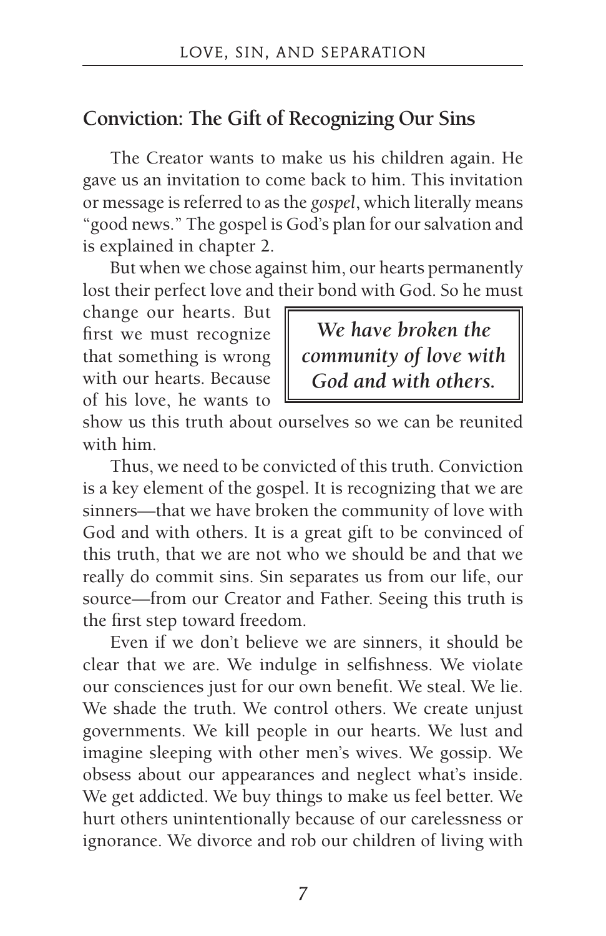### **Conviction: The Gift of Recognizing Our Sins**

The Creator wants to make us his children again. He gave us an invitation to come back to him. This invitation or message is referred to as the *gospel*, which literally means "good news." The gospel is God's plan for our salvation and is explained in chapter 2.

But when we chose against him, our hearts permanently lost their perfect love and their bond with God. So he must

change our hearts. But first we must recognize that something is wrong with our hearts. Because of his love, he wants to

*We have broken the community of love with God and with others.*

show us this truth about ourselves so we can be reunited with him.

Thus, we need to be convicted of this truth. Conviction is a key element of the gospel. It is recognizing that we are sinners—that we have broken the community of love with God and with others. It is a great gift to be convinced of this truth, that we are not who we should be and that we really do commit sins. Sin separates us from our life, our source—from our Creator and Father. Seeing this truth is the first step toward freedom.

Even if we don't believe we are sinners, it should be clear that we are. We indulge in selfishness. We violate our consciences just for our own benefit. We steal. We lie. We shade the truth. We control others. We create unjust governments. We kill people in our hearts. We lust and imagine sleeping with other men's wives. We gossip. We obsess about our appearances and neglect what's inside. We get addicted. We buy things to make us feel better. We hurt others unintentionally because of our carelessness or ignorance. We divorce and rob our children of living with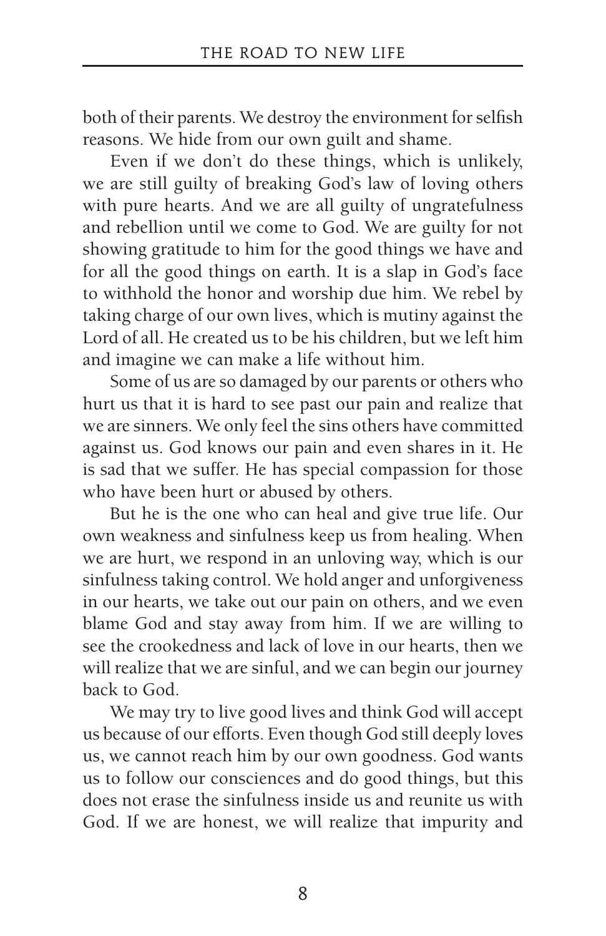both of their parents. We destroy the environment for selfish reasons. We hide from our own guilt and shame.

Even if we don't do these things, which is unlikely, we are still guilty of breaking God's law of loving others with pure hearts. And we are all guilty of ungratefulness and rebellion until we come to God. We are guilty for not showing gratitude to him for the good things we have and for all the good things on earth. It is a slap in God's face to withhold the honor and worship due him. We rebel by taking charge of our own lives, which is mutiny against the Lord of all. He created us to be his children, but we left him and imagine we can make a life without him.

Some of us are so damaged by our parents or others who hurt us that it is hard to see past our pain and realize that we are sinners. We only feel the sins others have committed against us. God knows our pain and even shares in it. He is sad that we suffer. He has special compassion for those who have been hurt or abused by others.

But he is the one who can heal and give true life. Our own weakness and sinfulness keep us from healing. When we are hurt, we respond in an unloving way, which is our sinfulness taking control. We hold anger and unforgiveness in our hearts, we take out our pain on others, and we even blame God and stay away from him. If we are willing to see the crookedness and lack of love in our hearts, then we will realize that we are sinful, and we can begin our journey back to God.

We may try to live good lives and think God will accept us because of our efforts. Even though God still deeply loves us, we cannot reach him by our own goodness. God wants us to follow our consciences and do good things, but this does not erase the sinfulness inside us and reunite us with God. If we are honest, we will realize that impurity and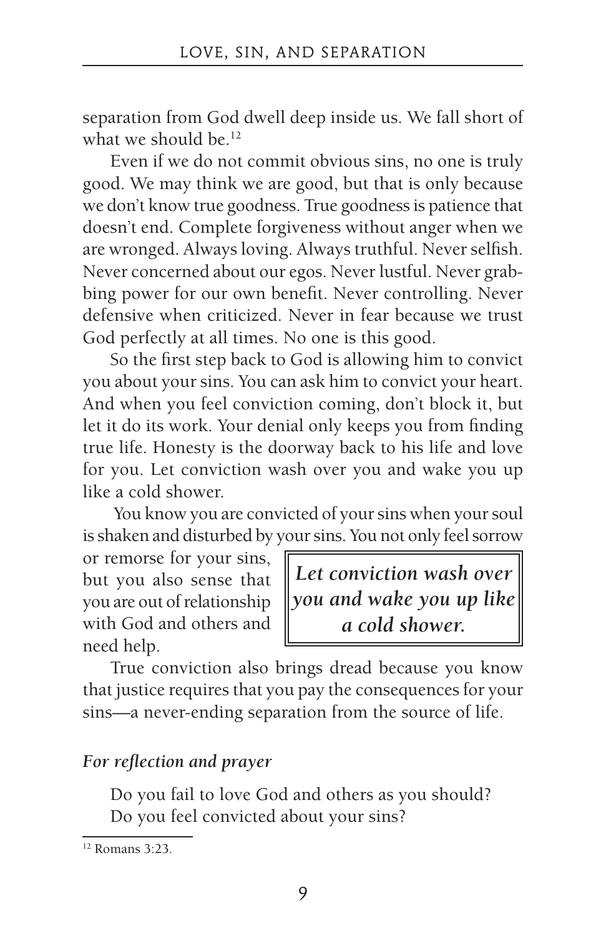separation from God dwell deep inside us. We fall short of what we should be.<sup>12</sup>

Even if we do not commit obvious sins, no one is truly good. We may think we are good, but that is only because we don't know true goodness. True goodness is patience that doesn't end. Complete forgiveness without anger when we are wronged. Always loving. Always truthful. Never selfish. Never concerned about our egos. Never lustful. Never grabbing power for our own benefit. Never controlling. Never defensive when criticized. Never in fear because we trust God perfectly at all times. No one is this good.

So the first step back to God is allowing him to convict you about your sins. You can ask him to convict your heart. And when you feel conviction coming, don't block it, but let it do its work. Your denial only keeps you from finding true life. Honesty is the doorway back to his life and love for you. Let conviction wash over you and wake you up like a cold shower.

 You know you are convicted of your sins when your soul is shaken and disturbed by your sins. You not only feel sorrow

or remorse for your sins, but you also sense that you are out of relationship with God and others and need help.

*Let conviction wash over you and wake you up like a cold shower.*

True conviction also brings dread because you know that justice requires that you pay the consequences for your sins—a never-ending separation from the source of life.

#### *For refl ection and prayer*

Do you fail to love God and others as you should? Do you feel convicted about your sins?

 $12$  Romans  $3:23$ .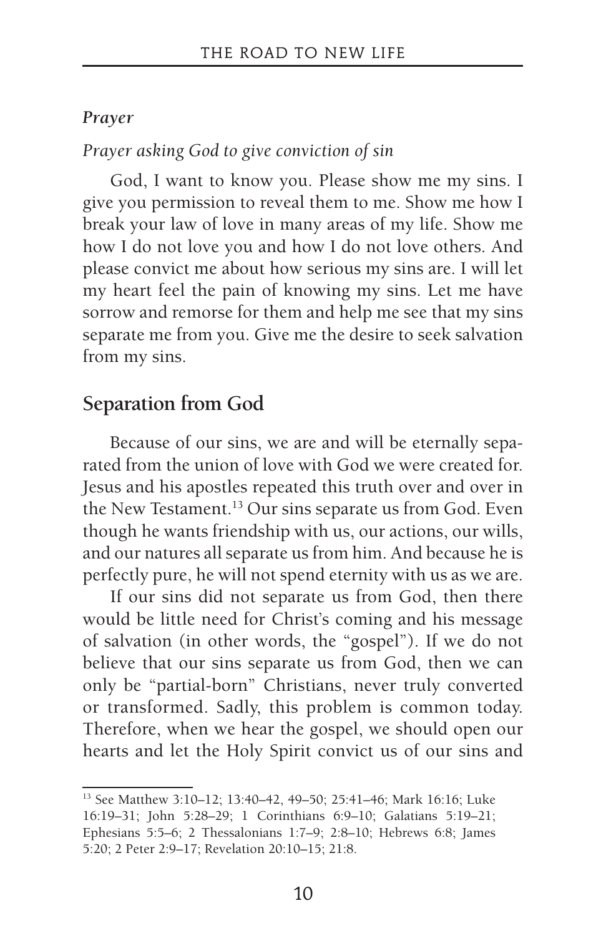#### *Prayer*

#### *Prayer asking God to give conviction of sin*

God, I want to know you. Please show me my sins. I give you permission to reveal them to me. Show me how I break your law of love in many areas of my life. Show me how I do not love you and how I do not love others. And please convict me about how serious my sins are. I will let my heart feel the pain of knowing my sins. Let me have sorrow and remorse for them and help me see that my sins separate me from you. Give me the desire to seek salvation from my sins.

### **Separation from God**

Because of our sins, we are and will be eternally separated from the union of love with God we were created for. Jesus and his apostles repeated this truth over and over in the New Testament.<sup>13</sup> Our sins separate us from God. Even though he wants friendship with us, our actions, our wills, and our natures all separate us from him. And because he is perfectly pure, he will not spend eternity with us as we are.

If our sins did not separate us from God, then there would be little need for Christ's coming and his message of salvation (in other words, the "gospel"). If we do not believe that our sins separate us from God, then we can only be "partial-born" Christians, never truly converted or transformed. Sadly, this problem is common today. Therefore, when we hear the gospel, we should open our hearts and let the Holy Spirit convict us of our sins and

<sup>13</sup> See Matthew 3:10–12; 13:40–42, 49–50; 25:41–46; Mark 16:16; Luke 16:19–31; John 5:28–29; 1 Corinthians 6:9–10; Galatians 5:19–21; Ephesians 5:5–6; 2 Thessalonians 1:7–9; 2:8–10; Hebrews 6:8; James 5:20; 2 Peter 2:9–17; Revelation 20:10–15; 21:8.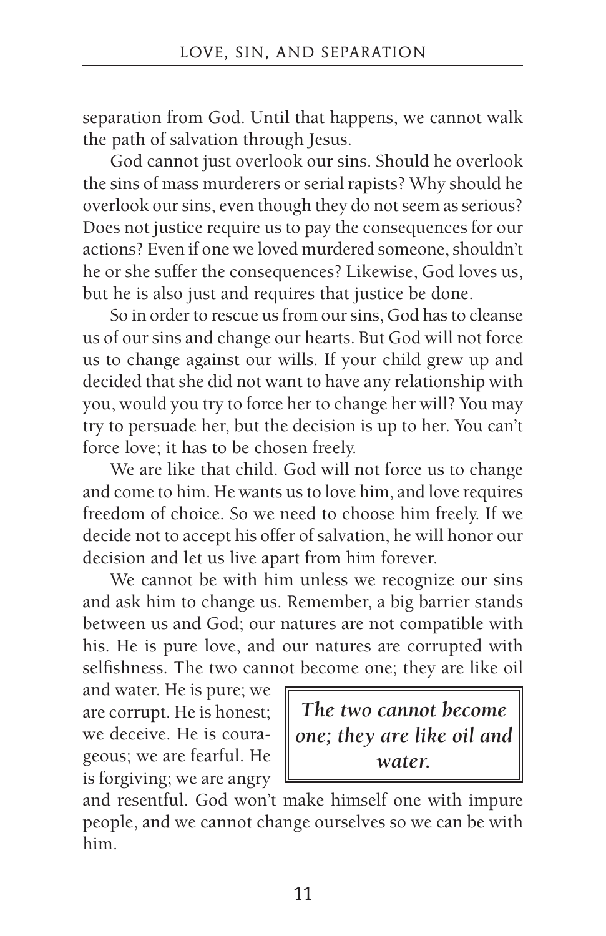separation from God. Until that happens, we cannot walk the path of salvation through Jesus.

God cannot just overlook our sins. Should he overlook the sins of mass murderers or serial rapists? Why should he overlook our sins, even though they do not seem as serious? Does not justice require us to pay the consequences for our actions? Even if one we loved murdered someone, shouldn't he or she suffer the consequences? Likewise, God loves us, but he is also just and requires that justice be done.

So in order to rescue us from our sins, God has to cleanse us of our sins and change our hearts. But God will not force us to change against our wills. If your child grew up and decided that she did not want to have any relationship with you, would you try to force her to change her will? You may try to persuade her, but the decision is up to her. You can't force love; it has to be chosen freely.

We are like that child. God will not force us to change and come to him. He wants us to love him, and love requires freedom of choice. So we need to choose him freely. If we decide not to accept his offer of salvation, he will honor our decision and let us live apart from him forever.

We cannot be with him unless we recognize our sins and ask him to change us. Remember, a big barrier stands between us and God; our natures are not compatible with his. He is pure love, and our natures are corrupted with selfishness. The two cannot become one; they are like oil

and water. He is pure; we are corrupt. He is honest; we deceive. He is courageous; we are fearful. He is forgiving; we are angry



and resentful. God won't make himself one with impure people, and we cannot change ourselves so we can be with him.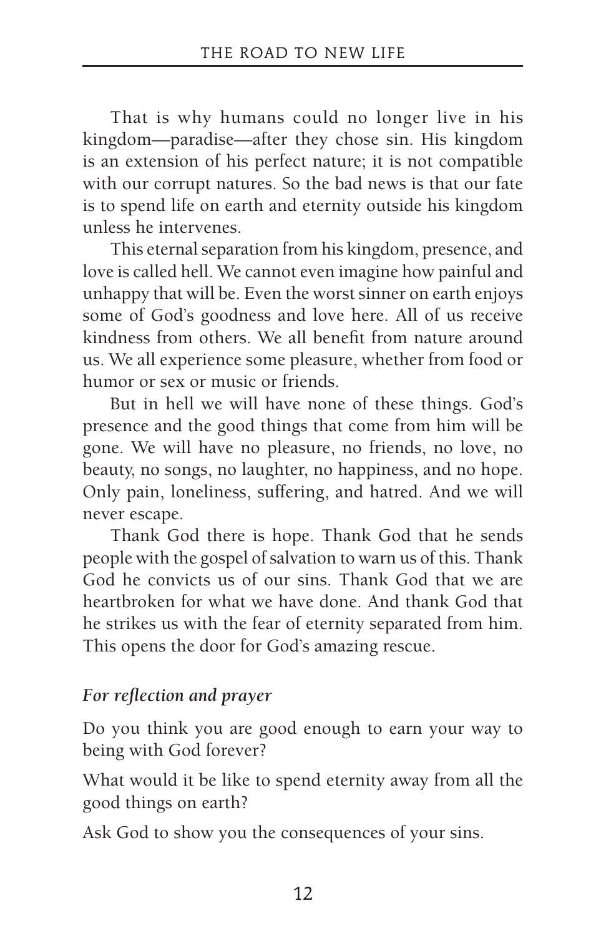That is why humans could no longer live in his kingdom—paradise—after they chose sin. His kingdom is an extension of his perfect nature; it is not compatible with our corrupt natures. So the bad news is that our fate is to spend life on earth and eternity outside his kingdom unless he intervenes.

This eternal separation from his kingdom, presence, and love is called hell. We cannot even imagine how painful and unhappy that will be. Even the worst sinner on earth enjoys some of God's goodness and love here. All of us receive kindness from others. We all benefit from nature around us. We all experience some pleasure, whether from food or humor or sex or music or friends.

But in hell we will have none of these things. God's presence and the good things that come from him will be gone. We will have no pleasure, no friends, no love, no beauty, no songs, no laughter, no happiness, and no hope. Only pain, loneliness, suffering, and hatred. And we will never escape.

Thank God there is hope. Thank God that he sends people with the gospel of salvation to warn us of this. Thank God he convicts us of our sins. Thank God that we are heartbroken for what we have done. And thank God that he strikes us with the fear of eternity separated from him. This opens the door for God's amazing rescue.

### *For refl ection and prayer*

Do you think you are good enough to earn your way to being with God forever?

What would it be like to spend eternity away from all the good things on earth?

Ask God to show you the consequences of your sins.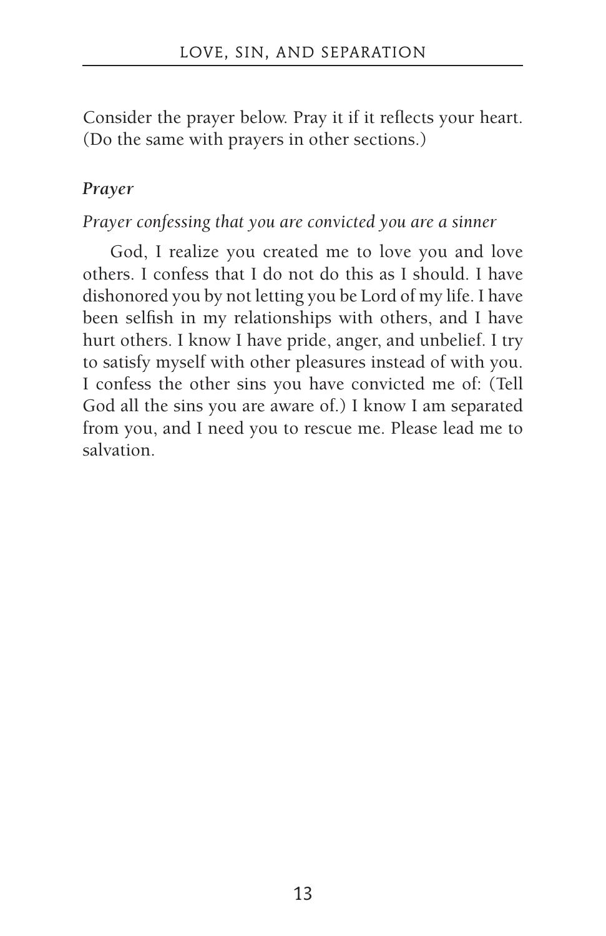Consider the prayer below. Pray it if it reflects your heart. (Do the same with prayers in other sections.)

### *Prayer*

*Prayer confessing that you are convicted you are a sinner*

God, I realize you created me to love you and love others. I confess that I do not do this as I should. I have dishonored you by not letting you be Lord of my life. I have been selfish in my relationships with others, and I have hurt others. I know I have pride, anger, and unbelief. I try to satisfy myself with other pleasures instead of with you. I confess the other sins you have convicted me of: (Tell God all the sins you are aware of.) I know I am separated from you, and I need you to rescue me. Please lead me to salvation.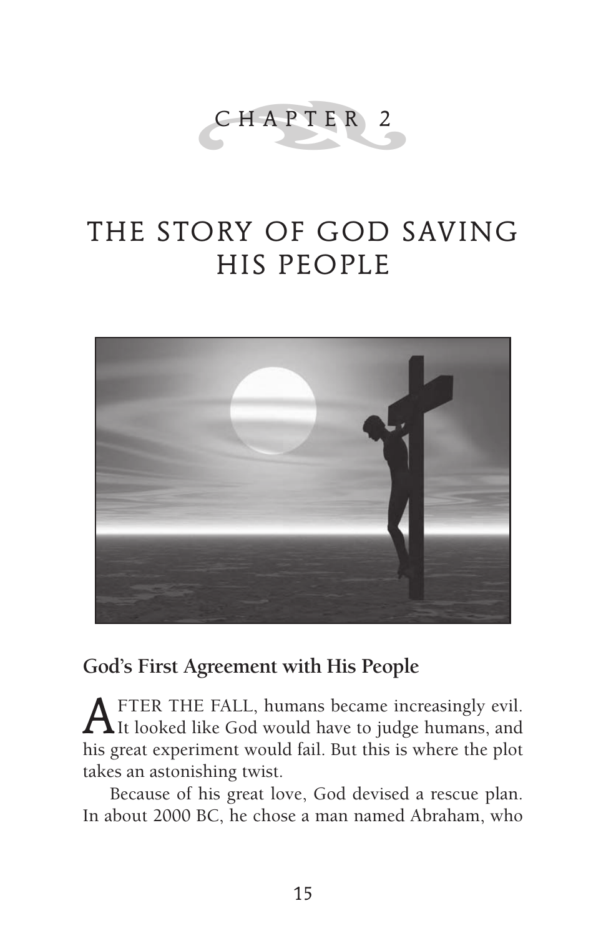# CHAPTER 2 CHAPTER 2

### THE STORY OF GOD SAVING HIS PEOPLE



### **God's First Agreement with His People**

**A**FTER THE FALL, humans became increasingly evil.<br>It looked like God would have to judge humans, and his great experiment would fail. But this is where the plot takes an astonishing twist.

Because of his great love, God devised a rescue plan. In about 2000 BC, he chose a man named Abraham, who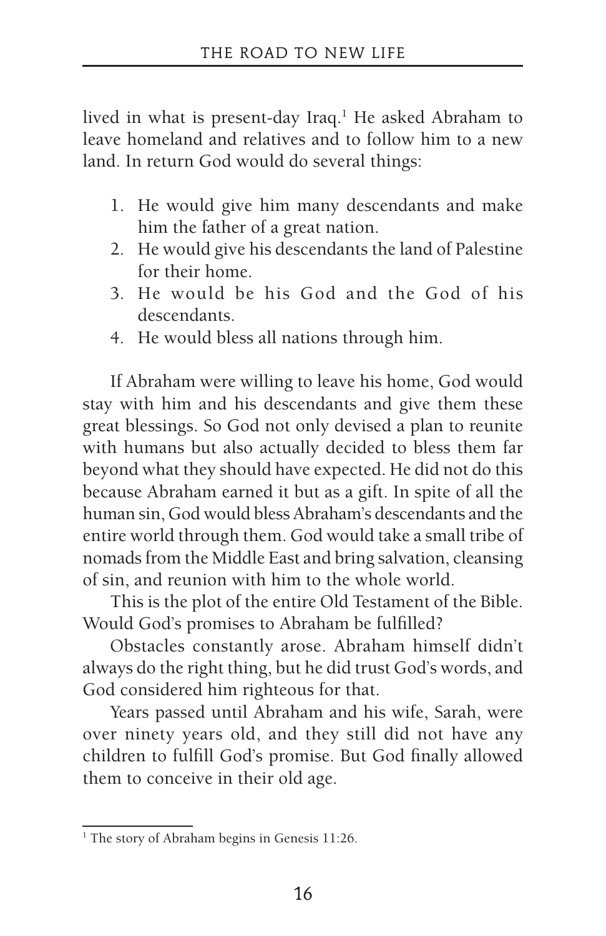lived in what is present-day Iraq.<sup>1</sup> He asked Abraham to leave homeland and relatives and to follow him to a new land. In return God would do several things:

- 1. He would give him many descendants and make him the father of a great nation.
- 2. He would give his descendants the land of Palestine for their home.
- 3. He would be his God and the God of his descendants.
- 4. He would bless all nations through him.

If Abraham were willing to leave his home, God would stay with him and his descendants and give them these great blessings. So God not only devised a plan to reunite with humans but also actually decided to bless them far beyond what they should have expected. He did not do this because Abraham earned it but as a gift. In spite of all the human sin, God would bless Abraham's descendants and the entire world through them. God would take a small tribe of nomads from the Middle East and bring salvation, cleansing of sin, and reunion with him to the whole world.

This is the plot of the entire Old Testament of the Bible. Would God's promises to Abraham be fulfilled?

Obstacles constantly arose. Abraham himself didn't always do the right thing, but he did trust God's words, and God considered him righteous for that.

Years passed until Abraham and his wife, Sarah, were over ninety years old, and they still did not have any children to fulfill God's promise. But God finally allowed them to conceive in their old age.

<sup>&</sup>lt;sup>1</sup> The story of Abraham begins in Genesis 11:26.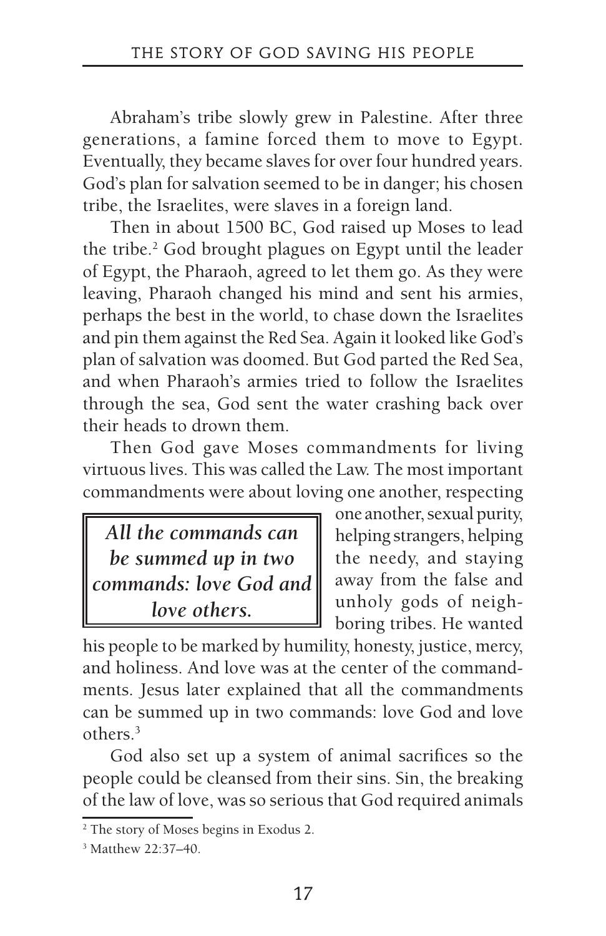Abraham's tribe slowly grew in Palestine. After three generations, a famine forced them to move to Egypt. Eventually, they became slaves for over four hundred years. God's plan for salvation seemed to be in danger; his chosen tribe, the Israelites, were slaves in a foreign land.

Then in about 1500 BC, God raised up Moses to lead the tribe.<sup>2</sup> God brought plagues on Egypt until the leader of Egypt, the Pharaoh, agreed to let them go. As they were leaving, Pharaoh changed his mind and sent his armies, perhaps the best in the world, to chase down the Israelites and pin them against the Red Sea. Again it looked like God's plan of salvation was doomed. But God parted the Red Sea, and when Pharaoh's armies tried to follow the Israelites through the sea, God sent the water crashing back over their heads to drown them.

Then God gave Moses commandments for living virtuous lives. This was called the Law. The most important commandments were about loving one another, respecting



one another, sexual purity, helping strangers, helping the needy, and staying away from the false and unholy gods of neighboring tribes. He wanted

his people to be marked by humility, honesty, justice, mercy, and holiness. And love was at the center of the commandments. Jesus later explained that all the commandments can be summed up in two commands: love God and love others.3

God also set up a system of animal sacrifices so the people could be cleansed from their sins. Sin, the breaking of the law of love, was so serious that God required animals

<sup>2</sup> The story of Moses begins in Exodus 2.

<sup>3</sup> Matthew 22:37–40.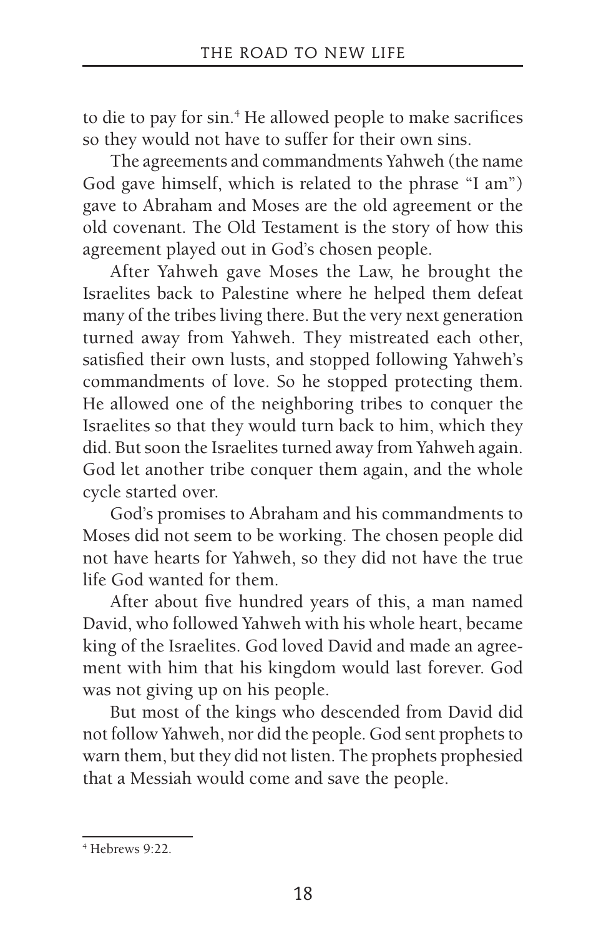to die to pay for sin.<sup>4</sup> He allowed people to make sacrifices so they would not have to suffer for their own sins.

The agreements and commandments Yahweh (the name God gave himself, which is related to the phrase "I am") gave to Abraham and Moses are the old agreement or the old covenant. The Old Testament is the story of how this agreement played out in God's chosen people.

After Yahweh gave Moses the Law, he brought the Israelites back to Palestine where he helped them defeat many of the tribes living there. But the very next generation turned away from Yahweh. They mistreated each other, satisfied their own lusts, and stopped following Yahweh's commandments of love. So he stopped protecting them. He allowed one of the neighboring tribes to conquer the Israelites so that they would turn back to him, which they did. But soon the Israelites turned away from Yahweh again. God let another tribe conquer them again, and the whole cycle started over.

God's promises to Abraham and his commandments to Moses did not seem to be working. The chosen people did not have hearts for Yahweh, so they did not have the true life God wanted for them.

After about five hundred years of this, a man named David, who followed Yahweh with his whole heart, became king of the Israelites. God loved David and made an agreement with him that his kingdom would last forever. God was not giving up on his people.

But most of the kings who descended from David did not follow Yahweh, nor did the people. God sent prophets to warn them, but they did not listen. The prophets prophesied that a Messiah would come and save the people.

<sup>4</sup> Hebrews 9:22.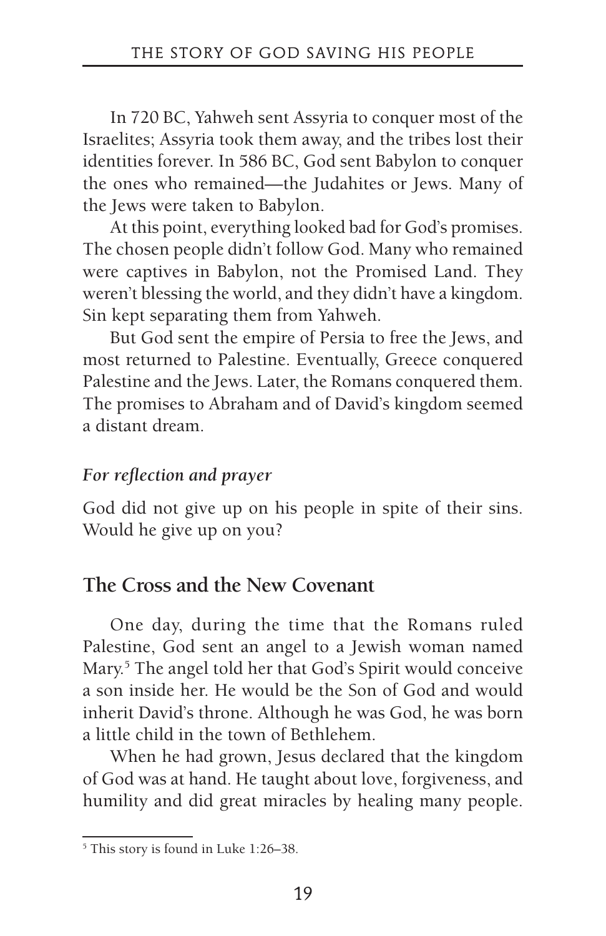In 720 BC, Yahweh sent Assyria to conquer most of the Israelites; Assyria took them away, and the tribes lost their identities forever. In 586 BC, God sent Babylon to conquer the ones who remained—the Judahites or Jews. Many of the Jews were taken to Babylon.

At this point, everything looked bad for God's promises. The chosen people didn't follow God. Many who remained were captives in Babylon, not the Promised Land. They weren't blessing the world, and they didn't have a kingdom. Sin kept separating them from Yahweh.

But God sent the empire of Persia to free the Jews, and most returned to Palestine. Eventually, Greece conquered Palestine and the Jews. Later, the Romans conquered them. The promises to Abraham and of David's kingdom seemed a distant dream.

### *For refl ection and prayer*

God did not give up on his people in spite of their sins. Would he give up on you?

### **The Cross and the New Covenant**

One day, during the time that the Romans ruled Palestine, God sent an angel to a Jewish woman named Mary.5 The angel told her that God's Spirit would conceive a son inside her. He would be the Son of God and would inherit David's throne. Although he was God, he was born a little child in the town of Bethlehem.

When he had grown, Jesus declared that the kingdom of God was at hand. He taught about love, forgiveness, and humility and did great miracles by healing many people.

<sup>5</sup> This story is found in Luke 1:26–38.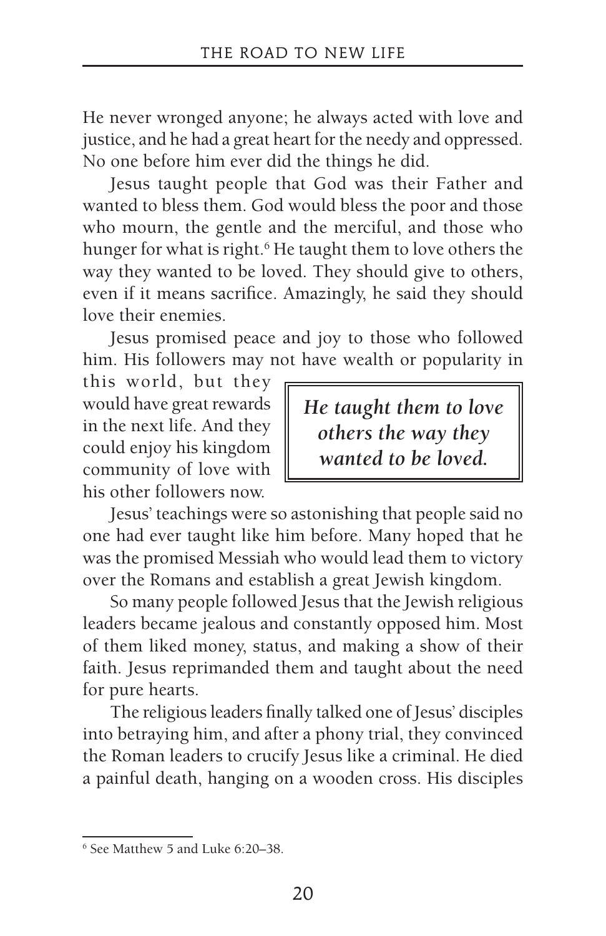He never wronged anyone; he always acted with love and justice, and he had a great heart for the needy and oppressed. No one before him ever did the things he did.

Jesus taught people that God was their Father and wanted to bless them. God would bless the poor and those who mourn, the gentle and the merciful, and those who hunger for what is right.<sup>6</sup> He taught them to love others the way they wanted to be loved. They should give to others, even if it means sacrifice. Amazingly, he said they should love their enemies.

Jesus promised peace and joy to those who followed him. His followers may not have wealth or popularity in

this world, but they would have great rewards in the next life. And they could enjoy his kingdom community of love with his other followers now.

*He taught them to love others the way they wanted to be loved.*

Jesus' teachings were so astonishing that people said no one had ever taught like him before. Many hoped that he was the promised Messiah who would lead them to victory over the Romans and establish a great Jewish kingdom.

So many people followed Jesus that the Jewish religious leaders became jealous and constantly opposed him. Most of them liked money, status, and making a show of their faith. Jesus reprimanded them and taught about the need for pure hearts.

The religious leaders finally talked one of Jesus' disciples into betraying him, and after a phony trial, they convinced the Roman leaders to crucify Jesus like a criminal. He died a painful death, hanging on a wooden cross. His disciples

<sup>6</sup> See Matthew 5 and Luke 6:20–38.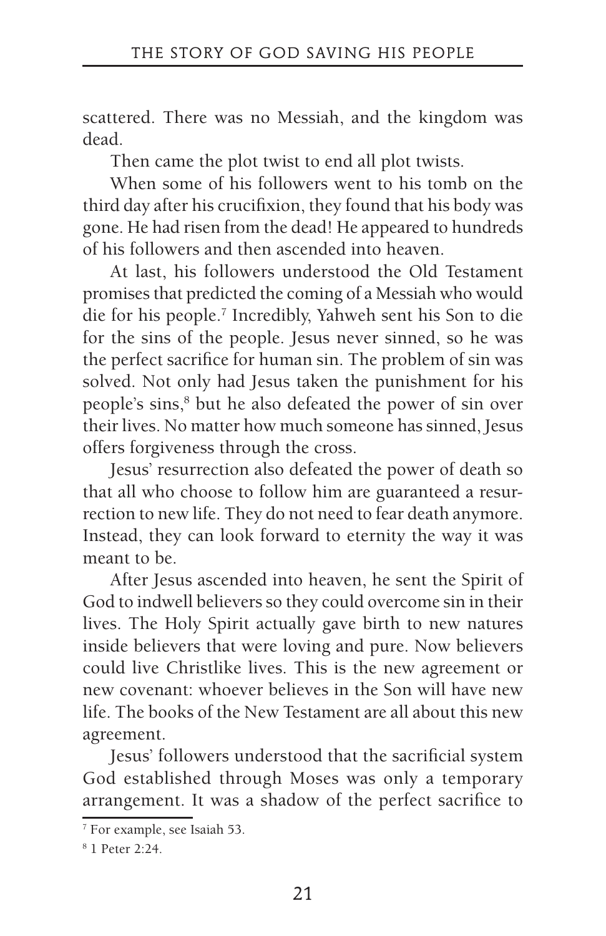scattered. There was no Messiah, and the kingdom was dead.

Then came the plot twist to end all plot twists.

When some of his followers went to his tomb on the third day after his crucifixion, they found that his body was gone. He had risen from the dead! He appeared to hundreds of his followers and then ascended into heaven.

At last, his followers understood the Old Testament promises that predicted the coming of a Messiah who would die for his people.7 Incredibly, Yahweh sent his Son to die for the sins of the people. Jesus never sinned, so he was the perfect sacrifice for human sin. The problem of sin was solved. Not only had Jesus taken the punishment for his people's sins,<sup>8</sup> but he also defeated the power of sin over their lives. No matter how much someone has sinned, Jesus offers forgiveness through the cross.

Jesus' resurrection also defeated the power of death so that all who choose to follow him are guaranteed a resurrection to new life. They do not need to fear death anymore. Instead, they can look forward to eternity the way it was meant to be.

After Jesus ascended into heaven, he sent the Spirit of God to indwell believers so they could overcome sin in their lives. The Holy Spirit actually gave birth to new natures inside believers that were loving and pure. Now believers could live Christlike lives. This is the new agreement or new covenant: whoever believes in the Son will have new life. The books of the New Testament are all about this new agreement.

Jesus' followers understood that the sacrificial system God established through Moses was only a temporary arrangement. It was a shadow of the perfect sacrifice to

<sup>7</sup> For example, see Isaiah 53.

<sup>8</sup> 1 Peter 2:24.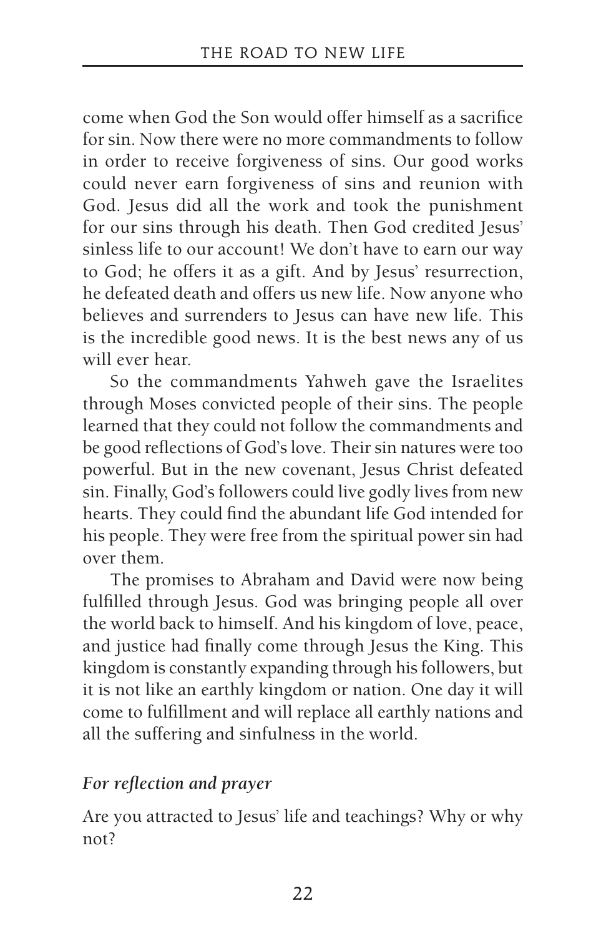come when God the Son would offer himself as a sacrifice for sin. Now there were no more commandments to follow in order to receive forgiveness of sins. Our good works could never earn forgiveness of sins and reunion with God. Jesus did all the work and took the punishment for our sins through his death. Then God credited Jesus' sinless life to our account! We don't have to earn our way to God; he offers it as a gift. And by Jesus' resurrection, he defeated death and offers us new life. Now anyone who believes and surrenders to Jesus can have new life. This is the incredible good news. It is the best news any of us will ever hear.

So the commandments Yahweh gave the Israelites through Moses convicted people of their sins. The people learned that they could not follow the commandments and be good reflections of God's love. Their sin natures were too powerful. But in the new covenant, Jesus Christ defeated sin. Finally, God's followers could live godly lives from new hearts. They could find the abundant life God intended for his people. They were free from the spiritual power sin had over them.

The promises to Abraham and David were now being fulfilled through Jesus. God was bringing people all over the world back to himself. And his kingdom of love, peace, and justice had finally come through Jesus the King. This kingdom is constantly expanding through his followers, but it is not like an earthly kingdom or nation. One day it will come to fulfillment and will replace all earthly nations and all the suffering and sinfulness in the world.

### *For refl ection and prayer*

Are you attracted to Jesus' life and teachings? Why or why not?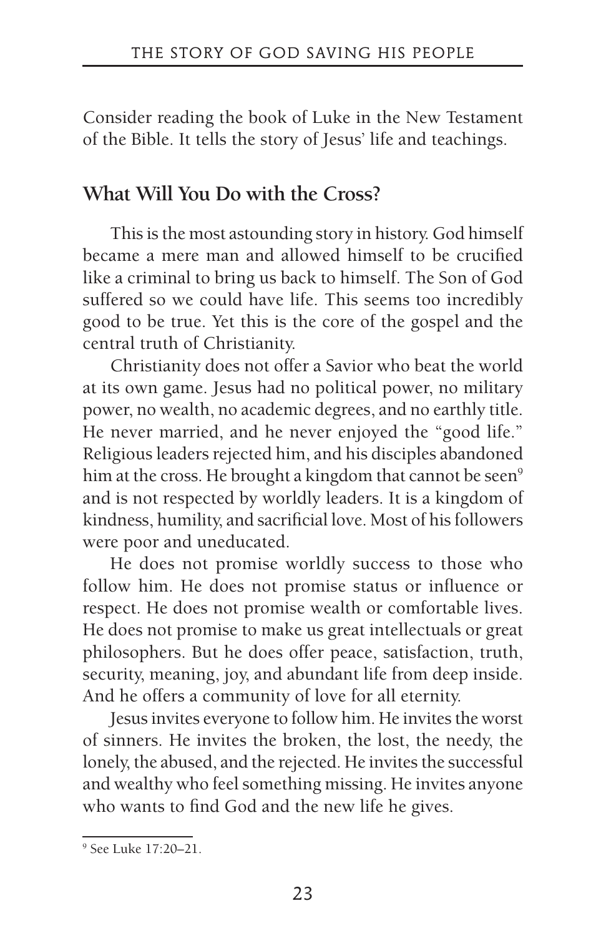Consider reading the book of Luke in the New Testament of the Bible. It tells the story of Jesus' life and teachings.

### **What Will You Do with the Cross?**

This is the most astounding story in history. God himself became a mere man and allowed himself to be crucified like a criminal to bring us back to himself. The Son of God suffered so we could have life. This seems too incredibly good to be true. Yet this is the core of the gospel and the central truth of Christianity.

Christianity does not offer a Savior who beat the world at its own game. Jesus had no political power, no military power, no wealth, no academic degrees, and no earthly title. He never married, and he never enjoyed the "good life." Religious leaders rejected him, and his disciples abandoned him at the cross. He brought a kingdom that cannot be seen<sup>9</sup> and is not respected by worldly leaders. It is a kingdom of kindness, humility, and sacrificial love. Most of his followers were poor and uneducated.

He does not promise worldly success to those who follow him. He does not promise status or influence or respect. He does not promise wealth or comfortable lives. He does not promise to make us great intellectuals or great philosophers. But he does offer peace, satisfaction, truth, security, meaning, joy, and abundant life from deep inside. And he offers a community of love for all eternity.

Jesus invites everyone to follow him. He invites the worst of sinners. He invites the broken, the lost, the needy, the lonely, the abused, and the rejected. He invites the successful and wealthy who feel something missing. He invites anyone who wants to find God and the new life he gives.

<sup>9</sup> See Luke 17:20–21.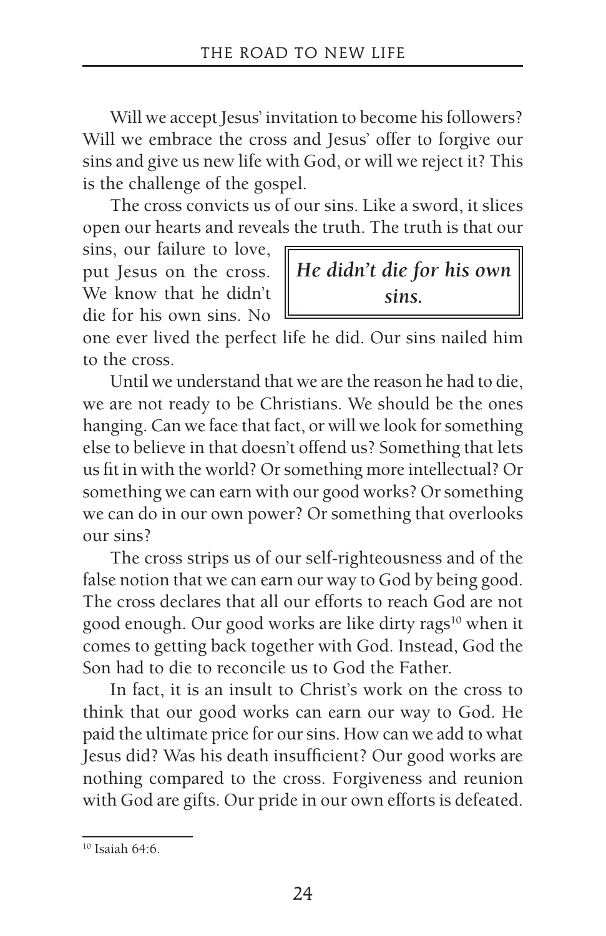Will we accept Jesus' invitation to become his followers? Will we embrace the cross and Jesus' offer to forgive our sins and give us new life with God, or will we reject it? This is the challenge of the gospel.

The cross convicts us of our sins. Like a sword, it slices open our hearts and reveals the truth. The truth is that our

sins, our failure to love, put Jesus on the cross. We know that he didn't die for his own sins. No



one ever lived the perfect life he did. Our sins nailed him to the cross.

Until we understand that we are the reason he had to die, we are not ready to be Christians. We should be the ones hanging. Can we face that fact, or will we look for something else to believe in that doesn't offend us? Something that lets us fit in with the world? Or something more intellectual? Or something we can earn with our good works? Or something we can do in our own power? Or something that overlooks our sins?

The cross strips us of our self-righteousness and of the false notion that we can earn our way to God by being good. The cross declares that all our efforts to reach God are not good enough. Our good works are like dirty rags<sup>10</sup> when it comes to getting back together with God. Instead, God the Son had to die to reconcile us to God the Father.

In fact, it is an insult to Christ's work on the cross to think that our good works can earn our way to God. He paid the ultimate price for our sins. How can we add to what Jesus did? Was his death insufficient? Our good works are nothing compared to the cross. Forgiveness and reunion with God are gifts. Our pride in our own efforts is defeated.

 $10$  Isaiah 64.6.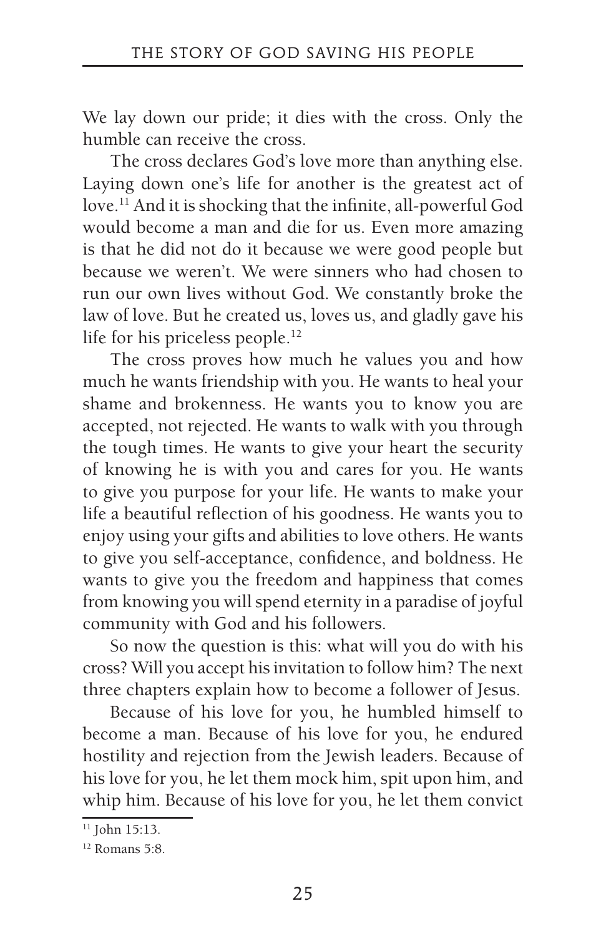We lay down our pride; it dies with the cross. Only the humble can receive the cross.

The cross declares God's love more than anything else. Laying down one's life for another is the greatest act of love.<sup>11</sup> And it is shocking that the infinite, all-powerful God would become a man and die for us. Even more amazing is that he did not do it because we were good people but because we weren't. We were sinners who had chosen to run our own lives without God. We constantly broke the law of love. But he created us, loves us, and gladly gave his life for his priceless people.<sup>12</sup>

The cross proves how much he values you and how much he wants friendship with you. He wants to heal your shame and brokenness. He wants you to know you are accepted, not rejected. He wants to walk with you through the tough times. He wants to give your heart the security of knowing he is with you and cares for you. He wants to give you purpose for your life. He wants to make your life a beautiful reflection of his goodness. He wants you to enjoy using your gifts and abilities to love others. He wants to give you self-acceptance, confidence, and boldness. He wants to give you the freedom and happiness that comes from knowing you will spend eternity in a paradise of joyful community with God and his followers.

So now the question is this: what will you do with his cross? Will you accept his invitation to follow him? The next three chapters explain how to become a follower of Jesus.

Because of his love for you, he humbled himself to become a man. Because of his love for you, he endured hostility and rejection from the Jewish leaders. Because of his love for you, he let them mock him, spit upon him, and whip him. Because of his love for you, he let them convict

 $\frac{11}{10}$  John 15:13.

 $12$  Romans 5:8.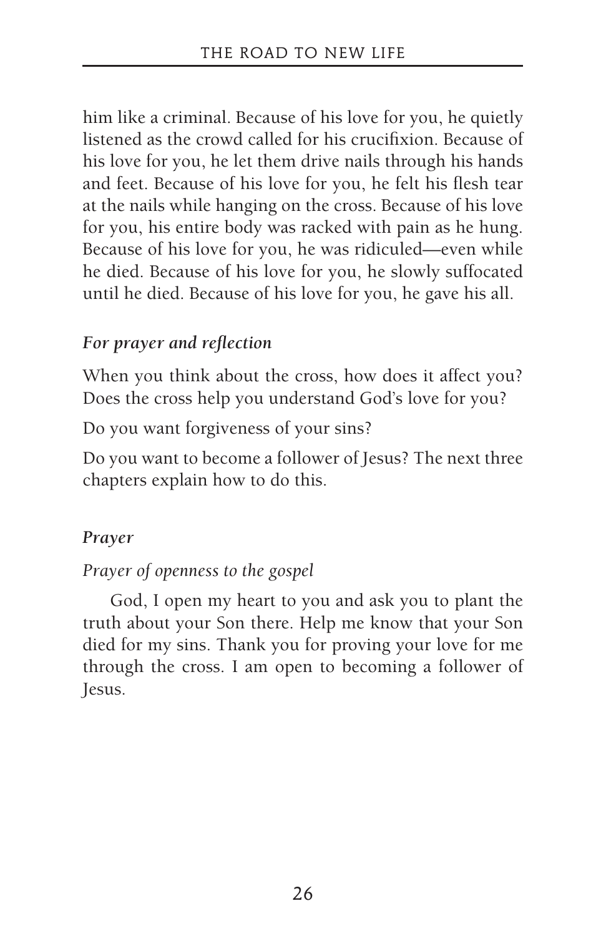him like a criminal. Because of his love for you, he quietly listened as the crowd called for his crucifixion. Because of his love for you, he let them drive nails through his hands and feet. Because of his love for you, he felt his flesh tear at the nails while hanging on the cross. Because of his love for you, his entire body was racked with pain as he hung. Because of his love for you, he was ridiculed—even while he died. Because of his love for you, he slowly suffocated until he died. Because of his love for you, he gave his all.

### *For prayer and refl ection*

When you think about the cross, how does it affect you? Does the cross help you understand God's love for you?

Do you want forgiveness of your sins?

Do you want to become a follower of Jesus? The next three chapters explain how to do this.

### *Prayer*

### *Prayer of openness to the gospel*

God, I open my heart to you and ask you to plant the truth about your Son there. Help me know that your Son died for my sins. Thank you for proving your love for me through the cross. I am open to becoming a follower of Jesus.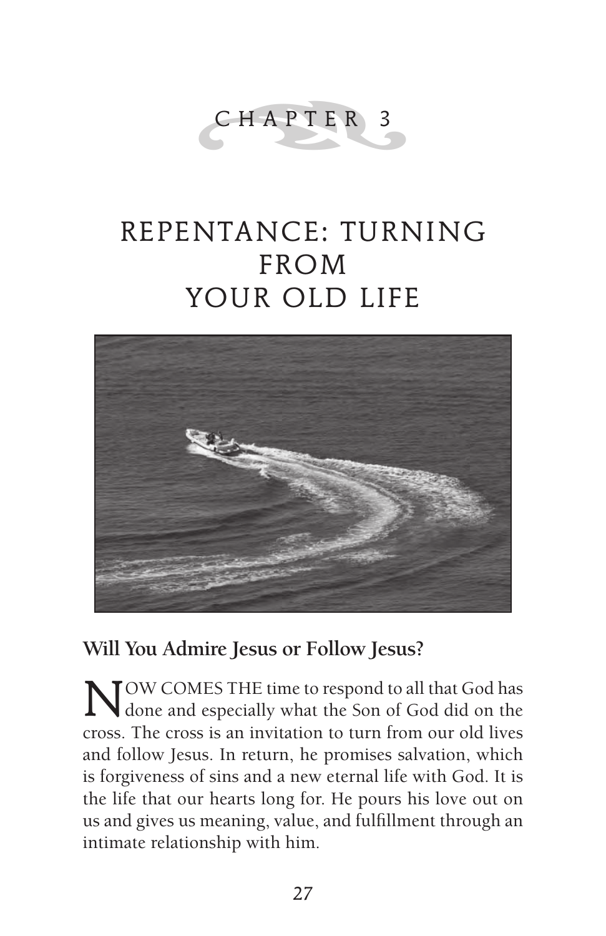# CHAPTER 3 CHAPTER 3

### REPENTANCE: TURNING FROM YOUR OLD LIFE



### **Will You Admire Jesus or Follow Jesus?**

NOW COMES THE time to respond to all that God has done and especially what the Son of God did on the cross. The cross is an invitation to turn from our old lives and follow Jesus. In return, he promises salvation, which is forgiveness of sins and a new eternal life with God. It is the life that our hearts long for. He pours his love out on us and gives us meaning, value, and fulfillment through an intimate relationship with him.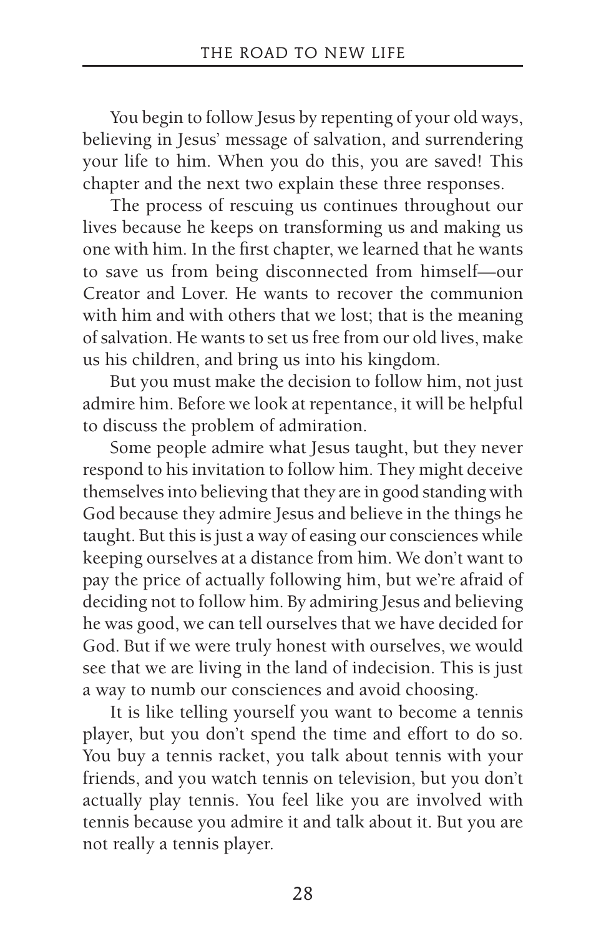You begin to follow Jesus by repenting of your old ways, believing in Jesus' message of salvation, and surrendering your life to him. When you do this, you are saved! This chapter and the next two explain these three responses.

The process of rescuing us continues throughout our lives because he keeps on transforming us and making us one with him. In the first chapter, we learned that he wants to save us from being disconnected from himself—our Creator and Lover. He wants to recover the communion with him and with others that we lost; that is the meaning of salvation. He wants to set us free from our old lives, make us his children, and bring us into his kingdom.

But you must make the decision to follow him, not just admire him. Before we look at repentance, it will be helpful to discuss the problem of admiration.

Some people admire what Jesus taught, but they never respond to his invitation to follow him. They might deceive themselves into believing that they are in good standing with God because they admire Jesus and believe in the things he taught. But this is just a way of easing our consciences while keeping ourselves at a distance from him. We don't want to pay the price of actually following him, but we're afraid of deciding not to follow him. By admiring Jesus and believing he was good, we can tell ourselves that we have decided for God. But if we were truly honest with ourselves, we would see that we are living in the land of indecision. This is just a way to numb our consciences and avoid choosing.

It is like telling yourself you want to become a tennis player, but you don't spend the time and effort to do so. You buy a tennis racket, you talk about tennis with your friends, and you watch tennis on television, but you don't actually play tennis. You feel like you are involved with tennis because you admire it and talk about it. But you are not really a tennis player.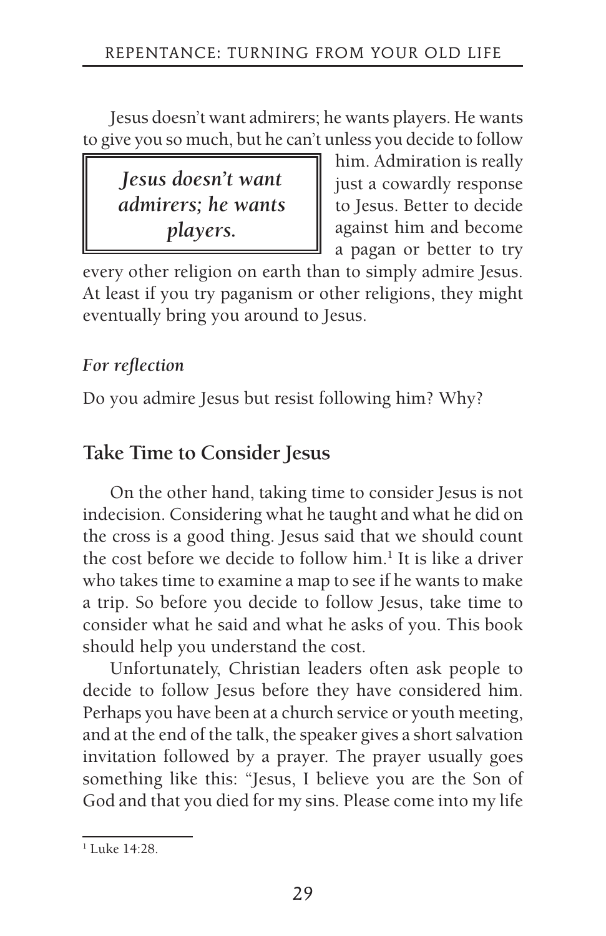Jesus doesn't want admirers; he wants players. He wants to give you so much, but he can't unless you decide to follow

*Jesus doesn't want admirers; he wants players.*

him. Admiration is really just a cowardly response to Jesus. Better to decide against him and become a pagan or better to try

every other religion on earth than to simply admire Jesus. At least if you try paganism or other religions, they might eventually bring you around to Jesus.

### For reflection

Do you admire Jesus but resist following him? Why?

### **Take Time to Consider Jesus**

On the other hand, taking time to consider Jesus is not indecision. Considering what he taught and what he did on the cross is a good thing. Jesus said that we should count the cost before we decide to follow him.<sup>1</sup> It is like a driver who takes time to examine a map to see if he wants to make a trip. So before you decide to follow Jesus, take time to consider what he said and what he asks of you. This book should help you understand the cost.

Unfortunately, Christian leaders often ask people to decide to follow Jesus before they have considered him. Perhaps you have been at a church service or youth meeting, and at the end of the talk, the speaker gives a short salvation invitation followed by a prayer. The prayer usually goes something like this: "Jesus, I believe you are the Son of God and that you died for my sins. Please come into my life

<sup>1</sup> Luke 14:28.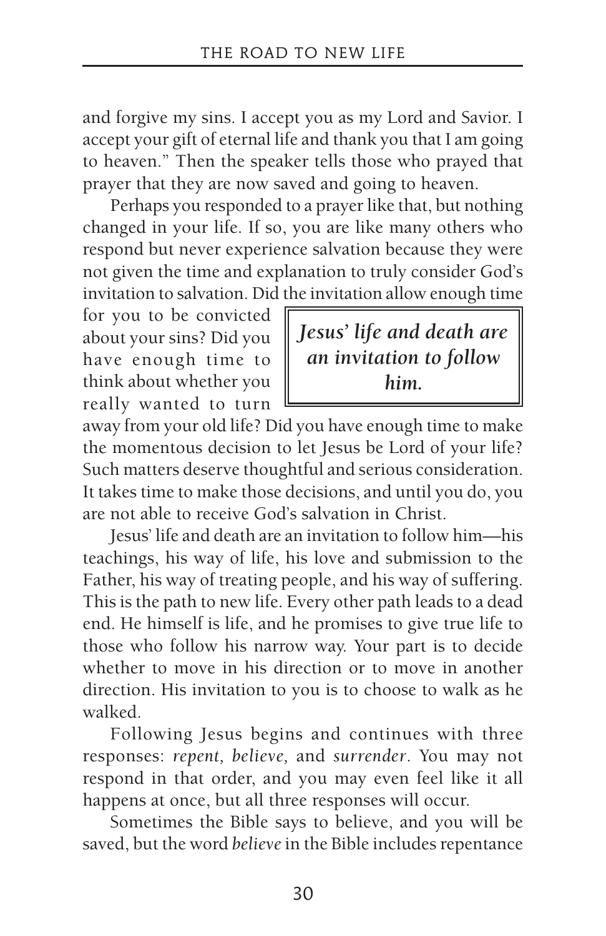and forgive my sins. I accept you as my Lord and Savior. I accept your gift of eternal life and thank you that I am going to heaven." Then the speaker tells those who prayed that prayer that they are now saved and going to heaven.

Perhaps you responded to a prayer like that, but nothing changed in your life. If so, you are like many others who respond but never experience salvation because they were not given the time and explanation to truly consider God's invitation to salvation. Did the invitation allow enough time

for you to be convicted about your sins? Did you have enough time to think about whether you really wanted to turn

*Jesus' life and death are an invitation to follow him.*

away from your old life? Did you have enough time to make the momentous decision to let Jesus be Lord of your life? Such matters deserve thoughtful and serious consideration. It takes time to make those decisions, and until you do, you are not able to receive God's salvation in Christ.

Jesus' life and death are an invitation to follow him—his teachings, his way of life, his love and submission to the Father, his way of treating people, and his way of suffering. This is the path to new life. Every other path leads to a dead end. He himself is life, and he promises to give true life to those who follow his narrow way. Your part is to decide whether to move in his direction or to move in another direction. His invitation to you is to choose to walk as he walked.

Following Jesus begins and continues with three responses: *repent, believe,* and *surrender*. You may not respond in that order, and you may even feel like it all happens at once, but all three responses will occur.

Sometimes the Bible says to believe, and you will be saved, but the word *believe* in the Bible includes repentance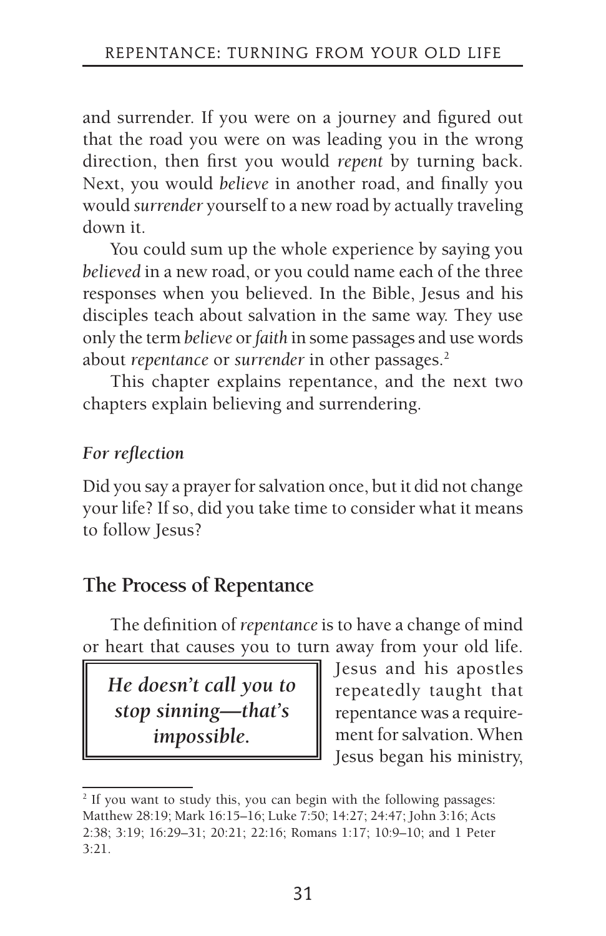and surrender. If you were on a journey and figured out that the road you were on was leading you in the wrong direction, then first you would *repent* by turning back. Next, you would *believe* in another road, and finally you would *surrender* yourself to a new road by actually traveling down it.

You could sum up the whole experience by saying you *believed* in a new road, or you could name each of the three responses when you believed. In the Bible, Jesus and his disciples teach about salvation in the same way. They use only the term *believe* or *faith* in some passages and use words about *repentance* or *surrender* in other passages.<sup>2</sup>

This chapter explains repentance, and the next two chapters explain believing and surrendering.

#### For reflection

Did you say a prayer for salvation once, but it did not change your life? If so, did you take time to consider what it means to follow Jesus?

### **The Process of Repentance**

The definition of *repentance* is to have a change of mind or heart that causes you to turn away from your old life.

*He doesn't call you to stop sinning—that's impossible.*

Jesus and his apostles repeatedly taught that repentance was a requirement for salvation. When Jesus began his ministry,

<sup>&</sup>lt;sup>2</sup> If you want to study this, you can begin with the following passages: Matthew 28:19; Mark 16:15–16; Luke 7:50; 14:27; 24:47; John 3:16; Acts 2:38; 3:19; 16:29–31; 20:21; 22:16; Romans 1:17; 10:9–10; and 1 Peter 3:21.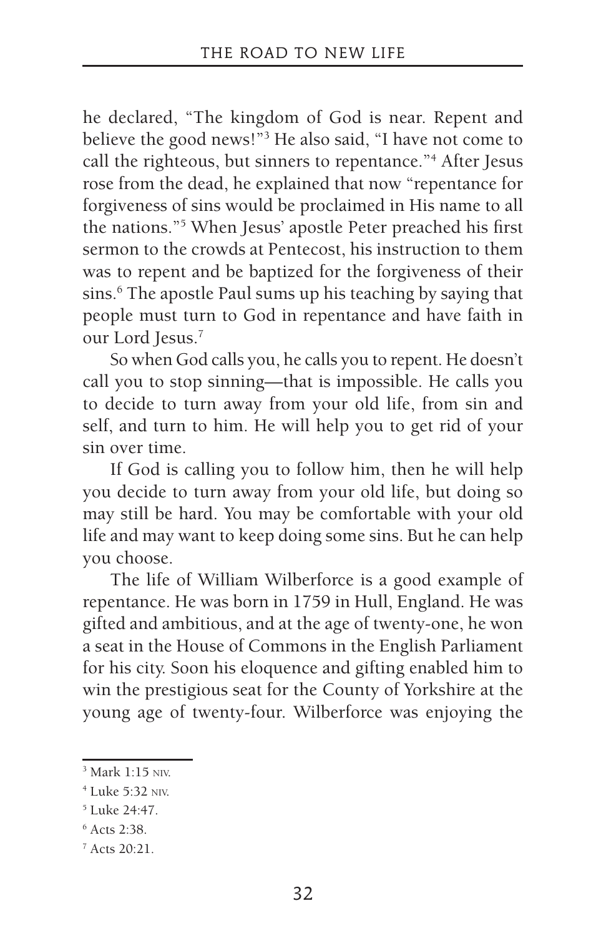he declared, "The kingdom of God is near. Repent and believe the good news!"3 He also said, "I have not come to call the righteous, but sinners to repentance."4 After Jesus rose from the dead, he explained that now "repentance for forgiveness of sins would be proclaimed in His name to all the nations."<sup>5</sup> When Jesus' apostle Peter preached his first sermon to the crowds at Pentecost, his instruction to them was to repent and be baptized for the forgiveness of their sins.<sup>6</sup> The apostle Paul sums up his teaching by saying that people must turn to God in repentance and have faith in our Lord Jesus.<sup>7</sup>

So when God calls you, he calls you to repent. He doesn't call you to stop sinning—that is impossible. He calls you to decide to turn away from your old life, from sin and self, and turn to him. He will help you to get rid of your sin over time.

If God is calling you to follow him, then he will help you decide to turn away from your old life, but doing so may still be hard. You may be comfortable with your old life and may want to keep doing some sins. But he can help you choose.

The life of William Wilberforce is a good example of repentance. He was born in 1759 in Hull, England. He was gifted and ambitious, and at the age of twenty-one, he won a seat in the House of Commons in the English Parliament for his city. Soon his eloquence and gifting enabled him to win the prestigious seat for the County of Yorkshire at the young age of twenty-four. Wilberforce was enjoying the

<sup>3</sup> Mark 1:15 NIV.

<sup>4</sup> Luke 5:32 NIV.

<sup>5</sup> Luke 24:47.

<sup>6</sup> Acts 2:38.

<sup>7</sup> Acts 20:21.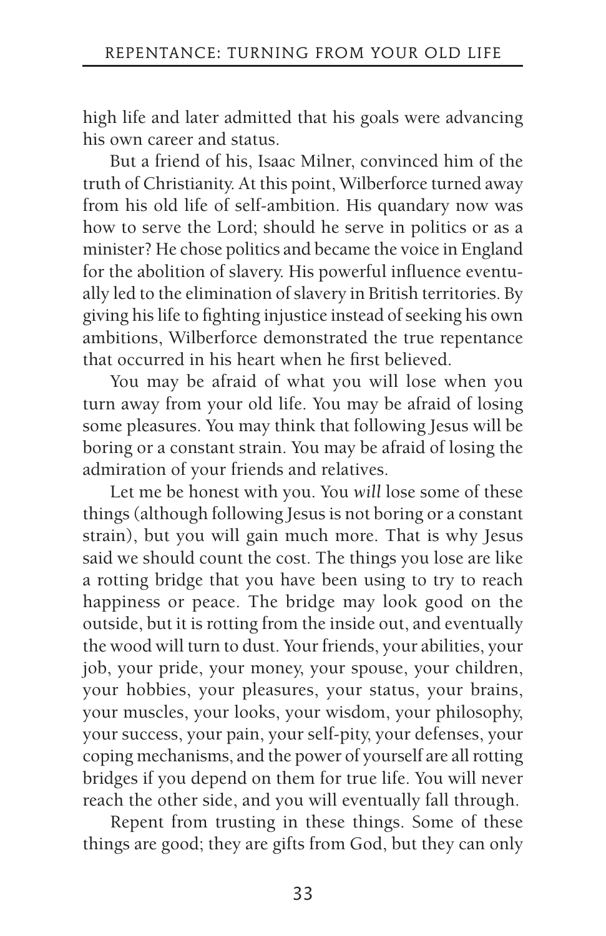high life and later admitted that his goals were advancing his own career and status.

But a friend of his, Isaac Milner, convinced him of the truth of Christianity. At this point, Wilberforce turned away from his old life of self-ambition. His quandary now was how to serve the Lord; should he serve in politics or as a minister? He chose politics and became the voice in England for the abolition of slavery. His powerful influence eventually led to the elimination of slavery in British territories. By giving his life to fighting injustice instead of seeking his own ambitions, Wilberforce demonstrated the true repentance that occurred in his heart when he first believed.

You may be afraid of what you will lose when you turn away from your old life. You may be afraid of losing some pleasures. You may think that following Jesus will be boring or a constant strain. You may be afraid of losing the admiration of your friends and relatives.

Let me be honest with you. You *will* lose some of these things (although following Jesus is not boring or a constant strain), but you will gain much more. That is why Jesus said we should count the cost. The things you lose are like a rotting bridge that you have been using to try to reach happiness or peace. The bridge may look good on the outside, but it is rotting from the inside out, and eventually the wood will turn to dust. Your friends, your abilities, your job, your pride, your money, your spouse, your children, your hobbies, your pleasures, your status, your brains, your muscles, your looks, your wisdom, your philosophy, your success, your pain, your self-pity, your defenses, your coping mechanisms, and the power of yourself are all rotting bridges if you depend on them for true life. You will never reach the other side, and you will eventually fall through.

Repent from trusting in these things. Some of these things are good; they are gifts from God, but they can only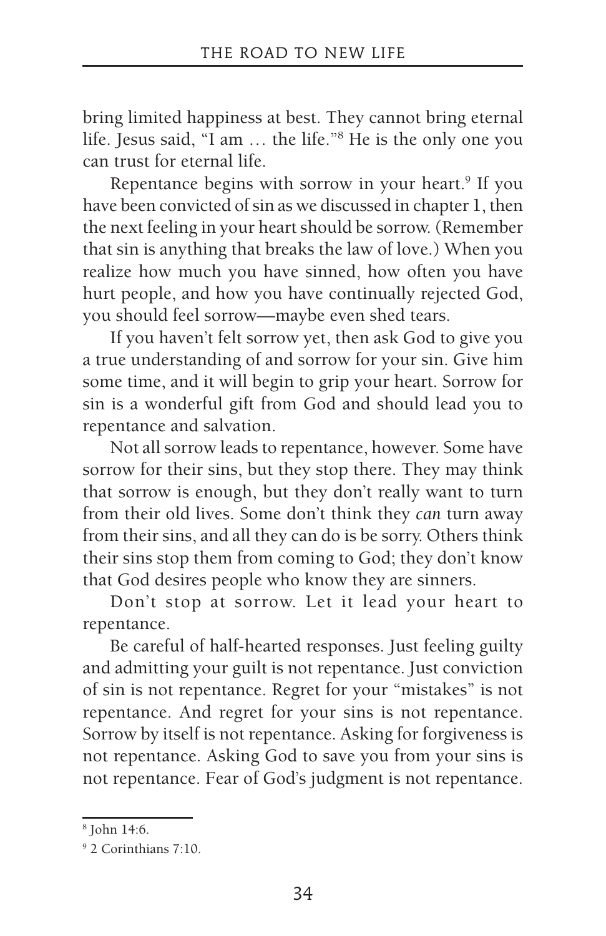bring limited happiness at best. They cannot bring eternal life. Jesus said, "I am … the life."8 He is the only one you can trust for eternal life.

Repentance begins with sorrow in your heart.<sup>9</sup> If you have been convicted of sin as we discussed in chapter 1, then the next feeling in your heart should be sorrow. (Remember that sin is anything that breaks the law of love.) When you realize how much you have sinned, how often you have hurt people, and how you have continually rejected God, you should feel sorrow—maybe even shed tears.

If you haven't felt sorrow yet, then ask God to give you a true understanding of and sorrow for your sin. Give him some time, and it will begin to grip your heart. Sorrow for sin is a wonderful gift from God and should lead you to repentance and salvation.

Not all sorrow leads to repentance, however. Some have sorrow for their sins, but they stop there. They may think that sorrow is enough, but they don't really want to turn from their old lives. Some don't think they *can* turn away from their sins, and all they can do is be sorry. Others think their sins stop them from coming to God; they don't know that God desires people who know they are sinners.

Don't stop at sorrow. Let it lead your heart to repentance.

Be careful of half-hearted responses. Just feeling guilty and admitting your guilt is not repentance. Just conviction of sin is not repentance. Regret for your "mistakes" is not repentance. And regret for your sins is not repentance. Sorrow by itself is not repentance. Asking for forgiveness is not repentance. Asking God to save you from your sins is not repentance. Fear of God's judgment is not repentance.

<sup>8</sup> John 14:6.

<sup>9</sup> 2 Corinthians 7:10.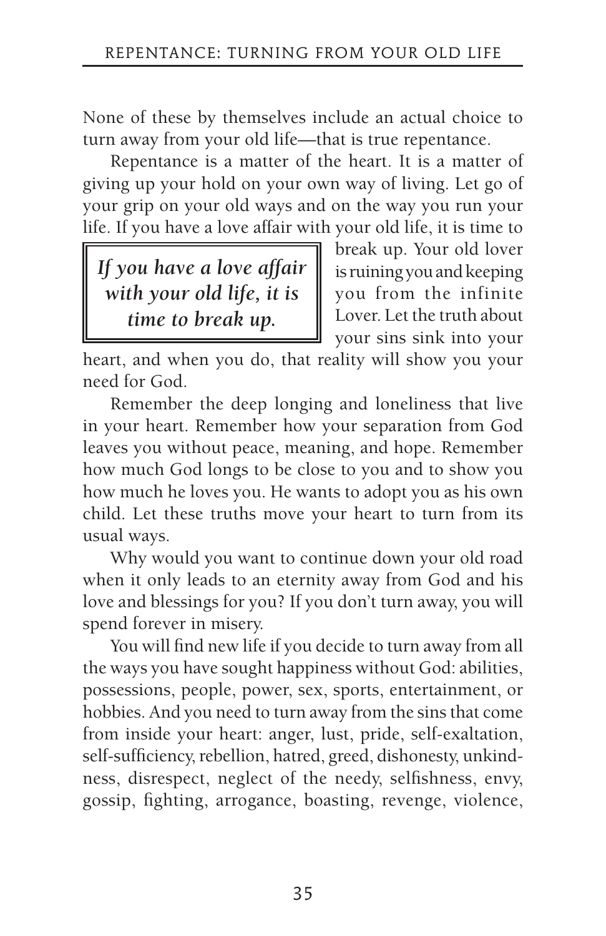None of these by themselves include an actual choice to turn away from your old life—that is true repentance.

Repentance is a matter of the heart. It is a matter of giving up your hold on your own way of living. Let go of your grip on your old ways and on the way you run your life. If you have a love affair with your old life, it is time to

*If you have a love affair with your old life, it is time to break up.*

break up. Your old lover is ruining you and keeping you from the infinite Lover. Let the truth about your sins sink into your

heart, and when you do, that reality will show you your need for God.

Remember the deep longing and loneliness that live in your heart. Remember how your separation from God leaves you without peace, meaning, and hope. Remember how much God longs to be close to you and to show you how much he loves you. He wants to adopt you as his own child. Let these truths move your heart to turn from its usual ways.

Why would you want to continue down your old road when it only leads to an eternity away from God and his love and blessings for you? If you don't turn away, you will spend forever in misery.

You will find new life if you decide to turn away from all the ways you have sought happiness without God: abilities, possessions, people, power, sex, sports, entertainment, or hobbies. And you need to turn away from the sins that come from inside your heart: anger, lust, pride, self-exaltation, self-sufficiency, rebellion, hatred, greed, dishonesty, unkindness, disrespect, neglect of the needy, selfishness, envy, gossip, fighting, arrogance, boasting, revenge, violence,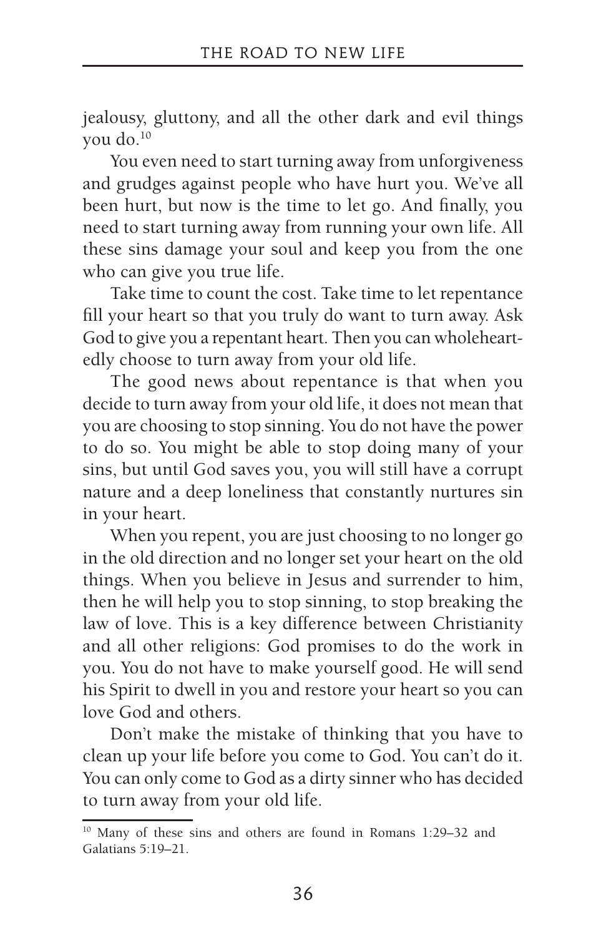jealousy, gluttony, and all the other dark and evil things you do.10

You even need to start turning away from unforgiveness and grudges against people who have hurt you. We've all been hurt, but now is the time to let go. And finally, you need to start turning away from running your own life. All these sins damage your soul and keep you from the one who can give you true life.

Take time to count the cost. Take time to let repentance fill your heart so that you truly do want to turn away. Ask God to give you a repentant heart. Then you can wholeheartedly choose to turn away from your old life.

The good news about repentance is that when you decide to turn away from your old life, it does not mean that you are choosing to stop sinning. You do not have the power to do so. You might be able to stop doing many of your sins, but until God saves you, you will still have a corrupt nature and a deep loneliness that constantly nurtures sin in your heart.

When you repent, you are just choosing to no longer go in the old direction and no longer set your heart on the old things. When you believe in Jesus and surrender to him, then he will help you to stop sinning, to stop breaking the law of love. This is a key difference between Christianity and all other religions: God promises to do the work in you. You do not have to make yourself good. He will send his Spirit to dwell in you and restore your heart so you can love God and others.

Don't make the mistake of thinking that you have to clean up your life before you come to God. You can't do it. You can only come to God as a dirty sinner who has decided to turn away from your old life.

<sup>10</sup> Many of these sins and others are found in Romans 1:29–32 and Galatians 5:19–21.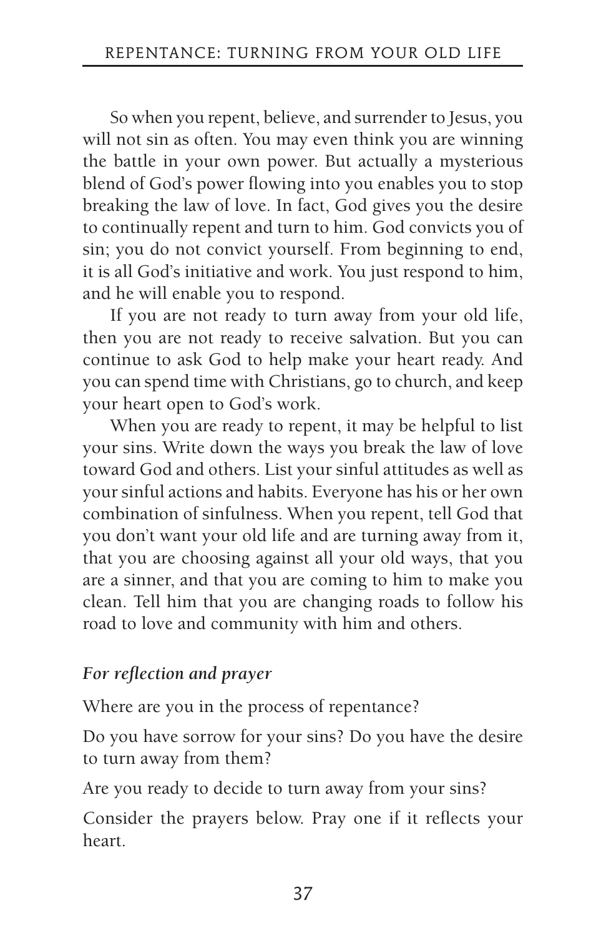So when you repent, believe, and surrender to Jesus, you will not sin as often. You may even think you are winning the battle in your own power. But actually a mysterious blend of God's power flowing into you enables you to stop breaking the law of love. In fact, God gives you the desire to continually repent and turn to him. God convicts you of sin; you do not convict yourself. From beginning to end, it is all God's initiative and work. You just respond to him, and he will enable you to respond.

If you are not ready to turn away from your old life, then you are not ready to receive salvation. But you can continue to ask God to help make your heart ready. And you can spend time with Christians, go to church, and keep your heart open to God's work.

When you are ready to repent, it may be helpful to list your sins. Write down the ways you break the law of love toward God and others. List your sinful attitudes as well as your sinful actions and habits. Everyone has his or her own combination of sinfulness. When you repent, tell God that you don't want your old life and are turning away from it, that you are choosing against all your old ways, that you are a sinner, and that you are coming to him to make you clean. Tell him that you are changing roads to follow his road to love and community with him and others.

#### *For refl ection and prayer*

Where are you in the process of repentance?

Do you have sorrow for your sins? Do you have the desire to turn away from them?

Are you ready to decide to turn away from your sins?

Consider the prayers below. Pray one if it reflects your heart.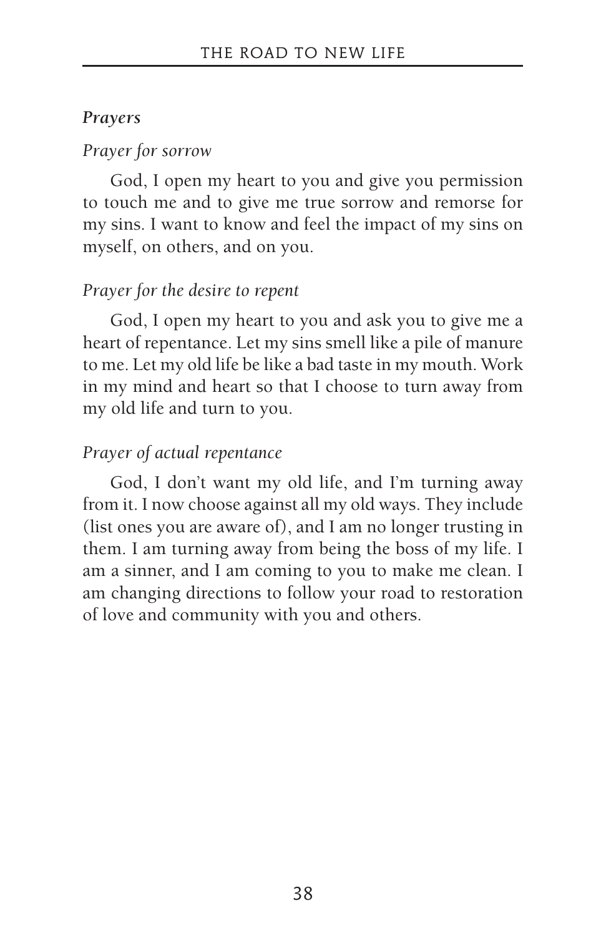#### *Prayers*

#### *Prayer for sorrow*

God, I open my heart to you and give you permission to touch me and to give me true sorrow and remorse for my sins. I want to know and feel the impact of my sins on myself, on others, and on you.

#### *Prayer for the desire to repent*

God, I open my heart to you and ask you to give me a heart of repentance. Let my sins smell like a pile of manure to me. Let my old life be like a bad taste in my mouth. Work in my mind and heart so that I choose to turn away from my old life and turn to you.

#### *Prayer of actual repentance*

God, I don't want my old life, and I'm turning away from it. I now choose against all my old ways. They include (list ones you are aware of), and I am no longer trusting in them. I am turning away from being the boss of my life. I am a sinner, and I am coming to you to make me clean. I am changing directions to follow your road to restoration of love and community with you and others.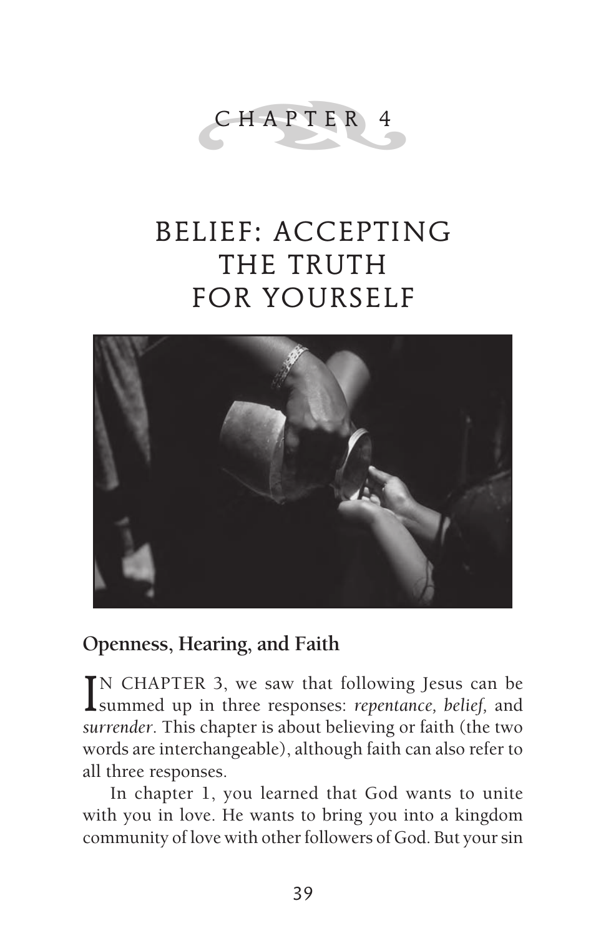

# BELIEF: ACCEPTING THE TRUTH FOR YOURSELF



#### **Openness, Hearing, and Faith**

I summed up in three responses: *repentance, belief,* and N CHAPTER 3, we saw that following Jesus can be *surrender*. This chapter is about believing or faith (the two words are interchangeable), although faith can also refer to all three responses.

In chapter 1, you learned that God wants to unite with you in love. He wants to bring you into a kingdom community of love with other followers of God. But your sin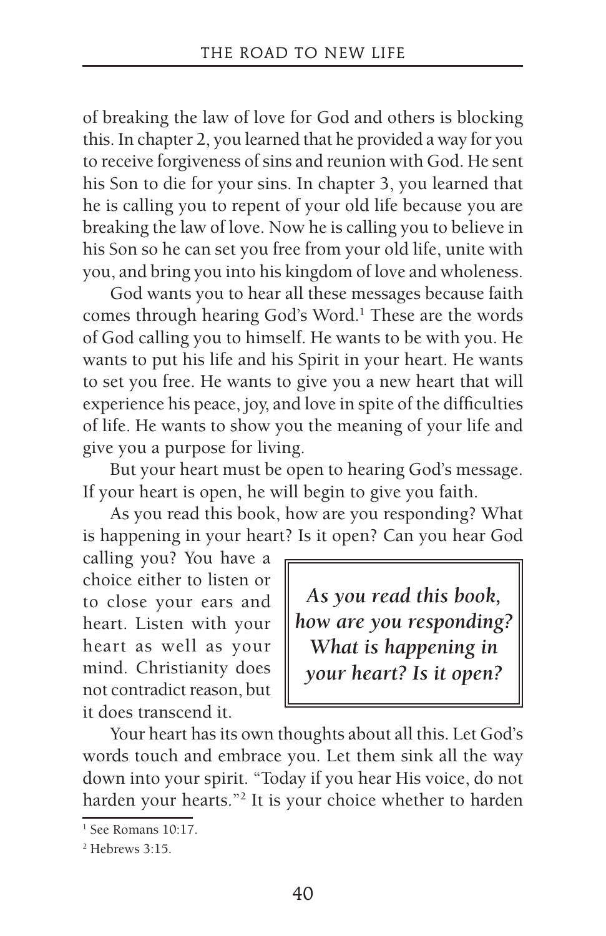of breaking the law of love for God and others is blocking this. In chapter 2, you learned that he provided a way for you to receive forgiveness of sins and reunion with God. He sent his Son to die for your sins. In chapter 3, you learned that he is calling you to repent of your old life because you are breaking the law of love. Now he is calling you to believe in his Son so he can set you free from your old life, unite with you, and bring you into his kingdom of love and wholeness.

God wants you to hear all these messages because faith comes through hearing God's Word.<sup>1</sup> These are the words of God calling you to himself. He wants to be with you. He wants to put his life and his Spirit in your heart. He wants to set you free. He wants to give you a new heart that will experience his peace, joy, and love in spite of the difficulties of life. He wants to show you the meaning of your life and give you a purpose for living.

But your heart must be open to hearing God's message. If your heart is open, he will begin to give you faith.

As you read this book, how are you responding? What is happening in your heart? Is it open? Can you hear God

calling you? You have a choice either to listen or to close your ears and heart. Listen with your heart as well as your mind. Christianity does not contradict reason, but it does transcend it.

*As you read this book, how are you responding? What is happening in your heart? Is it open?*

Your heart has its own thoughts about all this. Let God's words touch and embrace you. Let them sink all the way down into your spirit. "Today if you hear His voice, do not harden your hearts."2 It is your choice whether to harden

<sup>1</sup> See Romans 10:17.

<sup>2</sup> Hebrews 3:15.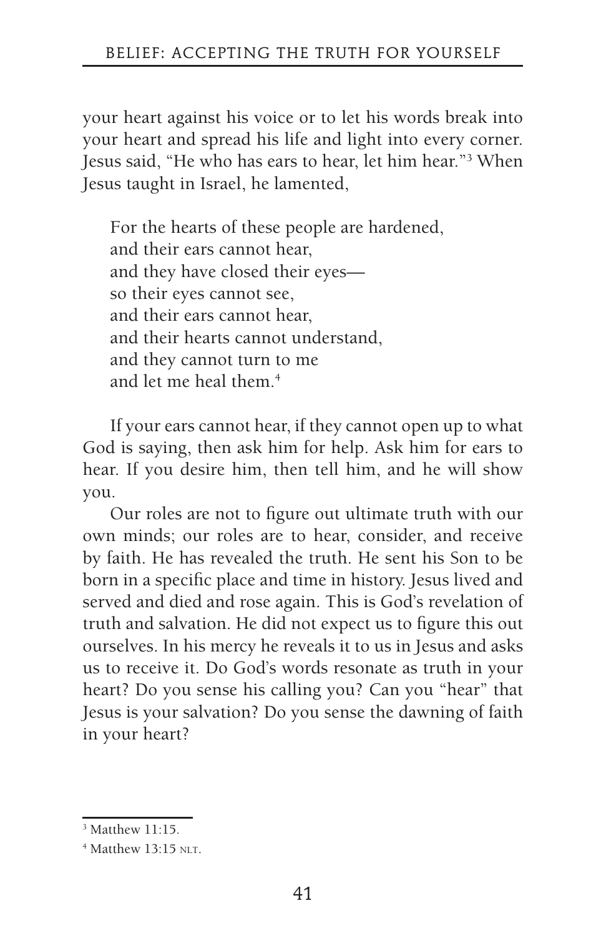your heart against his voice or to let his words break into your heart and spread his life and light into every corner. Jesus said, "He who has ears to hear, let him hear."3 When Jesus taught in Israel, he lamented,

For the hearts of these people are hardened, and their ears cannot hear, and they have closed their eyes so their eyes cannot see, and their ears cannot hear, and their hearts cannot understand, and they cannot turn to me and let me heal them.4

If your ears cannot hear, if they cannot open up to what God is saying, then ask him for help. Ask him for ears to hear. If you desire him, then tell him, and he will show you.

Our roles are not to figure out ultimate truth with our own minds; our roles are to hear, consider, and receive by faith. He has revealed the truth. He sent his Son to be born in a specific place and time in history. Jesus lived and served and died and rose again. This is God's revelation of truth and salvation. He did not expect us to figure this out ourselves. In his mercy he reveals it to us in Jesus and asks us to receive it. Do God's words resonate as truth in your heart? Do you sense his calling you? Can you "hear" that Jesus is your salvation? Do you sense the dawning of faith in your heart?

<sup>3</sup> Matthew 11:15.

<sup>4</sup> Matthew 13:15 NLT.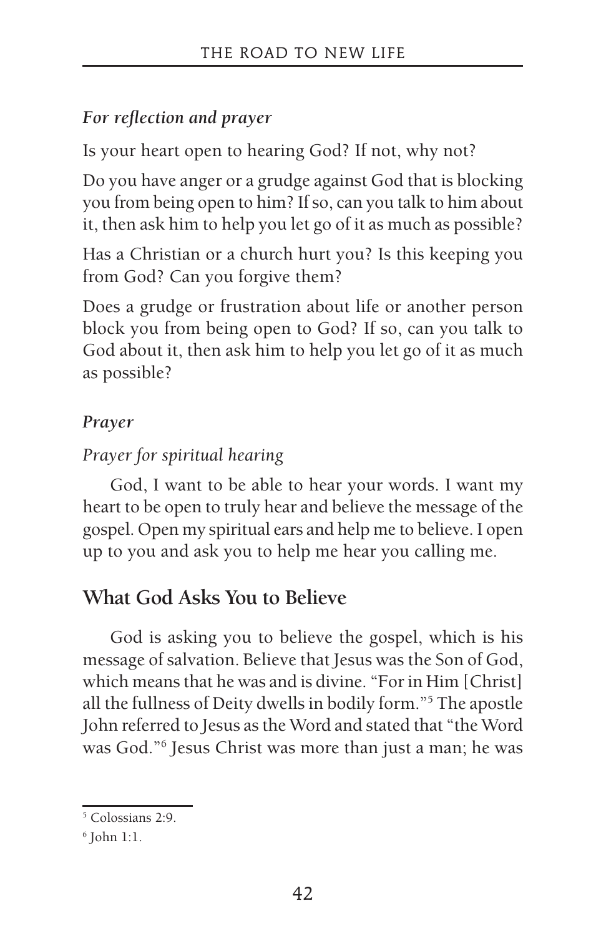#### *For refl ection and prayer*

Is your heart open to hearing God? If not, why not?

Do you have anger or a grudge against God that is blocking you from being open to him? If so, can you talk to him about it, then ask him to help you let go of it as much as possible?

Has a Christian or a church hurt you? Is this keeping you from God? Can you forgive them?

Does a grudge or frustration about life or another person block you from being open to God? If so, can you talk to God about it, then ask him to help you let go of it as much as possible?

#### *Prayer*

#### *Prayer for spiritual hearing*

God, I want to be able to hear your words. I want my heart to be open to truly hear and believe the message of the gospel. Open my spiritual ears and help me to believe. I open up to you and ask you to help me hear you calling me.

# **What God Asks You to Believe**

God is asking you to believe the gospel, which is his message of salvation. Believe that Jesus was the Son of God, which means that he was and is divine. "For in Him [Christ] all the fullness of Deity dwells in bodily form."5 The apostle John referred to Jesus as the Word and stated that "the Word was God."6 Jesus Christ was more than just a man; he was

<sup>5</sup> Colossians 2:9.

<sup>6</sup> John 1:1.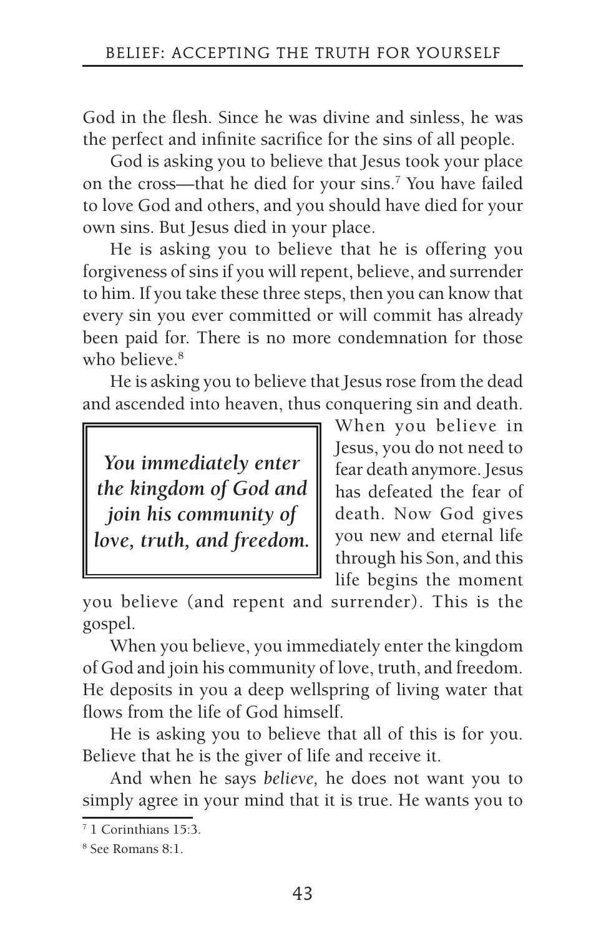God in the flesh. Since he was divine and sinless, he was the perfect and infinite sacrifice for the sins of all people.

God is asking you to believe that Jesus took your place on the cross—that he died for your sins.<sup>7</sup> You have failed to love God and others, and you should have died for your own sins. But Jesus died in your place.

He is asking you to believe that he is offering you forgiveness of sins if you will repent, believe, and surrender to him. If you take these three steps, then you can know that every sin you ever committed or will commit has already been paid for. There is no more condemnation for those who believe  $8$ 

He is asking you to believe that Jesus rose from the dead and ascended into heaven, thus conquering sin and death.



When you believe in Jesus, you do not need to fear death anymore. Jesus has defeated the fear of death. Now God gives you new and eternal life through his Son, and this life begins the moment

you believe (and repent and surrender). This is the gospel.

When you believe, you immediately enter the kingdom of God and join his community of love, truth, and freedom. He deposits in you a deep wellspring of living water that flows from the life of God himself.

He is asking you to believe that all of this is for you. Believe that he is the giver of life and receive it.

And when he says *believe,* he does not want you to simply agree in your mind that it is true. He wants you to

<sup>7</sup> 1 Corinthians 15:3.

<sup>8</sup> See Romans 8:1.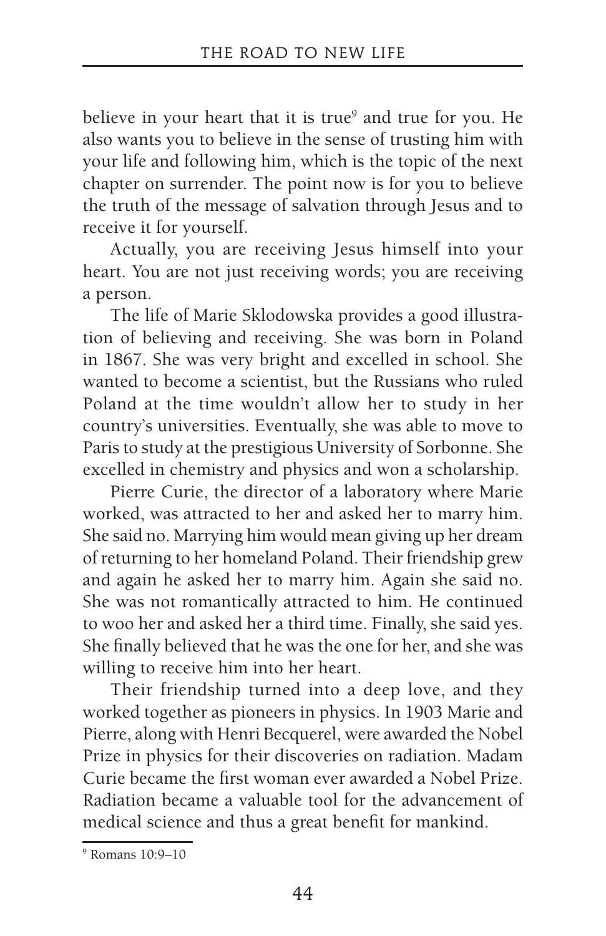believe in your heart that it is true<sup>9</sup> and true for you. He also wants you to believe in the sense of trusting him with your life and following him, which is the topic of the next chapter on surrender. The point now is for you to believe the truth of the message of salvation through Jesus and to receive it for yourself.

Actually, you are receiving Jesus himself into your heart. You are not just receiving words; you are receiving a person.

The life of Marie Sklodowska provides a good illustration of believing and receiving. She was born in Poland in 1867. She was very bright and excelled in school. She wanted to become a scientist, but the Russians who ruled Poland at the time wouldn't allow her to study in her country's universities. Eventually, she was able to move to Paris to study at the prestigious University of Sorbonne. She excelled in chemistry and physics and won a scholarship.

Pierre Curie, the director of a laboratory where Marie worked, was attracted to her and asked her to marry him. She said no. Marrying him would mean giving up her dream of returning to her homeland Poland. Their friendship grew and again he asked her to marry him. Again she said no. She was not romantically attracted to him. He continued to woo her and asked her a third time. Finally, she said yes. She finally believed that he was the one for her, and she was willing to receive him into her heart.

Their friendship turned into a deep love, and they worked together as pioneers in physics. In 1903 Marie and Pierre, along with Henri Becquerel, were awarded the Nobel Prize in physics for their discoveries on radiation. Madam Curie became the first woman ever awarded a Nobel Prize. Radiation became a valuable tool for the advancement of medical science and thus a great benefit for mankind.

<sup>9</sup> Romans 10:9–10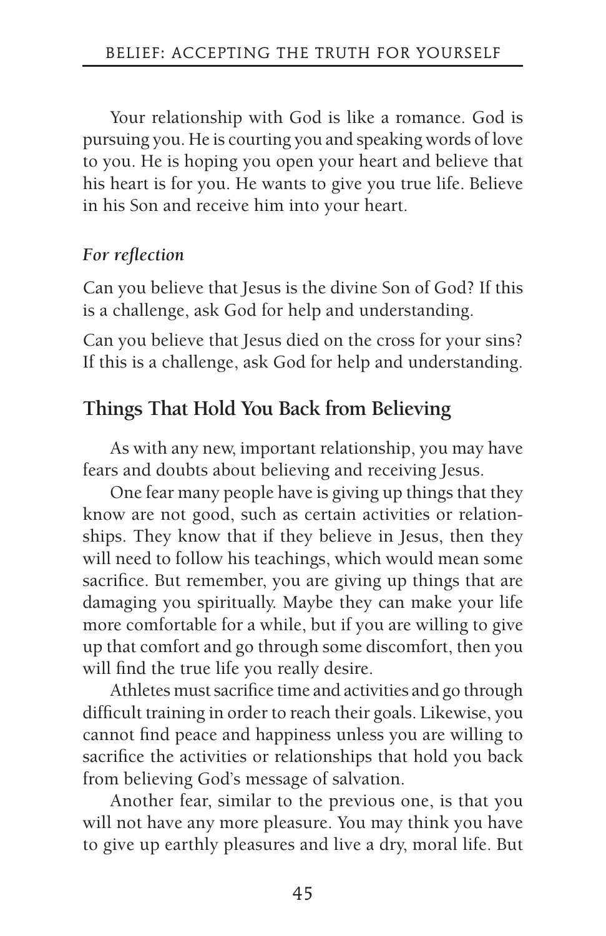Your relationship with God is like a romance. God is pursuing you. He is courting you and speaking words of love to you. He is hoping you open your heart and believe that his heart is for you. He wants to give you true life. Believe in his Son and receive him into your heart.

#### For reflection

Can you believe that Jesus is the divine Son of God? If this is a challenge, ask God for help and understanding.

Can you believe that Jesus died on the cross for your sins? If this is a challenge, ask God for help and understanding.

# **Things That Hold You Back from Believing**

As with any new, important relationship, you may have fears and doubts about believing and receiving Jesus.

One fear many people have is giving up things that they know are not good, such as certain activities or relationships. They know that if they believe in Jesus, then they will need to follow his teachings, which would mean some sacrifice. But remember, you are giving up things that are damaging you spiritually. Maybe they can make your life more comfortable for a while, but if you are willing to give up that comfort and go through some discomfort, then you will find the true life you really desire.

Athletes must sacrifice time and activities and go through difficult training in order to reach their goals. Likewise, you cannot find peace and happiness unless you are willing to sacrifice the activities or relationships that hold you back from believing God's message of salvation.

Another fear, similar to the previous one, is that you will not have any more pleasure. You may think you have to give up earthly pleasures and live a dry, moral life. But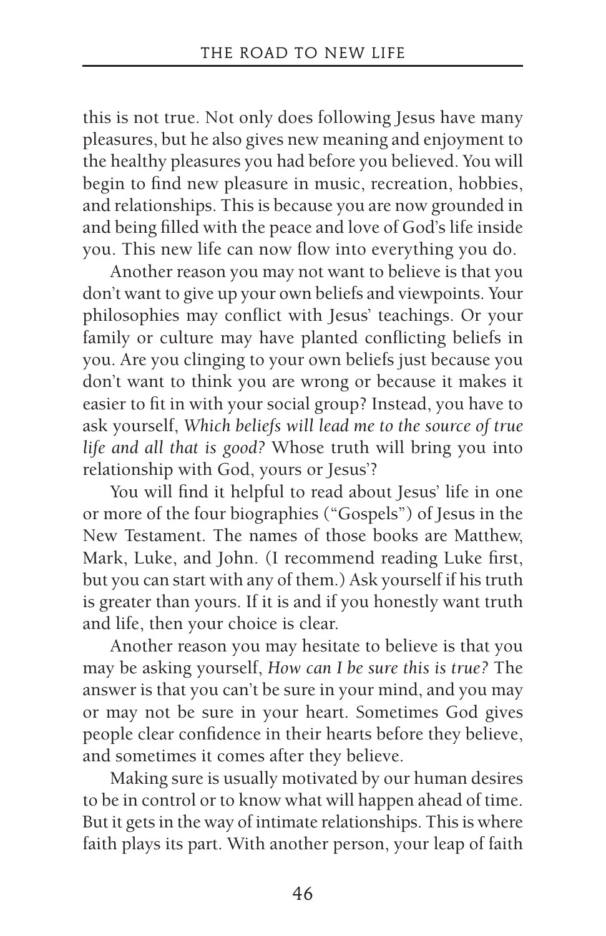this is not true. Not only does following Jesus have many pleasures, but he also gives new meaning and enjoyment to the healthy pleasures you had before you believed. You will begin to find new pleasure in music, recreation, hobbies, and relationships. This is because you are now grounded in and being filled with the peace and love of God's life inside you. This new life can now flow into everything you do.

Another reason you may not want to believe is that you don't want to give up your own beliefs and viewpoints. Your philosophies may conflict with Jesus' teachings. Or your family or culture may have planted conflicting beliefs in you. Are you clinging to your own beliefs just because you don't want to think you are wrong or because it makes it easier to fit in with your social group? Instead, you have to ask yourself, *Which beliefs will lead me to the source of true life and all that is good?* Whose truth will bring you into relationship with God, yours or Jesus'?

You will find it helpful to read about Jesus' life in one or more of the four biographies ("Gospels") of Jesus in the New Testament. The names of those books are Matthew, Mark, Luke, and John. (I recommend reading Luke first, but you can start with any of them.) Ask yourself if his truth is greater than yours. If it is and if you honestly want truth and life, then your choice is clear.

Another reason you may hesitate to believe is that you may be asking yourself, *How can I be sure this is true?* The answer is that you can't be sure in your mind, and you may or may not be sure in your heart. Sometimes God gives people clear confidence in their hearts before they believe, and sometimes it comes after they believe.

Making sure is usually motivated by our human desires to be in control or to know what will happen ahead of time. But it gets in the way of intimate relationships. This is where faith plays its part. With another person, your leap of faith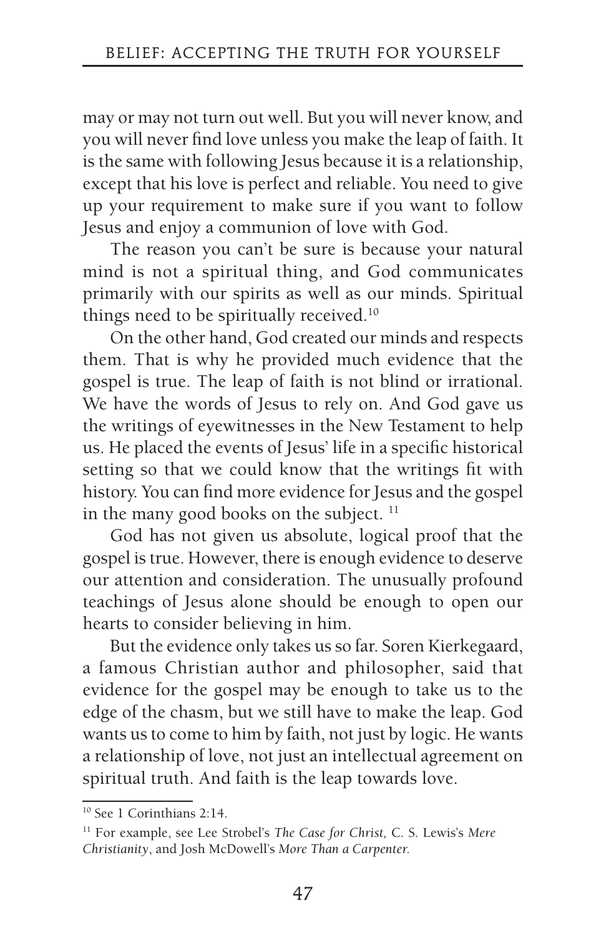may or may not turn out well. But you will never know, and you will never find love unless you make the leap of faith. It is the same with following Jesus because it is a relationship, except that his love is perfect and reliable. You need to give up your requirement to make sure if you want to follow Jesus and enjoy a communion of love with God.

The reason you can't be sure is because your natural mind is not a spiritual thing, and God communicates primarily with our spirits as well as our minds. Spiritual things need to be spiritually received.10

On the other hand, God created our minds and respects them. That is why he provided much evidence that the gospel is true. The leap of faith is not blind or irrational. We have the words of Jesus to rely on. And God gave us the writings of eyewitnesses in the New Testament to help us. He placed the events of Jesus' life in a specific historical setting so that we could know that the writings fit with history. You can find more evidence for Jesus and the gospel in the many good books on the subject.  $11$ 

God has not given us absolute, logical proof that the gospel is true. However, there is enough evidence to deserve our attention and consideration. The unusually profound teachings of Jesus alone should be enough to open our hearts to consider believing in him.

But the evidence only takes us so far. Soren Kierkegaard, a famous Christian author and philosopher, said that evidence for the gospel may be enough to take us to the edge of the chasm, but we still have to make the leap. God wants us to come to him by faith, not just by logic. He wants a relationship of love, not just an intellectual agreement on spiritual truth. And faith is the leap towards love.

<sup>10</sup> See 1 Corinthians 2:14.

<sup>11</sup> For example, see Lee Strobel's *The Case for Christ,* C. S. Lewis's *Mere Christianity*, and Josh McDowell's *More Than a Carpenter.*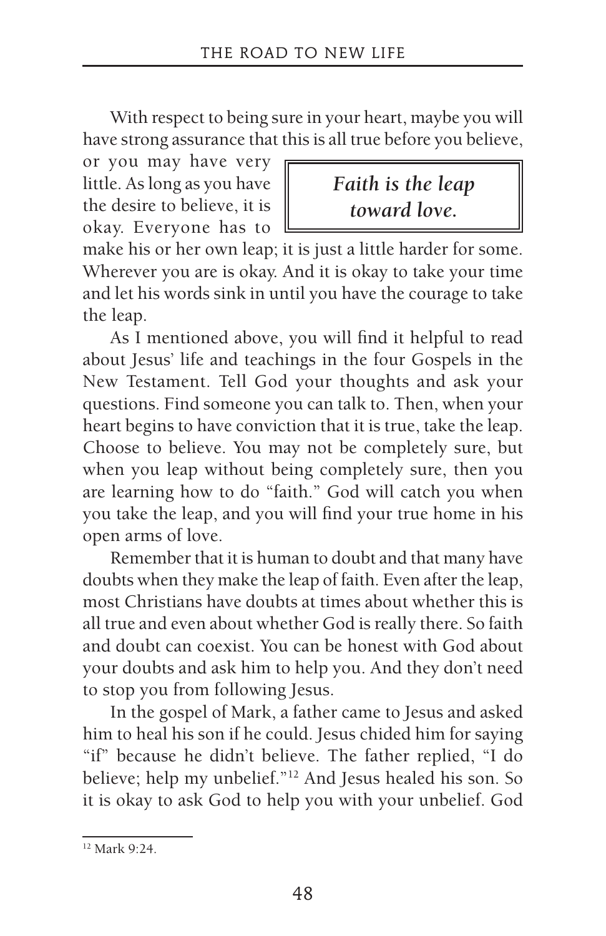With respect to being sure in your heart, maybe you will have strong assurance that this is all true before you believe,

or you may have very little. As long as you have the desire to believe, it is okay. Everyone has to

# *Faith is the leap toward love.*

make his or her own leap; it is just a little harder for some. Wherever you are is okay. And it is okay to take your time and let his words sink in until you have the courage to take the leap.

As I mentioned above, you will find it helpful to read about Jesus' life and teachings in the four Gospels in the New Testament. Tell God your thoughts and ask your questions. Find someone you can talk to. Then, when your heart begins to have conviction that it is true, take the leap. Choose to believe. You may not be completely sure, but when you leap without being completely sure, then you are learning how to do "faith." God will catch you when you take the leap, and you will find your true home in his open arms of love.

Remember that it is human to doubt and that many have doubts when they make the leap of faith. Even after the leap, most Christians have doubts at times about whether this is all true and even about whether God is really there. So faith and doubt can coexist. You can be honest with God about your doubts and ask him to help you. And they don't need to stop you from following Jesus.

In the gospel of Mark, a father came to Jesus and asked him to heal his son if he could. Jesus chided him for saying "if" because he didn't believe. The father replied, "I do believe; help my unbelief."12 And Jesus healed his son. So it is okay to ask God to help you with your unbelief. God

 $12$  Mark  $9.24$ .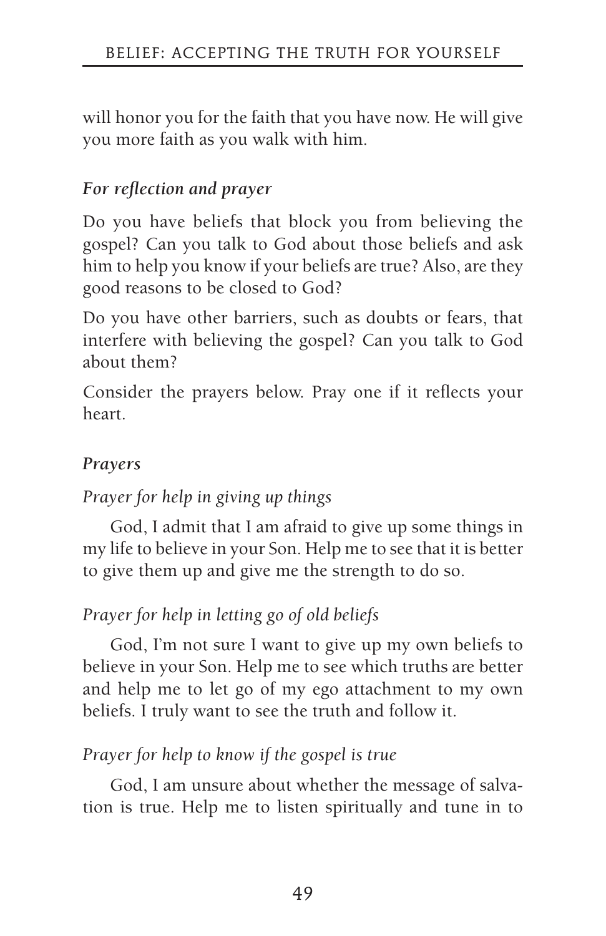will honor you for the faith that you have now. He will give you more faith as you walk with him.

#### *For refl ection and prayer*

Do you have beliefs that block you from believing the gospel? Can you talk to God about those beliefs and ask him to help you know if your beliefs are true? Also, are they good reasons to be closed to God?

Do you have other barriers, such as doubts or fears, that interfere with believing the gospel? Can you talk to God about them?

Consider the prayers below. Pray one if it reflects your heart.

#### *Prayers*

#### *Prayer for help in giving up things*

God, I admit that I am afraid to give up some things in my life to believe in your Son. Help me to see that it is better to give them up and give me the strength to do so.

#### *Prayer for help in letting go of old beliefs*

God, I'm not sure I want to give up my own beliefs to believe in your Son. Help me to see which truths are better and help me to let go of my ego attachment to my own beliefs. I truly want to see the truth and follow it.

#### *Prayer for help to know if the gospel is true*

God, I am unsure about whether the message of salvation is true. Help me to listen spiritually and tune in to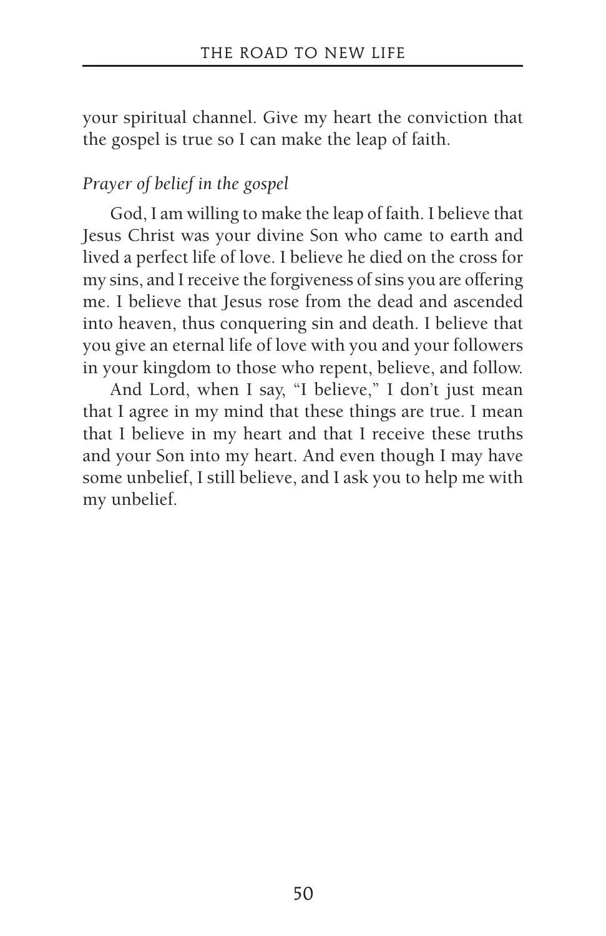your spiritual channel. Give my heart the conviction that the gospel is true so I can make the leap of faith.

#### *Prayer of belief in the gospel*

God, I am willing to make the leap of faith. I believe that Jesus Christ was your divine Son who came to earth and lived a perfect life of love. I believe he died on the cross for my sins, and I receive the forgiveness of sins you are offering me. I believe that Jesus rose from the dead and ascended into heaven, thus conquering sin and death. I believe that you give an eternal life of love with you and your followers in your kingdom to those who repent, believe, and follow.

And Lord, when I say, "I believe," I don't just mean that I agree in my mind that these things are true. I mean that I believe in my heart and that I receive these truths and your Son into my heart. And even though I may have some unbelief, I still believe, and I ask you to help me with my unbelief.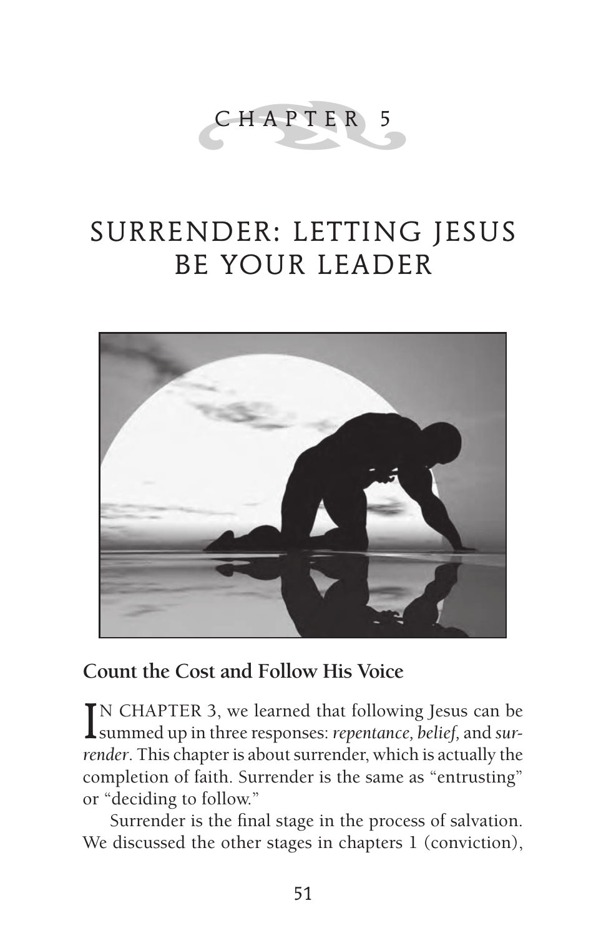# CHAPTER 5 CHAPTER 5

# SURRENDER: LETTING JESUS BE YOUR LEADER



#### **Count the Cost and Follow His Voice**

IN CHAPTER 3, we learned that following Jesus can be summed up in three responses: *repentance*, *belief*, and *sur-***T**N CHAPTER 3, we learned that following Jesus can be *render*. This chapter is about surrender, which is actually the completion of faith. Surrender is the same as "entrusting" or "deciding to follow."

Surrender is the final stage in the process of salvation. We discussed the other stages in chapters 1 (conviction),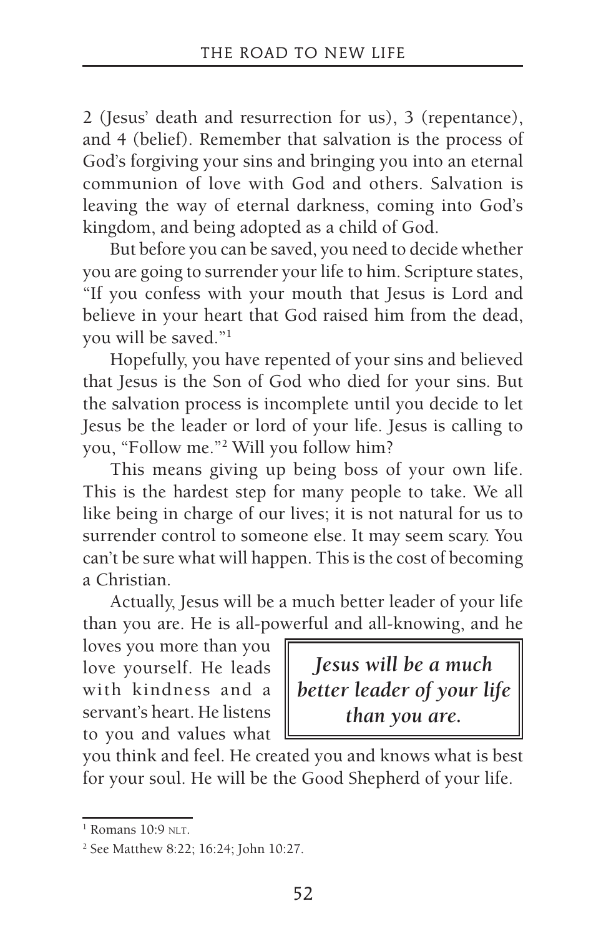2 (Jesus' death and resurrection for us), 3 (repentance), and 4 (belief). Remember that salvation is the process of God's forgiving your sins and bringing you into an eternal communion of love with God and others. Salvation is leaving the way of eternal darkness, coming into God's kingdom, and being adopted as a child of God.

But before you can be saved, you need to decide whether you are going to surrender your life to him. Scripture states, "If you confess with your mouth that Jesus is Lord and believe in your heart that God raised him from the dead, you will be saved."1

Hopefully, you have repented of your sins and believed that Jesus is the Son of God who died for your sins. But the salvation process is incomplete until you decide to let Jesus be the leader or lord of your life. Jesus is calling to you, "Follow me."2 Will you follow him?

This means giving up being boss of your own life. This is the hardest step for many people to take. We all like being in charge of our lives; it is not natural for us to surrender control to someone else. It may seem scary. You can't be sure what will happen. This is the cost of becoming a Christian.

Actually, Jesus will be a much better leader of your life than you are. He is all-powerful and all-knowing, and he

loves you more than you love yourself. He leads with kindness and a servant's heart. He listens to you and values what

*Jesus will be a much better leader of your life than you are.*

you think and feel. He created you and knows what is best for your soul. He will be the Good Shepherd of your life.

<sup>&</sup>lt;sup>1</sup> Romans 10:9 nlt.

<sup>2</sup> See Matthew 8:22; 16:24; John 10:27.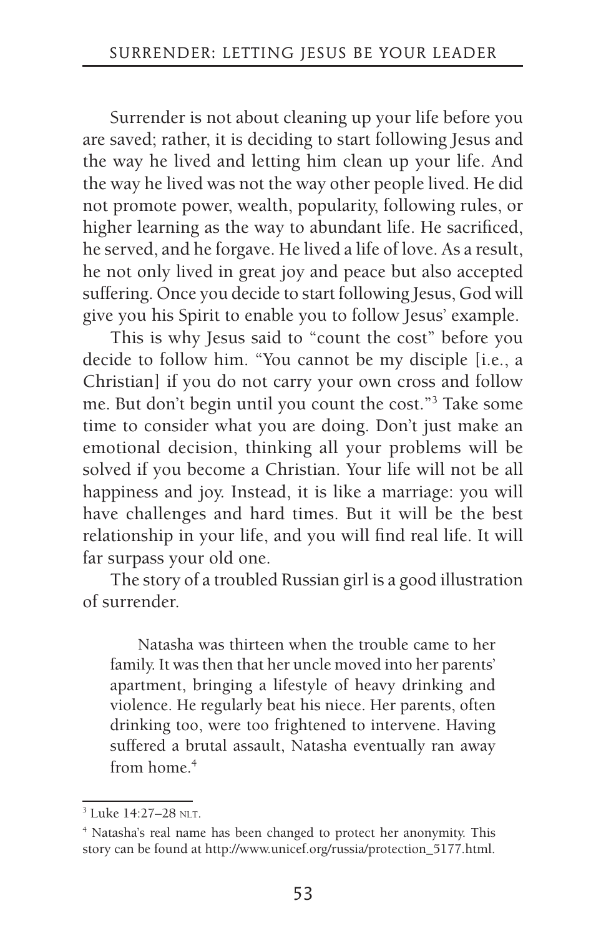Surrender is not about cleaning up your life before you are saved; rather, it is deciding to start following Jesus and the way he lived and letting him clean up your life. And the way he lived was not the way other people lived. He did not promote power, wealth, popularity, following rules, or higher learning as the way to abundant life. He sacrificed, he served, and he forgave. He lived a life of love. As a result, he not only lived in great joy and peace but also accepted suffering. Once you decide to start following Jesus, God will give you his Spirit to enable you to follow Jesus' example.

This is why Jesus said to "count the cost" before you decide to follow him. "You cannot be my disciple [i.e., a Christian] if you do not carry your own cross and follow me. But don't begin until you count the cost."3 Take some time to consider what you are doing. Don't just make an emotional decision, thinking all your problems will be solved if you become a Christian. Your life will not be all happiness and joy. Instead, it is like a marriage: you will have challenges and hard times. But it will be the best relationship in your life, and you will find real life. It will far surpass your old one.

The story of a troubled Russian girl is a good illustration of surrender.

Natasha was thirteen when the trouble came to her family. It was then that her uncle moved into her parents' apartment, bringing a lifestyle of heavy drinking and violence. He regularly beat his niece. Her parents, often drinking too, were too frightened to intervene. Having suffered a brutal assault, Natasha eventually ran away from home.<sup>4</sup>

<sup>3</sup> Luke 14:27–28 NLT.

<sup>4</sup> Natasha's real name has been changed to protect her anonymity. This story can be found at http://www.unicef.org/russia/protection\_5177.html.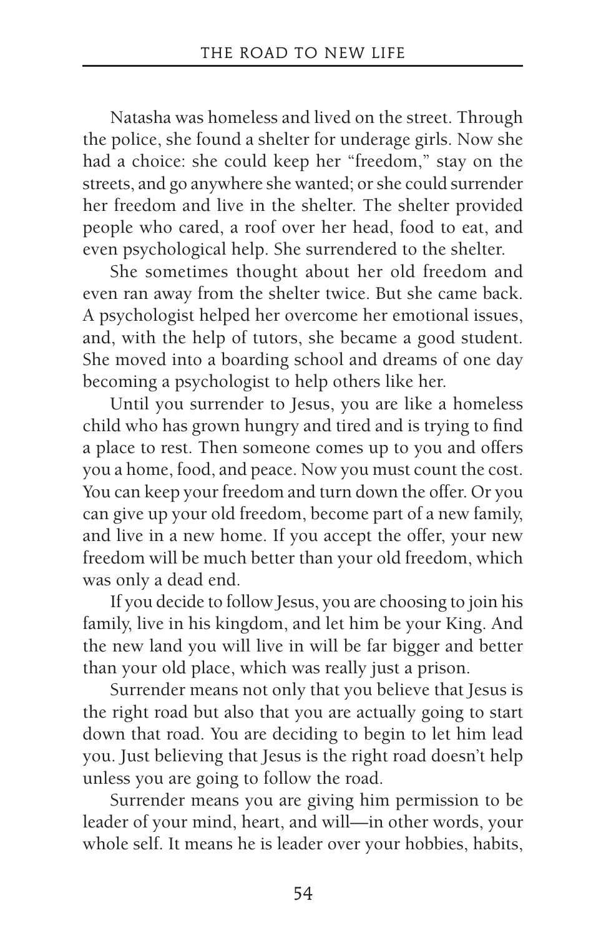Natasha was homeless and lived on the street. Through the police, she found a shelter for underage girls. Now she had a choice: she could keep her "freedom," stay on the streets, and go anywhere she wanted; or she could surrender her freedom and live in the shelter. The shelter provided people who cared, a roof over her head, food to eat, and even psychological help. She surrendered to the shelter.

She sometimes thought about her old freedom and even ran away from the shelter twice. But she came back. A psychologist helped her overcome her emotional issues, and, with the help of tutors, she became a good student. She moved into a boarding school and dreams of one day becoming a psychologist to help others like her.

Until you surrender to Jesus, you are like a homeless child who has grown hungry and tired and is trying to find a place to rest. Then someone comes up to you and offers you a home, food, and peace. Now you must count the cost. You can keep your freedom and turn down the offer. Or you can give up your old freedom, become part of a new family, and live in a new home. If you accept the offer, your new freedom will be much better than your old freedom, which was only a dead end.

If you decide to follow Jesus, you are choosing to join his family, live in his kingdom, and let him be your King. And the new land you will live in will be far bigger and better than your old place, which was really just a prison.

Surrender means not only that you believe that Jesus is the right road but also that you are actually going to start down that road. You are deciding to begin to let him lead you. Just believing that Jesus is the right road doesn't help unless you are going to follow the road.

Surrender means you are giving him permission to be leader of your mind, heart, and will—in other words, your whole self. It means he is leader over your hobbies, habits,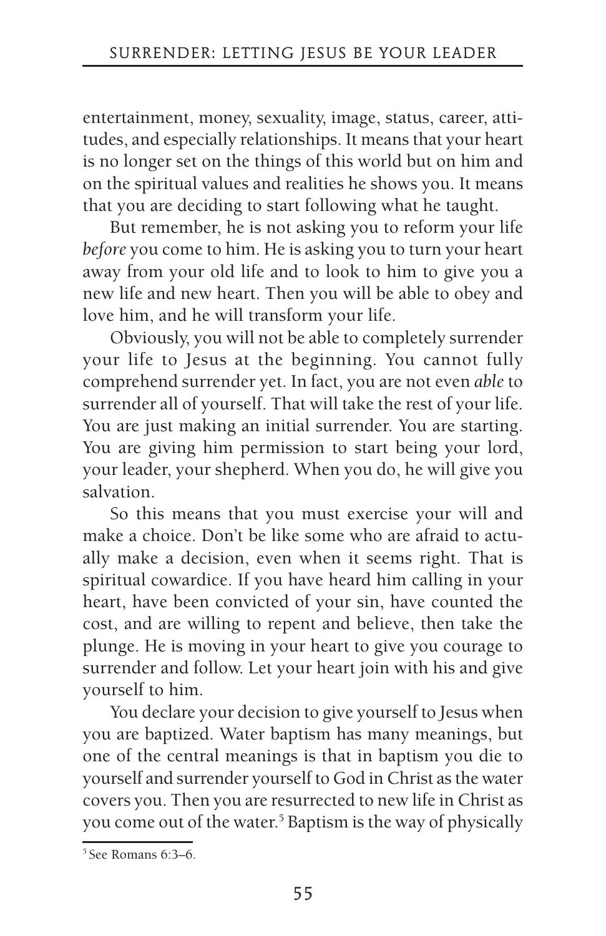entertainment, money, sexuality, image, status, career, attitudes, and especially relationships. It means that your heart is no longer set on the things of this world but on him and on the spiritual values and realities he shows you. It means that you are deciding to start following what he taught.

But remember, he is not asking you to reform your life *before* you come to him. He is asking you to turn your heart away from your old life and to look to him to give you a new life and new heart. Then you will be able to obey and love him, and he will transform your life.

Obviously, you will not be able to completely surrender your life to Jesus at the beginning. You cannot fully comprehend surrender yet. In fact, you are not even *able* to surrender all of yourself. That will take the rest of your life. You are just making an initial surrender. You are starting. You are giving him permission to start being your lord, your leader, your shepherd. When you do, he will give you salvation.

So this means that you must exercise your will and make a choice. Don't be like some who are afraid to actually make a decision, even when it seems right. That is spiritual cowardice. If you have heard him calling in your heart, have been convicted of your sin, have counted the cost, and are willing to repent and believe, then take the plunge. He is moving in your heart to give you courage to surrender and follow. Let your heart join with his and give yourself to him.

You declare your decision to give yourself to Jesus when you are baptized. Water baptism has many meanings, but one of the central meanings is that in baptism you die to yourself and surrender yourself to God in Christ as the water covers you. Then you are resurrected to new life in Christ as you come out of the water.<sup>5</sup> Baptism is the way of physically

<sup>5</sup> See Romans 6:3–6.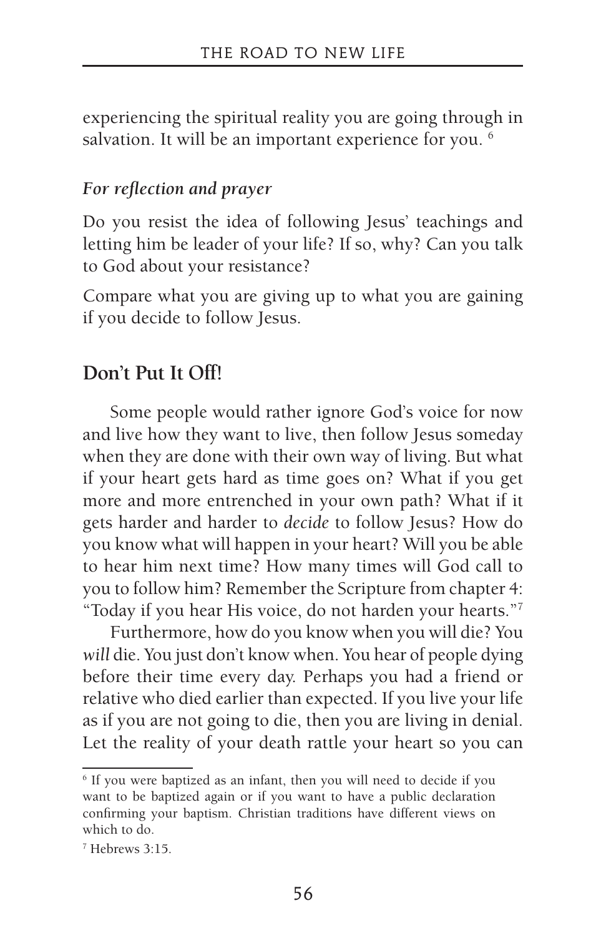experiencing the spiritual reality you are going through in salvation. It will be an important experience for you.<sup>6</sup>

#### *For refl ection and prayer*

Do you resist the idea of following Jesus' teachings and letting him be leader of your life? If so, why? Can you talk to God about your resistance?

Compare what you are giving up to what you are gaining if you decide to follow Jesus.

#### **Don't Put It Off!**

Some people would rather ignore God's voice for now and live how they want to live, then follow Jesus someday when they are done with their own way of living. But what if your heart gets hard as time goes on? What if you get more and more entrenched in your own path? What if it gets harder and harder to *decide* to follow Jesus? How do you know what will happen in your heart? Will you be able to hear him next time? How many times will God call to you to follow him? Remember the Scripture from chapter 4: "Today if you hear His voice, do not harden your hearts."7

Furthermore, how do you know when you will die? You *will* die. You just don't know when. You hear of people dying before their time every day. Perhaps you had a friend or relative who died earlier than expected. If you live your life as if you are not going to die, then you are living in denial. Let the reality of your death rattle your heart so you can

<sup>6</sup> If you were baptized as an infant, then you will need to decide if you want to be baptized again or if you want to have a public declaration confirming your baptism. Christian traditions have different views on which to do.

<sup>7</sup> Hebrews 3:15.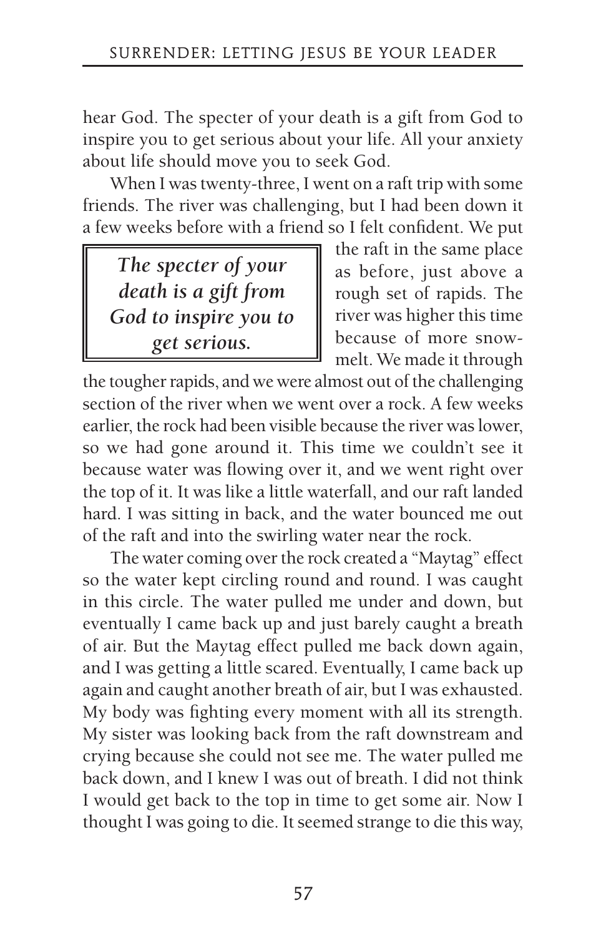hear God. The specter of your death is a gift from God to inspire you to get serious about your life. All your anxiety about life should move you to seek God.

When I was twenty-three, I went on a raft trip with some friends. The river was challenging, but I had been down it a few weeks before with a friend so I felt confident. We put

*The specter of your death is a gift from God to inspire you to get serious.*

the raft in the same place as before, just above a rough set of rapids. The river was higher this time because of more snowmelt. We made it through

the tougher rapids, and we were almost out of the challenging section of the river when we went over a rock. A few weeks earlier, the rock had been visible because the river was lower, so we had gone around it. This time we couldn't see it because water was flowing over it, and we went right over the top of it. It was like a little waterfall, and our raft landed hard. I was sitting in back, and the water bounced me out of the raft and into the swirling water near the rock.

The water coming over the rock created a "Maytag" effect so the water kept circling round and round. I was caught in this circle. The water pulled me under and down, but eventually I came back up and just barely caught a breath of air. But the Maytag effect pulled me back down again, and I was getting a little scared. Eventually, I came back up again and caught another breath of air, but I was exhausted. My body was fighting every moment with all its strength. My sister was looking back from the raft downstream and crying because she could not see me. The water pulled me back down, and I knew I was out of breath. I did not think I would get back to the top in time to get some air. Now I thought I was going to die. It seemed strange to die this way,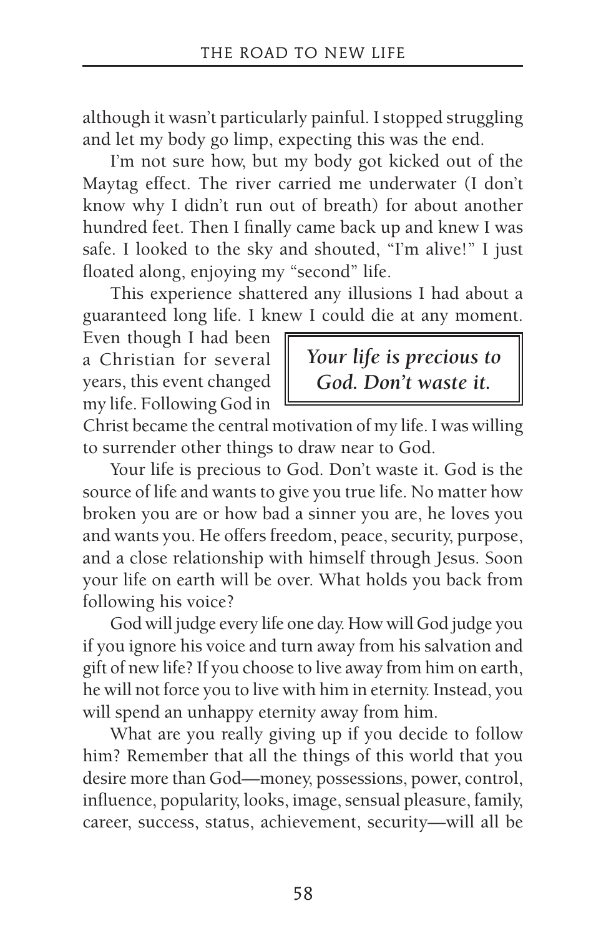although it wasn't particularly painful. I stopped struggling and let my body go limp, expecting this was the end.

I'm not sure how, but my body got kicked out of the Maytag effect. The river carried me underwater (I don't know why I didn't run out of breath) for about another hundred feet. Then I finally came back up and knew I was safe. I looked to the sky and shouted, "I'm alive!" I just floated along, enjoying my "second" life.

This experience shattered any illusions I had about a guaranteed long life. I knew I could die at any moment.

Even though I had been a Christian for several years, this event changed my life. Following God in

# *Your life is precious to God. Don't waste it.*

Christ became the central motivation of my life. I was willing to surrender other things to draw near to God.

Your life is precious to God. Don't waste it. God is the source of life and wants to give you true life. No matter how broken you are or how bad a sinner you are, he loves you and wants you. He offers freedom, peace, security, purpose, and a close relationship with himself through Jesus. Soon your life on earth will be over. What holds you back from following his voice?

God will judge every life one day. How will God judge you if you ignore his voice and turn away from his salvation and gift of new life? If you choose to live away from him on earth, he will not force you to live with him in eternity. Instead, you will spend an unhappy eternity away from him.

What are you really giving up if you decide to follow him? Remember that all the things of this world that you desire more than God—money, possessions, power, control, influence, popularity, looks, image, sensual pleasure, family, career, success, status, achievement, security—will all be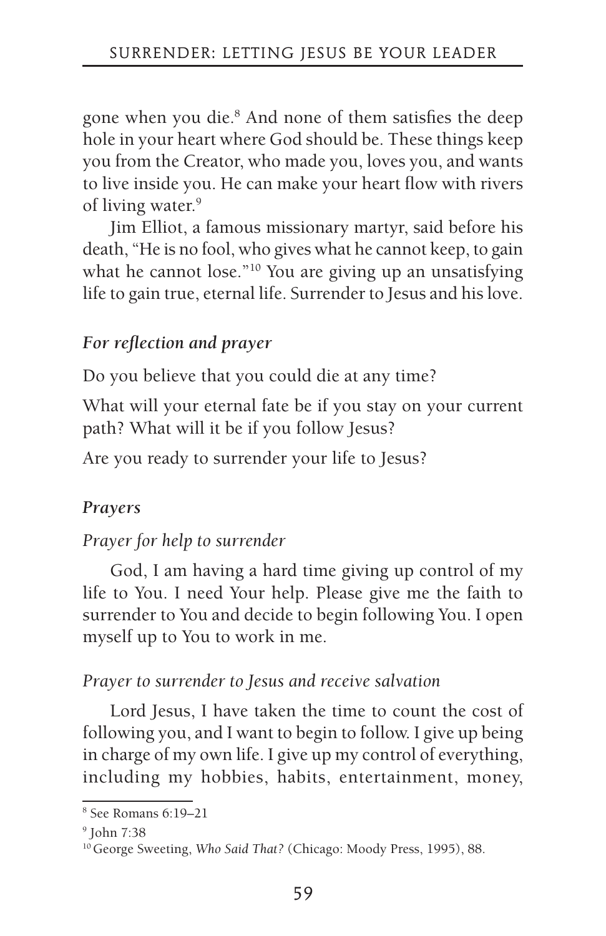gone when you die.<sup>8</sup> And none of them satisfies the deep hole in your heart where God should be. These things keep you from the Creator, who made you, loves you, and wants to live inside you. He can make your heart flow with rivers of living water.<sup>9</sup>

Jim Elliot, a famous missionary martyr, said before his death, "He is no fool, who gives what he cannot keep, to gain what he cannot lose."<sup>10</sup> You are giving up an unsatisfying life to gain true, eternal life. Surrender to Jesus and his love.

#### *For refl ection and prayer*

Do you believe that you could die at any time?

What will your eternal fate be if you stay on your current path? What will it be if you follow Jesus?

Are you ready to surrender your life to Jesus?

#### *Prayers*

#### *Prayer for help to surrender*

God, I am having a hard time giving up control of my life to You. I need Your help. Please give me the faith to surrender to You and decide to begin following You. I open myself up to You to work in me.

#### *Prayer to surrender to Jesus and receive salvation*

Lord Jesus, I have taken the time to count the cost of following you, and I want to begin to follow. I give up being in charge of my own life. I give up my control of everything, including my hobbies, habits, entertainment, money,

<sup>8</sup> See Romans 6:19–21

<sup>9</sup> John 7:38

<sup>10</sup> George Sweeting, *Who Said That?* (Chicago: Moody Press, 1995), 88.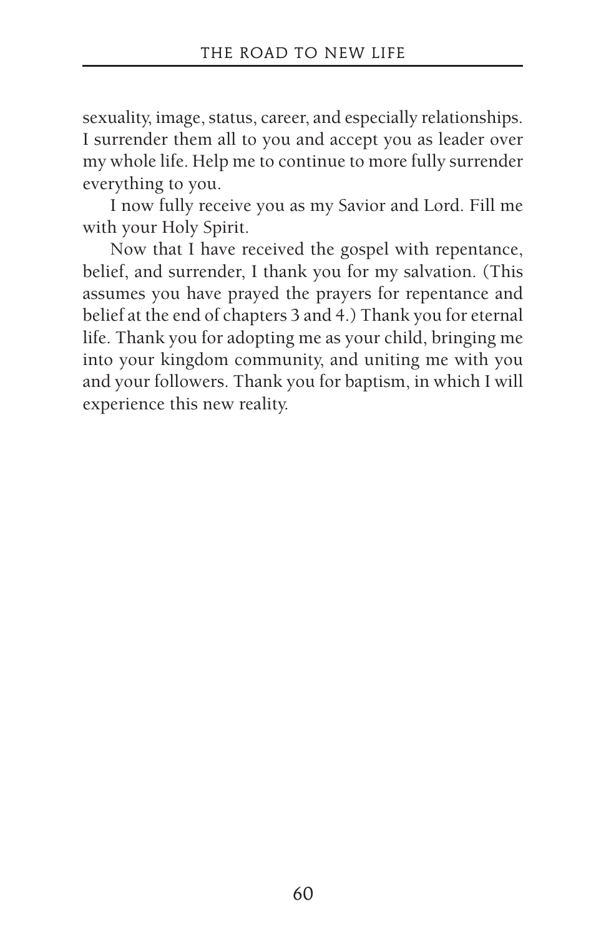sexuality, image, status, career, and especially relationships. I surrender them all to you and accept you as leader over my whole life. Help me to continue to more fully surrender everything to you.

I now fully receive you as my Savior and Lord. Fill me with your Holy Spirit.

Now that I have received the gospel with repentance, belief, and surrender, I thank you for my salvation. (This assumes you have prayed the prayers for repentance and belief at the end of chapters 3 and 4.) Thank you for eternal life. Thank you for adopting me as your child, bringing me into your kingdom community, and uniting me with you and your followers. Thank you for baptism, in which I will experience this new reality.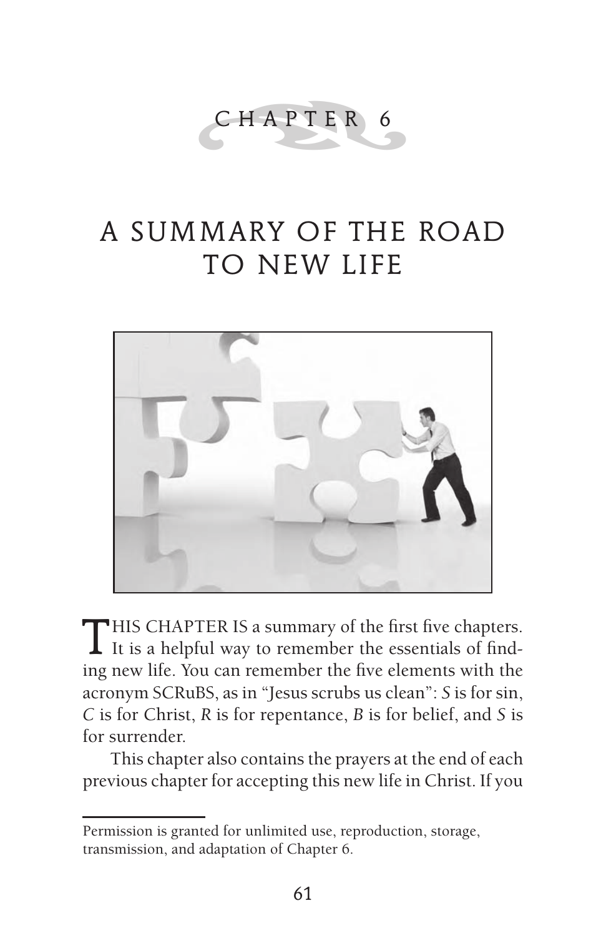# CHAPTER 6 CHAPTER

# A SUMMARY OF THE ROAD TO NEW LIFE



THIS CHAPTER IS a summary of the first five chapters.<br>It is a helpful way to remember the essentials of finding new life. You can remember the five elements with the acronym SCRuBS, as in "Jesus scrubs us clean": *S* is for sin, *C* is for Christ, *R* is for repentance, *B* is for belief, and *S* is for surrender.

This chapter also contains the prayers at the end of each previous chapter for accepting this new life in Christ. If you

Permission is granted for unlimited use, reproduction, storage, transmission, and adaptation of Chapter 6.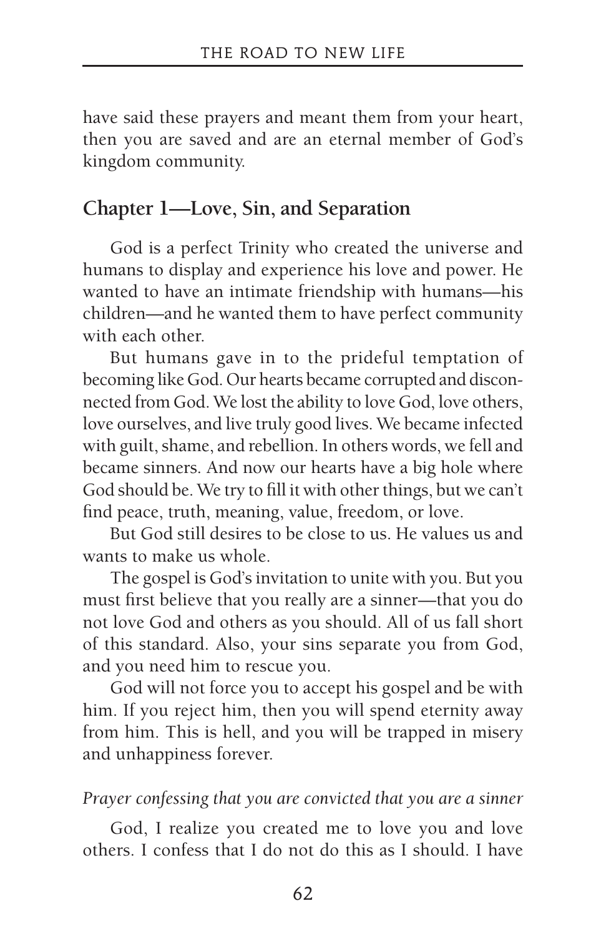have said these prayers and meant them from your heart, then you are saved and are an eternal member of God's kingdom community.

### **Chapter 1—Love, Sin, and Separation**

God is a perfect Trinity who created the universe and humans to display and experience his love and power. He wanted to have an intimate friendship with humans—his children—and he wanted them to have perfect community with each other.

But humans gave in to the prideful temptation of becoming like God. Our hearts became corrupted and disconnected from God. We lost the ability to love God, love others, love ourselves, and live truly good lives. We became infected with guilt, shame, and rebellion. In others words, we fell and became sinners. And now our hearts have a big hole where God should be. We try to fill it with other things, but we can't find peace, truth, meaning, value, freedom, or love.

But God still desires to be close to us. He values us and wants to make us whole.

The gospel is God's invitation to unite with you. But you must first believe that you really are a sinner—that you do not love God and others as you should. All of us fall short of this standard. Also, your sins separate you from God, and you need him to rescue you.

God will not force you to accept his gospel and be with him. If you reject him, then you will spend eternity away from him. This is hell, and you will be trapped in misery and unhappiness forever.

*Prayer confessing that you are convicted that you are a sinner*

God, I realize you created me to love you and love others. I confess that I do not do this as I should. I have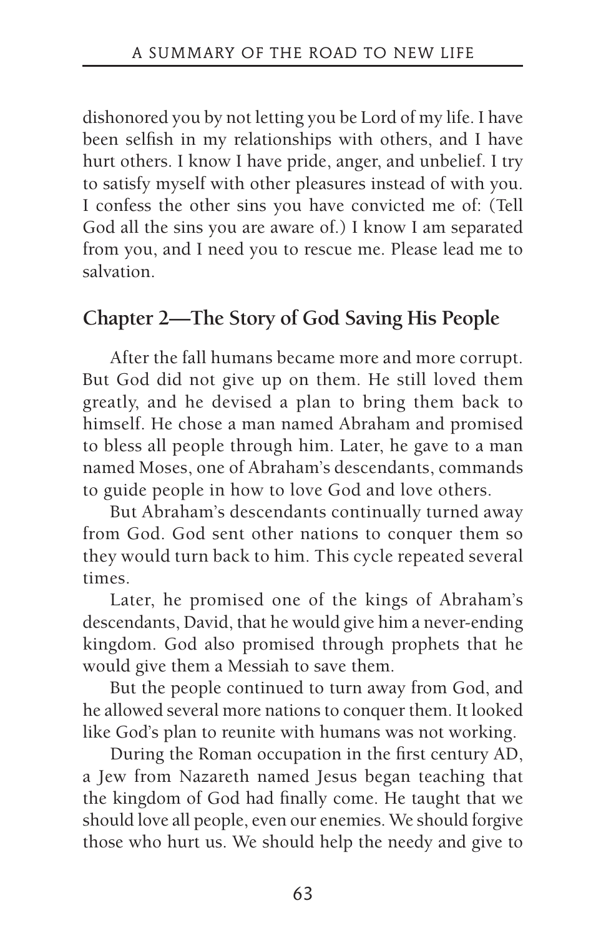dishonored you by not letting you be Lord of my life. I have been selfish in my relationships with others, and I have hurt others. I know I have pride, anger, and unbelief. I try to satisfy myself with other pleasures instead of with you. I confess the other sins you have convicted me of: (Tell God all the sins you are aware of.) I know I am separated from you, and I need you to rescue me. Please lead me to salvation.

## **Chapter 2—The Story of God Saving His People**

After the fall humans became more and more corrupt. But God did not give up on them. He still loved them greatly, and he devised a plan to bring them back to himself. He chose a man named Abraham and promised to bless all people through him. Later, he gave to a man named Moses, one of Abraham's descendants, commands to guide people in how to love God and love others.

But Abraham's descendants continually turned away from God. God sent other nations to conquer them so they would turn back to him. This cycle repeated several times.

Later, he promised one of the kings of Abraham's descendants, David, that he would give him a never-ending kingdom. God also promised through prophets that he would give them a Messiah to save them.

But the people continued to turn away from God, and he allowed several more nations to conquer them. It looked like God's plan to reunite with humans was not working.

During the Roman occupation in the first century AD, a Jew from Nazareth named Jesus began teaching that the kingdom of God had finally come. He taught that we should love all people, even our enemies. We should forgive those who hurt us. We should help the needy and give to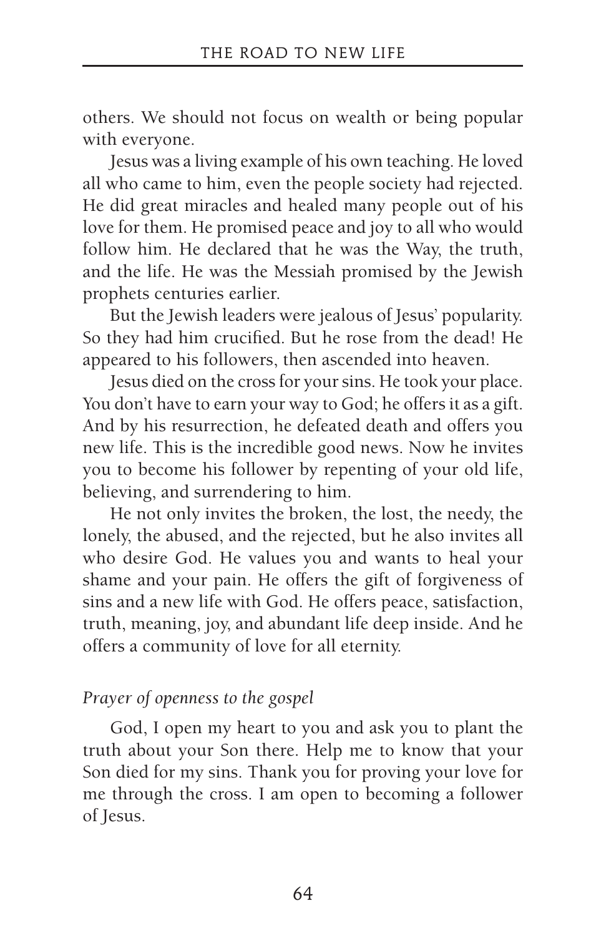others. We should not focus on wealth or being popular with everyone.

Jesus was a living example of his own teaching. He loved all who came to him, even the people society had rejected. He did great miracles and healed many people out of his love for them. He promised peace and joy to all who would follow him. He declared that he was the Way, the truth, and the life. He was the Messiah promised by the Jewish prophets centuries earlier.

But the Jewish leaders were jealous of Jesus' popularity. So they had him crucified. But he rose from the dead! He appeared to his followers, then ascended into heaven.

Jesus died on the cross for your sins. He took your place. You don't have to earn your way to God; he offers it as a gift. And by his resurrection, he defeated death and offers you new life. This is the incredible good news. Now he invites you to become his follower by repenting of your old life, believing, and surrendering to him.

He not only invites the broken, the lost, the needy, the lonely, the abused, and the rejected, but he also invites all who desire God. He values you and wants to heal your shame and your pain. He offers the gift of forgiveness of sins and a new life with God. He offers peace, satisfaction, truth, meaning, joy, and abundant life deep inside. And he offers a community of love for all eternity.

#### *Prayer of openness to the gospel*

God, I open my heart to you and ask you to plant the truth about your Son there. Help me to know that your Son died for my sins. Thank you for proving your love for me through the cross. I am open to becoming a follower of Jesus.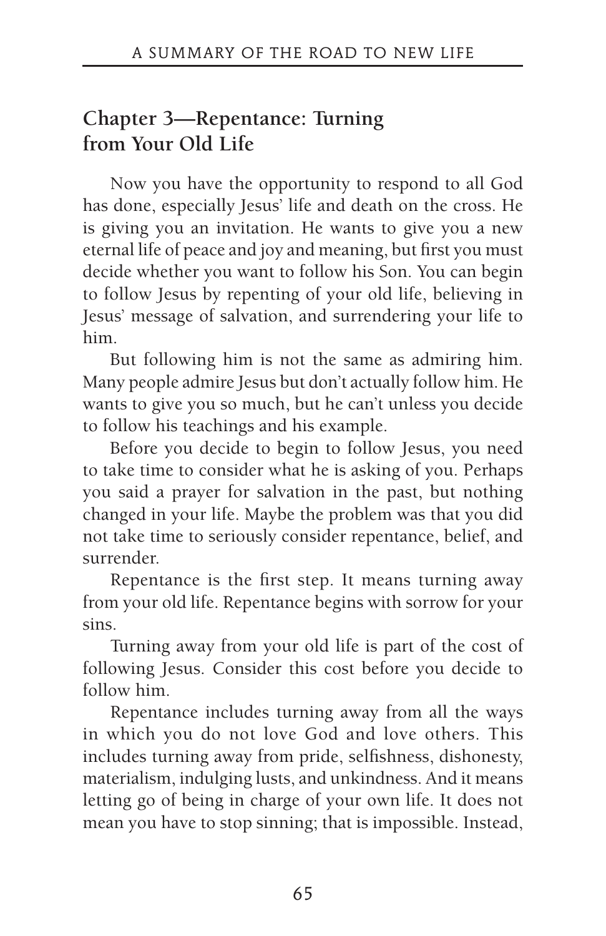# **Chapter 3—Repentance: Turning from Your Old Life**

Now you have the opportunity to respond to all God has done, especially Jesus' life and death on the cross. He is giving you an invitation. He wants to give you a new eternal life of peace and joy and meaning, but first you must decide whether you want to follow his Son. You can begin to follow Jesus by repenting of your old life, believing in Jesus' message of salvation, and surrendering your life to him.

But following him is not the same as admiring him. Many people admire Jesus but don't actually follow him. He wants to give you so much, but he can't unless you decide to follow his teachings and his example.

Before you decide to begin to follow Jesus, you need to take time to consider what he is asking of you. Perhaps you said a prayer for salvation in the past, but nothing changed in your life. Maybe the problem was that you did not take time to seriously consider repentance, belief, and surrender.

Repentance is the first step. It means turning away from your old life. Repentance begins with sorrow for your sins.

Turning away from your old life is part of the cost of following Jesus. Consider this cost before you decide to follow him.

Repentance includes turning away from all the ways in which you do not love God and love others. This includes turning away from pride, selfishness, dishonesty, materialism, indulging lusts, and unkindness. And it means letting go of being in charge of your own life. It does not mean you have to stop sinning; that is impossible. Instead,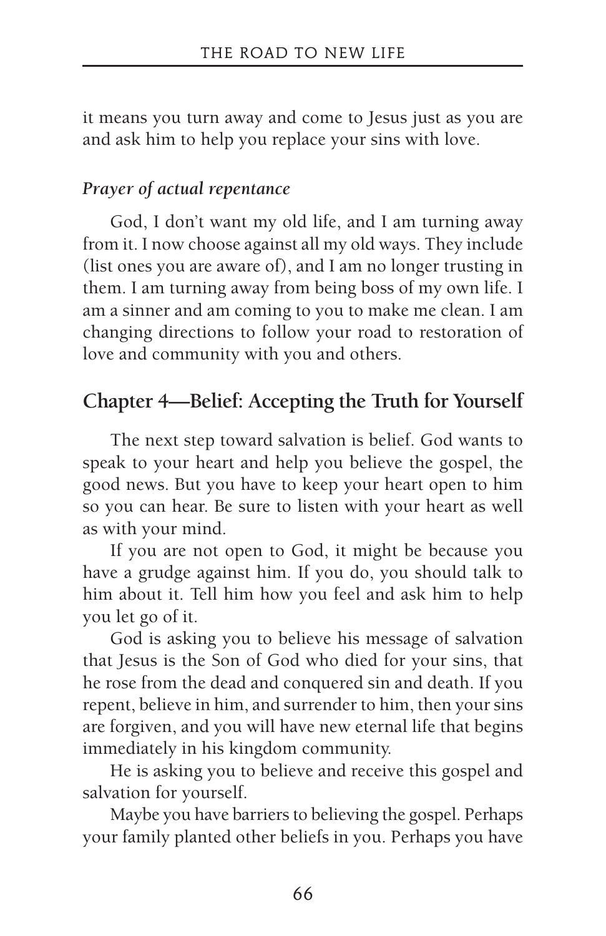it means you turn away and come to Jesus just as you are and ask him to help you replace your sins with love.

#### *Prayer of actual repentance*

God, I don't want my old life, and I am turning away from it. I now choose against all my old ways. They include (list ones you are aware of), and I am no longer trusting in them. I am turning away from being boss of my own life. I am a sinner and am coming to you to make me clean. I am changing directions to follow your road to restoration of love and community with you and others.

#### **Chapter 4—Belief: Accepting the Truth for Yourself**

The next step toward salvation is belief. God wants to speak to your heart and help you believe the gospel, the good news. But you have to keep your heart open to him so you can hear. Be sure to listen with your heart as well as with your mind.

If you are not open to God, it might be because you have a grudge against him. If you do, you should talk to him about it. Tell him how you feel and ask him to help you let go of it.

God is asking you to believe his message of salvation that Jesus is the Son of God who died for your sins, that he rose from the dead and conquered sin and death. If you repent, believe in him, and surrender to him, then your sins are forgiven, and you will have new eternal life that begins immediately in his kingdom community.

He is asking you to believe and receive this gospel and salvation for yourself.

Maybe you have barriers to believing the gospel. Perhaps your family planted other beliefs in you. Perhaps you have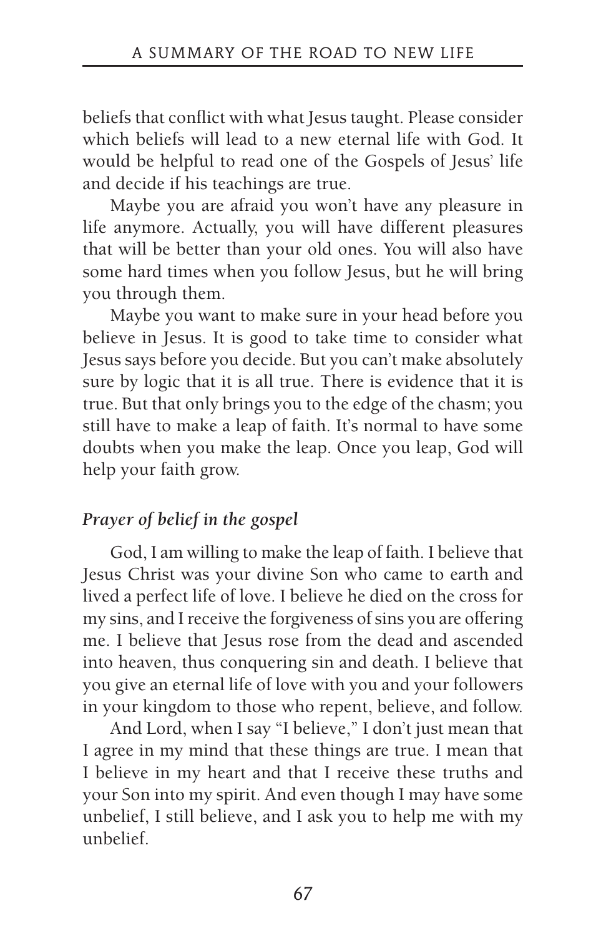beliefs that conflict with what Jesus taught. Please consider which beliefs will lead to a new eternal life with God. It would be helpful to read one of the Gospels of Jesus' life and decide if his teachings are true.

Maybe you are afraid you won't have any pleasure in life anymore. Actually, you will have different pleasures that will be better than your old ones. You will also have some hard times when you follow Jesus, but he will bring you through them.

Maybe you want to make sure in your head before you believe in Jesus. It is good to take time to consider what Jesus says before you decide. But you can't make absolutely sure by logic that it is all true. There is evidence that it is true. But that only brings you to the edge of the chasm; you still have to make a leap of faith. It's normal to have some doubts when you make the leap. Once you leap, God will help your faith grow.

#### *Prayer of belief in the gospel*

God, I am willing to make the leap of faith. I believe that Jesus Christ was your divine Son who came to earth and lived a perfect life of love. I believe he died on the cross for my sins, and I receive the forgiveness of sins you are offering me. I believe that Jesus rose from the dead and ascended into heaven, thus conquering sin and death. I believe that you give an eternal life of love with you and your followers in your kingdom to those who repent, believe, and follow.

And Lord, when I say "I believe," I don't just mean that I agree in my mind that these things are true. I mean that I believe in my heart and that I receive these truths and your Son into my spirit. And even though I may have some unbelief, I still believe, and I ask you to help me with my unbelief.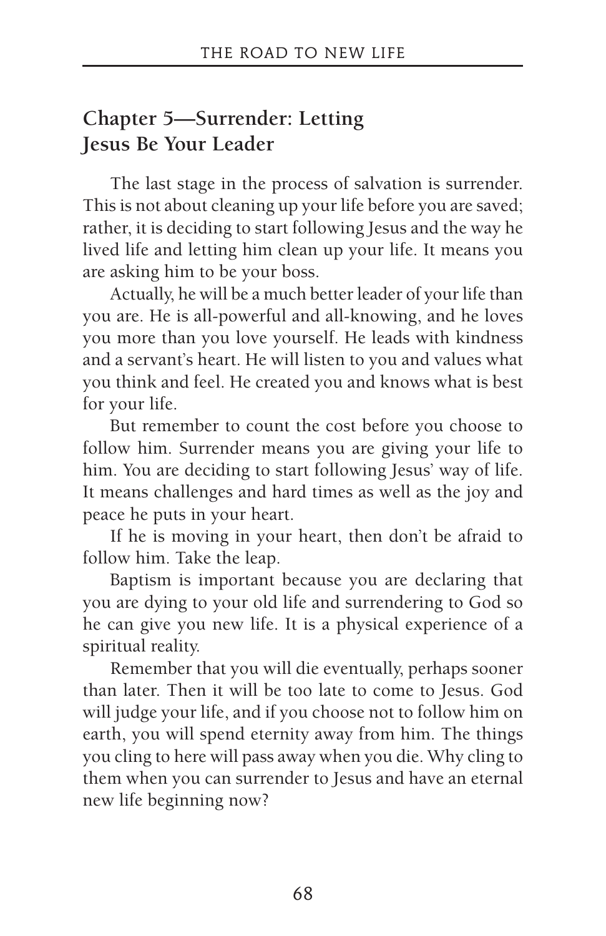#### **Chapter 5—Surrender: Letting Jesus Be Your Leader**

The last stage in the process of salvation is surrender. This is not about cleaning up your life before you are saved; rather, it is deciding to start following Jesus and the way he lived life and letting him clean up your life. It means you are asking him to be your boss.

Actually, he will be a much better leader of your life than you are. He is all-powerful and all-knowing, and he loves you more than you love yourself. He leads with kindness and a servant's heart. He will listen to you and values what you think and feel. He created you and knows what is best for your life.

But remember to count the cost before you choose to follow him. Surrender means you are giving your life to him. You are deciding to start following Jesus' way of life. It means challenges and hard times as well as the joy and peace he puts in your heart.

If he is moving in your heart, then don't be afraid to follow him. Take the leap.

Baptism is important because you are declaring that you are dying to your old life and surrendering to God so he can give you new life. It is a physical experience of a spiritual reality.

Remember that you will die eventually, perhaps sooner than later. Then it will be too late to come to Jesus. God will judge your life, and if you choose not to follow him on earth, you will spend eternity away from him. The things you cling to here will pass away when you die. Why cling to them when you can surrender to Jesus and have an eternal new life beginning now?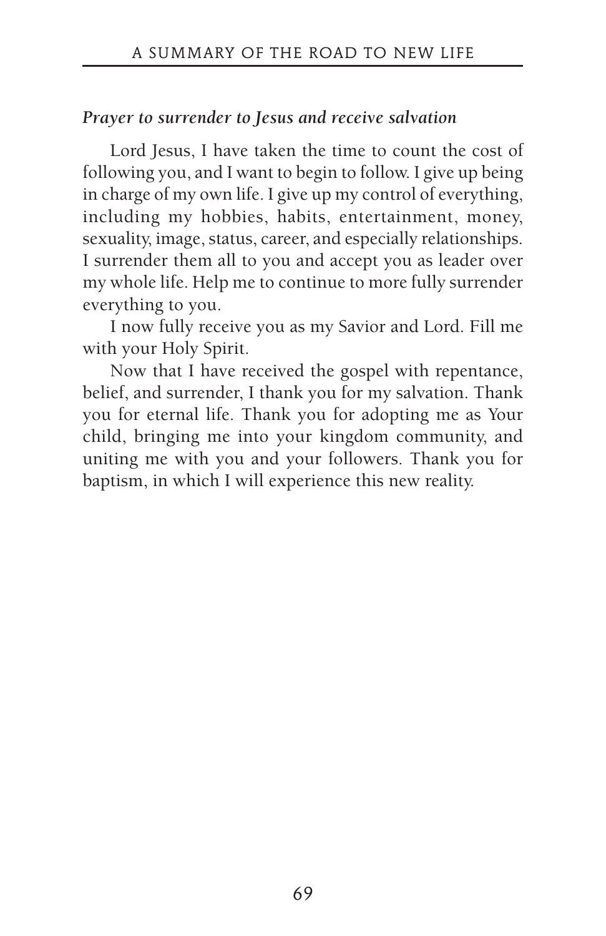#### *Prayer to surrender to Jesus and receive salvation*

Lord Jesus, I have taken the time to count the cost of following you, and I want to begin to follow. I give up being in charge of my own life. I give up my control of everything, including my hobbies, habits, entertainment, money, sexuality, image, status, career, and especially relationships. I surrender them all to you and accept you as leader over my whole life. Help me to continue to more fully surrender everything to you.

I now fully receive you as my Savior and Lord. Fill me with your Holy Spirit.

Now that I have received the gospel with repentance, belief, and surrender, I thank you for my salvation. Thank you for eternal life. Thank you for adopting me as Your child, bringing me into your kingdom community, and uniting me with you and your followers. Thank you for baptism, in which I will experience this new reality.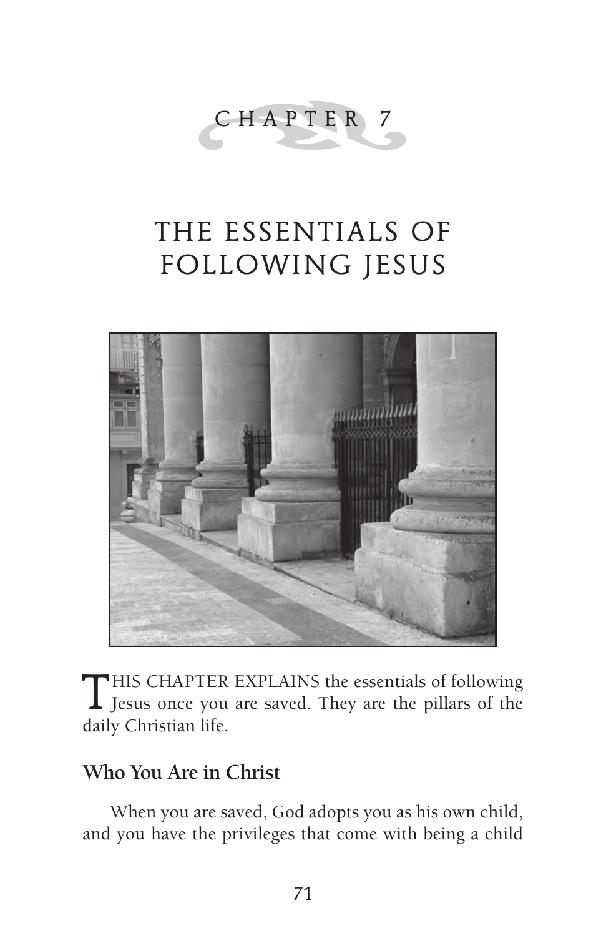

# THE ESSENTIALS OF FOLLOWING JESUS



THIS CHAPTER EXPLAINS the essentials of following Jesus once you are saved. They are the pillars of the daily Christian life.

#### **Who You Are in Christ**

When you are saved, God adopts you as his own child, and you have the privileges that come with being a child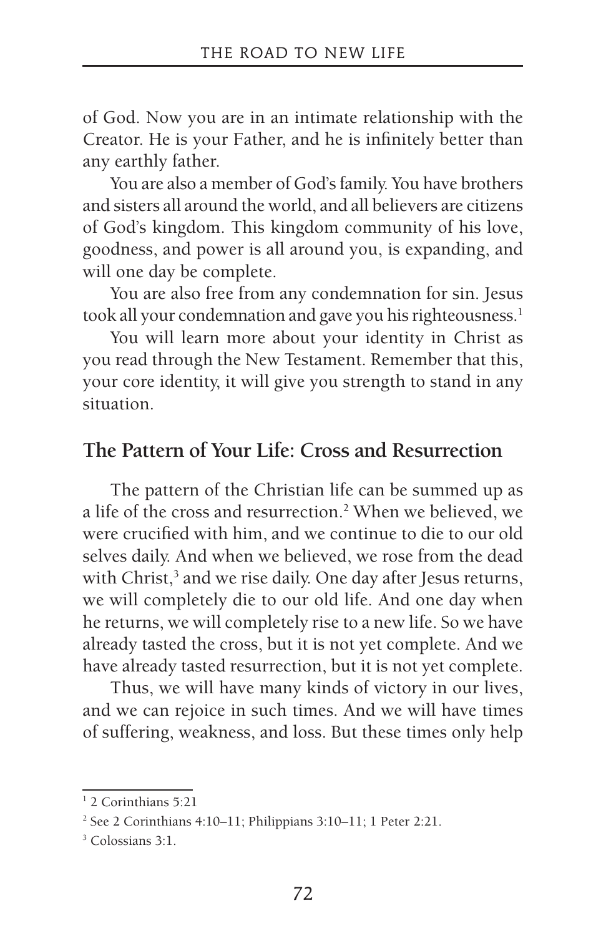of God. Now you are in an intimate relationship with the Creator. He is your Father, and he is infinitely better than any earthly father.

You are also a member of God's family. You have brothers and sisters all around the world, and all believers are citizens of God's kingdom. This kingdom community of his love, goodness, and power is all around you, is expanding, and will one day be complete.

You are also free from any condemnation for sin. Jesus took all your condemnation and gave you his righteousness.<sup>1</sup>

You will learn more about your identity in Christ as you read through the New Testament. Remember that this, your core identity, it will give you strength to stand in any situation.

#### **The Pattern of Your Life: Cross and Resurrection**

The pattern of the Christian life can be summed up as a life of the cross and resurrection.<sup>2</sup> When we believed, we were crucified with him, and we continue to die to our old selves daily. And when we believed, we rose from the dead with Christ,<sup>3</sup> and we rise daily. One day after Jesus returns, we will completely die to our old life. And one day when he returns, we will completely rise to a new life. So we have already tasted the cross, but it is not yet complete. And we have already tasted resurrection, but it is not yet complete.

Thus, we will have many kinds of victory in our lives, and we can rejoice in such times. And we will have times of suffering, weakness, and loss. But these times only help

<sup>1</sup> 2 Corinthians 5:21

<sup>2</sup> See 2 Corinthians 4:10–11; Philippians 3:10–11; 1 Peter 2:21.

<sup>3</sup> Colossians 3:1.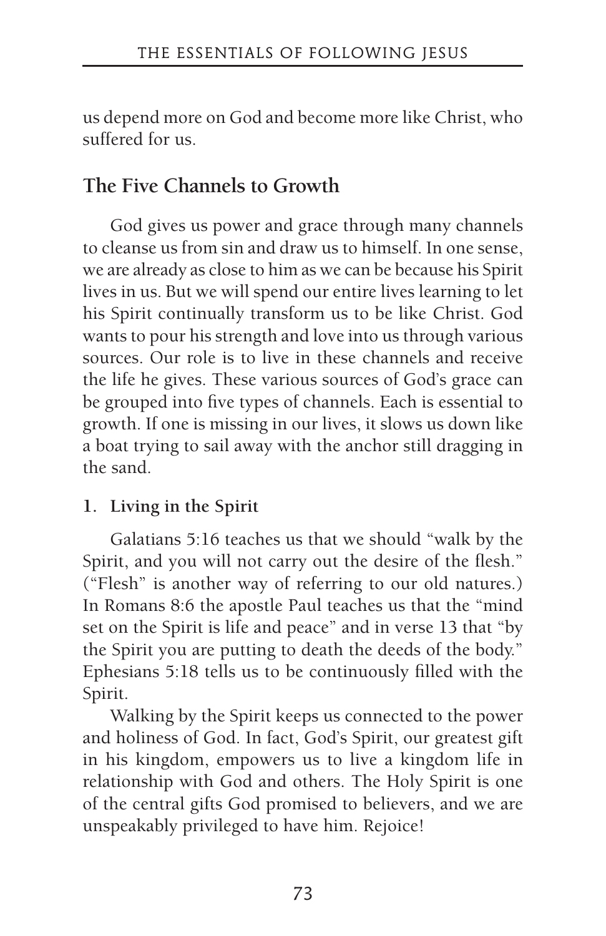us depend more on God and become more like Christ, who suffered for us.

#### **The Five Channels to Growth**

God gives us power and grace through many channels to cleanse us from sin and draw us to himself. In one sense, we are already as close to him as we can be because his Spirit lives in us. But we will spend our entire lives learning to let his Spirit continually transform us to be like Christ. God wants to pour his strength and love into us through various sources. Our role is to live in these channels and receive the life he gives. These various sources of God's grace can be grouped into five types of channels. Each is essential to growth. If one is missing in our lives, it slows us down like a boat trying to sail away with the anchor still dragging in the sand.

#### **1. Living in the Spirit**

Galatians 5:16 teaches us that we should "walk by the Spirit, and you will not carry out the desire of the flesh." ("Flesh" is another way of referring to our old natures.) In Romans 8:6 the apostle Paul teaches us that the "mind set on the Spirit is life and peace" and in verse 13 that "by the Spirit you are putting to death the deeds of the body." Ephesians 5:18 tells us to be continuously filled with the Spirit.

Walking by the Spirit keeps us connected to the power and holiness of God. In fact, God's Spirit, our greatest gift in his kingdom, empowers us to live a kingdom life in relationship with God and others. The Holy Spirit is one of the central gifts God promised to believers, and we are unspeakably privileged to have him. Rejoice!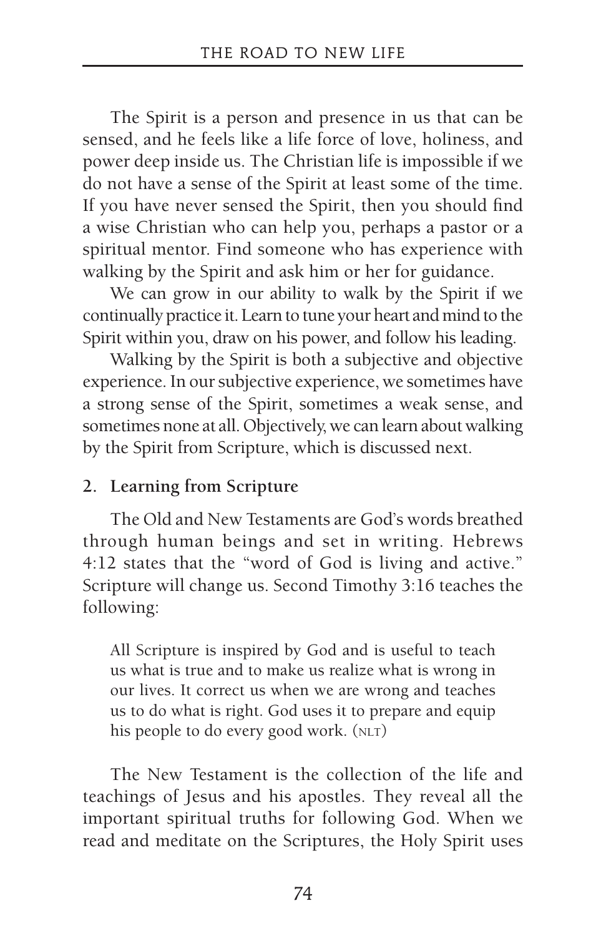The Spirit is a person and presence in us that can be sensed, and he feels like a life force of love, holiness, and power deep inside us. The Christian life is impossible if we do not have a sense of the Spirit at least some of the time. If you have never sensed the Spirit, then you should find a wise Christian who can help you, perhaps a pastor or a spiritual mentor. Find someone who has experience with walking by the Spirit and ask him or her for guidance.

We can grow in our ability to walk by the Spirit if we continually practice it. Learn to tune your heart and mind to the Spirit within you, draw on his power, and follow his leading.

Walking by the Spirit is both a subjective and objective experience. In our subjective experience, we sometimes have a strong sense of the Spirit, sometimes a weak sense, and sometimes none at all. Objectively, we can learn about walking by the Spirit from Scripture, which is discussed next.

#### **2. Learning from Scripture**

The Old and New Testaments are God's words breathed through human beings and set in writing. Hebrews 4:12 states that the "word of God is living and active." Scripture will change us. Second Timothy 3:16 teaches the following:

All Scripture is inspired by God and is useful to teach us what is true and to make us realize what is wrong in our lives. It correct us when we are wrong and teaches us to do what is right. God uses it to prepare and equip his people to do every good work. (NLT)

The New Testament is the collection of the life and teachings of Jesus and his apostles. They reveal all the important spiritual truths for following God. When we read and meditate on the Scriptures, the Holy Spirit uses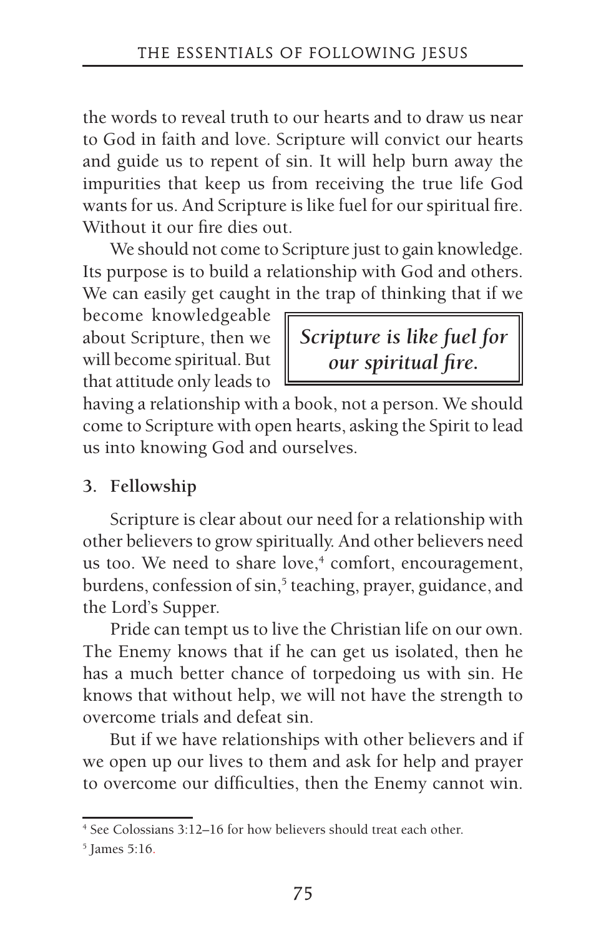the words to reveal truth to our hearts and to draw us near to God in faith and love. Scripture will convict our hearts and guide us to repent of sin. It will help burn away the impurities that keep us from receiving the true life God wants for us. And Scripture is like fuel for our spiritual fire. Without it our fire dies out.

We should not come to Scripture just to gain knowledge. Its purpose is to build a relationship with God and others. We can easily get caught in the trap of thinking that if we

become knowledgeable about Scripture, then we will become spiritual. But that attitude only leads to

*Scripture is like fuel for our spiritual fire.* 

having a relationship with a book, not a person. We should come to Scripture with open hearts, asking the Spirit to lead us into knowing God and ourselves.

#### **3. Fellowship**

Scripture is clear about our need for a relationship with other believers to grow spiritually. And other believers need us too. We need to share love,<sup>4</sup> comfort, encouragement, burdens, confession of sin,<sup>5</sup> teaching, prayer, guidance, and the Lord's Supper.

Pride can tempt us to live the Christian life on our own. The Enemy knows that if he can get us isolated, then he has a much better chance of torpedoing us with sin. He knows that without help, we will not have the strength to overcome trials and defeat sin.

But if we have relationships with other believers and if we open up our lives to them and ask for help and prayer to overcome our difficulties, then the Enemy cannot win.

<sup>4</sup> See Colossians 3:12–16 for how believers should treat each other.

<sup>5</sup> James 5:16.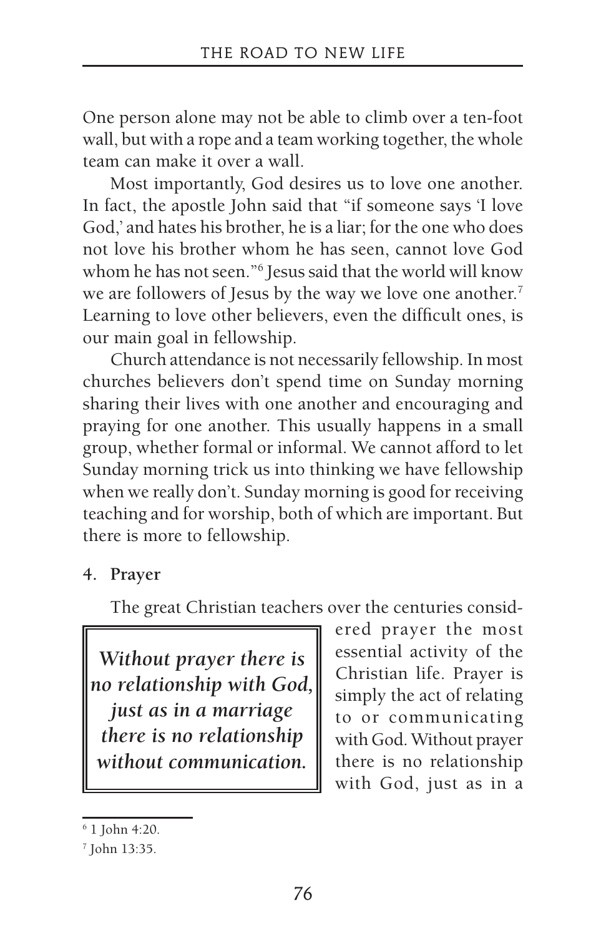One person alone may not be able to climb over a ten-foot wall, but with a rope and a team working together, the whole team can make it over a wall.

Most importantly, God desires us to love one another. In fact, the apostle John said that "if someone says 'I love God,' and hates his brother, he is a liar; for the one who does not love his brother whom he has seen, cannot love God whom he has not seen."6 Jesus said that the world will know we are followers of Jesus by the way we love one another.<sup>7</sup> Learning to love other believers, even the difficult ones, is our main goal in fellowship.

Church attendance is not necessarily fellowship. In most churches believers don't spend time on Sunday morning sharing their lives with one another and encouraging and praying for one another. This usually happens in a small group, whether formal or informal. We cannot afford to let Sunday morning trick us into thinking we have fellowship when we really don't. Sunday morning is good for receiving teaching and for worship, both of which are important. But there is more to fellowship.

#### **4. Prayer**

The great Christian teachers over the centuries consid-

*Without prayer there is no relationship with God, just as in a marriage there is no relationship without communication.*

ered prayer the most essential activity of the Christian life. Prayer is simply the act of relating to or communicating with God. Without prayer there is no relationship with God, just as in a

<sup>6</sup> 1 John 4:20.

<sup>7</sup> John 13:35.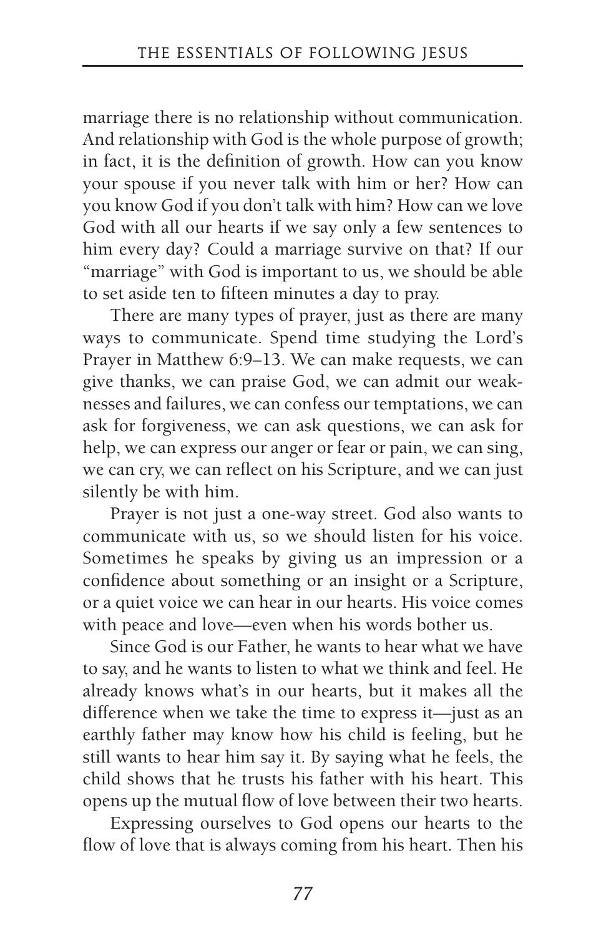marriage there is no relationship without communication. And relationship with God is the whole purpose of growth; in fact, it is the definition of growth. How can you know your spouse if you never talk with him or her? How can you know God if you don't talk with him? How can we love God with all our hearts if we say only a few sentences to him every day? Could a marriage survive on that? If our "marriage" with God is important to us, we should be able to set aside ten to fifteen minutes a day to pray.

There are many types of prayer, just as there are many ways to communicate. Spend time studying the Lord's Prayer in Matthew 6:9–13. We can make requests, we can give thanks, we can praise God, we can admit our weaknesses and failures, we can confess our temptations, we can ask for forgiveness, we can ask questions, we can ask for help, we can express our anger or fear or pain, we can sing, we can cry, we can reflect on his Scripture, and we can just silently be with him.

Prayer is not just a one-way street. God also wants to communicate with us, so we should listen for his voice. Sometimes he speaks by giving us an impression or a confidence about something or an insight or a Scripture, or a quiet voice we can hear in our hearts. His voice comes with peace and love—even when his words bother us.

Since God is our Father, he wants to hear what we have to say, and he wants to listen to what we think and feel. He already knows what's in our hearts, but it makes all the difference when we take the time to express it—just as an earthly father may know how his child is feeling, but he still wants to hear him say it. By saying what he feels, the child shows that he trusts his father with his heart. This opens up the mutual flow of love between their two hearts.

Expressing ourselves to God opens our hearts to the flow of love that is always coming from his heart. Then his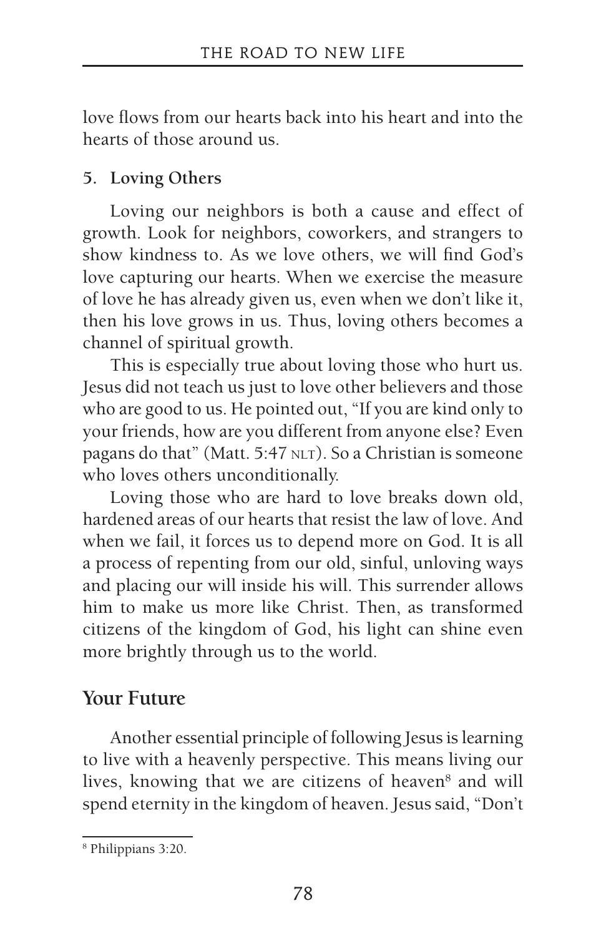love flows from our hearts back into his heart and into the hearts of those around us.

#### **5. Loving Others**

Loving our neighbors is both a cause and effect of growth. Look for neighbors, coworkers, and strangers to show kindness to. As we love others, we will find God's love capturing our hearts. When we exercise the measure of love he has already given us, even when we don't like it, then his love grows in us. Thus, loving others becomes a channel of spiritual growth.

This is especially true about loving those who hurt us. Jesus did not teach us just to love other believers and those who are good to us. He pointed out, "If you are kind only to your friends, how are you different from anyone else? Even pagans do that" (Matt. 5:47 NLT). So a Christian is someone who loves others unconditionally.

Loving those who are hard to love breaks down old, hardened areas of our hearts that resist the law of love. And when we fail, it forces us to depend more on God. It is all a process of repenting from our old, sinful, unloving ways and placing our will inside his will. This surrender allows him to make us more like Christ. Then, as transformed citizens of the kingdom of God, his light can shine even more brightly through us to the world.

#### **Your Future**

Another essential principle of following Jesus is learning to live with a heavenly perspective. This means living our lives, knowing that we are citizens of heaven<sup>8</sup> and will spend eternity in the kingdom of heaven. Jesus said, "Don't

<sup>8</sup> Philippians 3:20.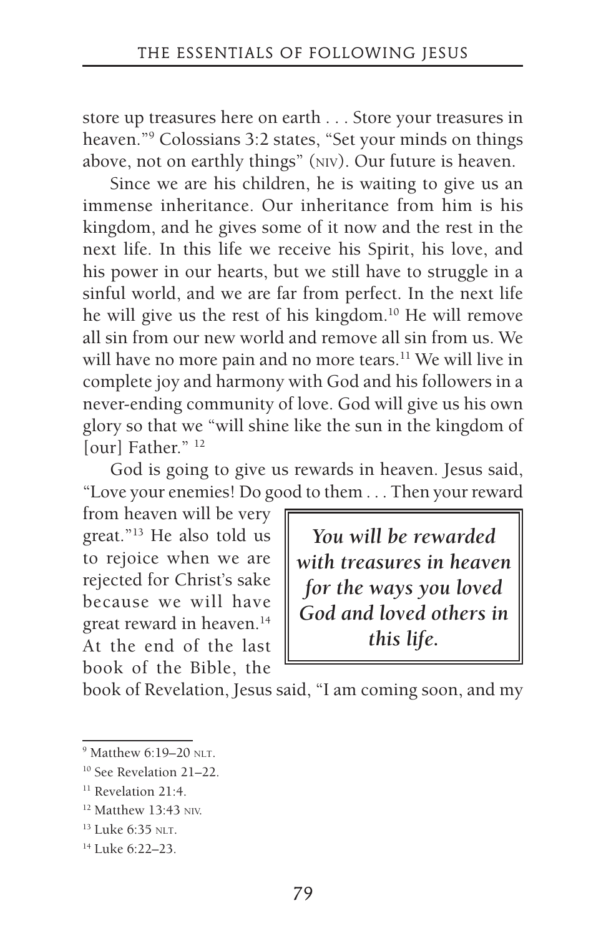store up treasures here on earth . . . Store your treasures in heaven."9 Colossians 3:2 states, "Set your minds on things above, not on earthly things" (NIV). Our future is heaven.

Since we are his children, he is waiting to give us an immense inheritance. Our inheritance from him is his kingdom, and he gives some of it now and the rest in the next life. In this life we receive his Spirit, his love, and his power in our hearts, but we still have to struggle in a sinful world, and we are far from perfect. In the next life he will give us the rest of his kingdom.10 He will remove all sin from our new world and remove all sin from us. We will have no more pain and no more tears.<sup>11</sup> We will live in complete joy and harmony with God and his followers in a never-ending community of love. God will give us his own glory so that we "will shine like the sun in the kingdom of [our] Father." 12

God is going to give us rewards in heaven. Jesus said, "Love your enemies! Do good to them . . . Then your reward

from heaven will be very great."13 He also told us to rejoice when we are rejected for Christ's sake because we will have great reward in heaven.<sup>14</sup> At the end of the last book of the Bible, the

*You will be rewarded with treasures in heaven for the ways you loved God and loved others in this life.* 

book of Revelation, Jesus said, "I am coming soon, and my

<sup>&</sup>lt;sup>9</sup> Matthew 6:19–20 NLT.

<sup>10</sup> See Revelation 21–22.

<sup>&</sup>lt;sup>11</sup> Revelation 21:4.

<sup>12</sup> Matthew 13:43 NIV.

<sup>&</sup>lt;sup>13</sup> Luke 6:35 NLT.

 $14$  Luke 6:22–23.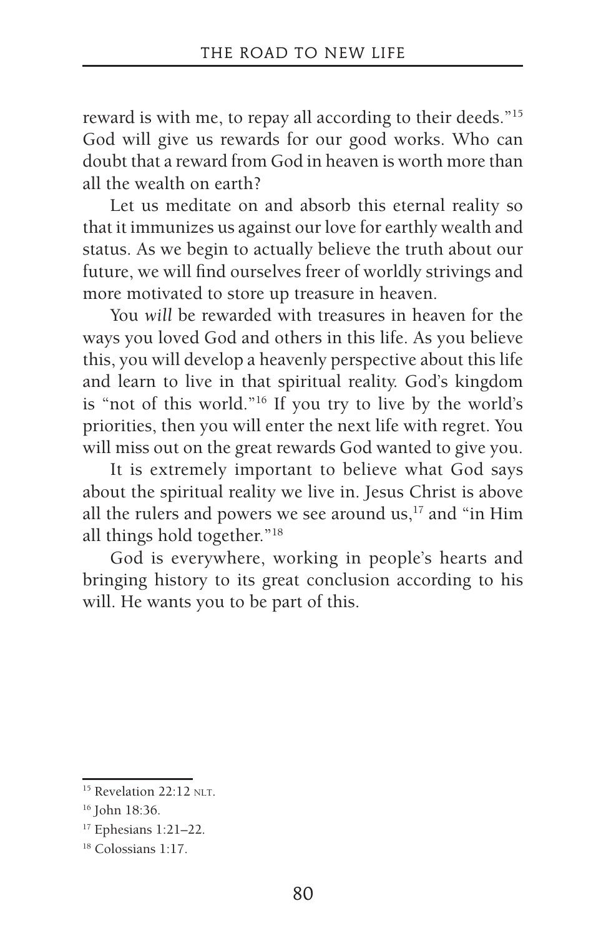reward is with me, to repay all according to their deeds."15 God will give us rewards for our good works. Who can doubt that a reward from God in heaven is worth more than all the wealth on earth?

Let us meditate on and absorb this eternal reality so that it immunizes us against our love for earthly wealth and status. As we begin to actually believe the truth about our future, we will find ourselves freer of worldly strivings and more motivated to store up treasure in heaven.

You *will* be rewarded with treasures in heaven for the ways you loved God and others in this life. As you believe this, you will develop a heavenly perspective about this life and learn to live in that spiritual reality. God's kingdom is "not of this world."16 If you try to live by the world's priorities, then you will enter the next life with regret. You will miss out on the great rewards God wanted to give you.

It is extremely important to believe what God says about the spiritual reality we live in. Jesus Christ is above all the rulers and powers we see around  $us,$ <sup>17</sup> and "in Him all things hold together."18

God is everywhere, working in people's hearts and bringing history to its great conclusion according to his will. He wants you to be part of this.

<sup>&</sup>lt;sup>15</sup> Revelation 22:12 NLT.

<sup>&</sup>lt;sup>16</sup> John 18:36.

<sup>17</sup> Ephesians 1:21–22.

<sup>18</sup> Colossians 1:17.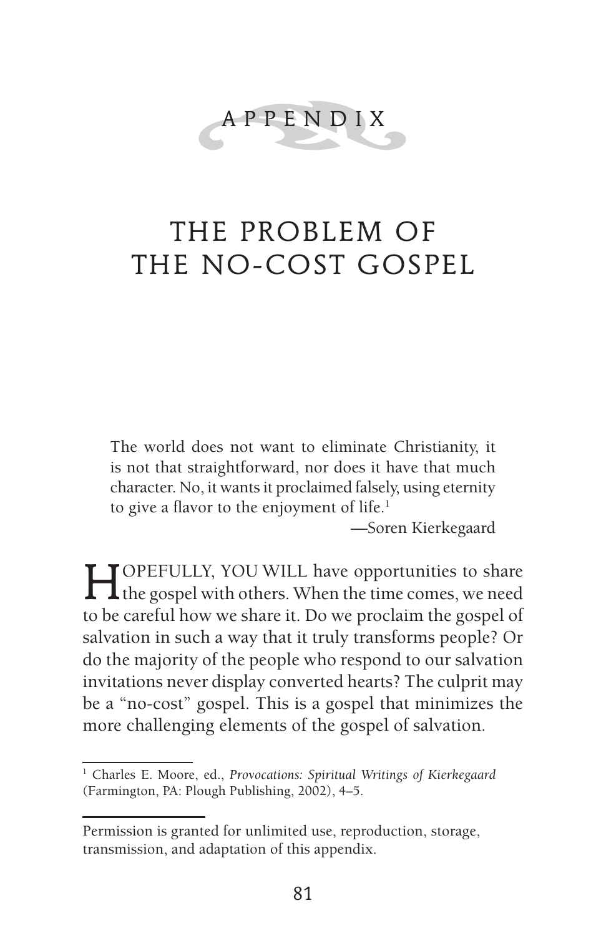# APPENDIX APPENDIX

### THE PROBLEM OF THE NO-COST GOSPEL

The world does not want to eliminate Christianity, it is not that straightforward, nor does it have that much character. No, it wants it proclaimed falsely, using eternity to give a flavor to the enjoyment of life. $<sup>1</sup>$ </sup>

—Soren Kierkegaard

**HOPEFULLY, YOU WILL have opportunities to share** the gospel with others. When the time comes, we need to be careful how we share it. Do we proclaim the gospel of salvation in such a way that it truly transforms people? Or do the majority of the people who respond to our salvation invitations never display converted hearts? The culprit may be a "no-cost" gospel. This is a gospel that minimizes the more challenging elements of the gospel of salvation.

<sup>1</sup> Charles E. Moore, ed., *Provocations: Spiritual Writings of Kierkegaard* (Farmington, PA: Plough Publishing, 2002), 4–5.

Permission is granted for unlimited use, reproduction, storage, transmission, and adaptation of this appendix.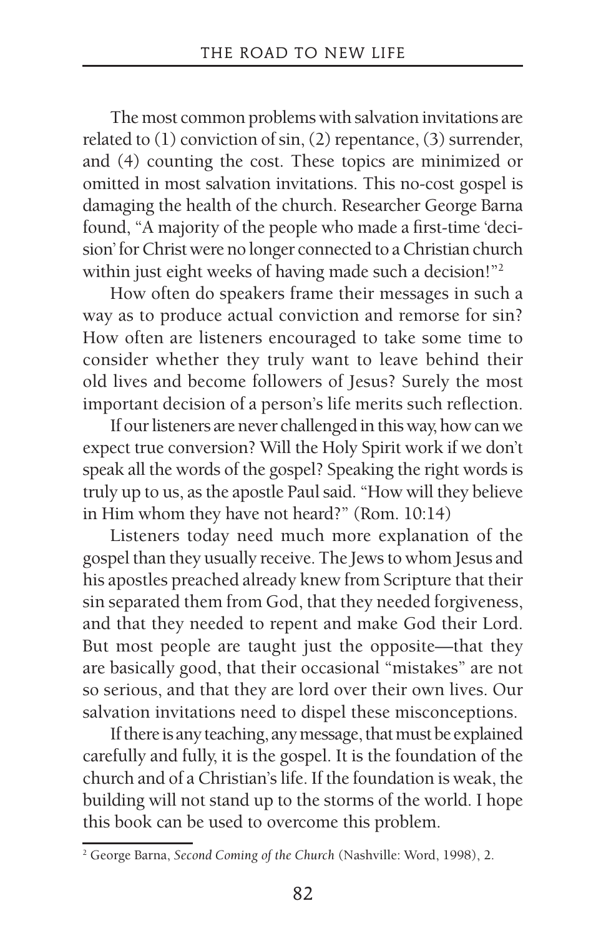The most common problems with salvation invitations are related to (1) conviction of sin, (2) repentance, (3) surrender, and (4) counting the cost. These topics are minimized or omitted in most salvation invitations. This no-cost gospel is damaging the health of the church. Researcher George Barna found, "A majority of the people who made a first-time 'decision' for Christ were no longer connected to a Christian church within just eight weeks of having made such a decision!"<sup>2</sup>

How often do speakers frame their messages in such a way as to produce actual conviction and remorse for sin? How often are listeners encouraged to take some time to consider whether they truly want to leave behind their old lives and become followers of Jesus? Surely the most important decision of a person's life merits such reflection.

If our listeners are never challenged in this way, how can we expect true conversion? Will the Holy Spirit work if we don't speak all the words of the gospel? Speaking the right words is truly up to us, as the apostle Paul said. "How will they believe in Him whom they have not heard?" (Rom. 10:14)

Listeners today need much more explanation of the gospel than they usually receive. The Jews to whom Jesus and his apostles preached already knew from Scripture that their sin separated them from God, that they needed forgiveness, and that they needed to repent and make God their Lord. But most people are taught just the opposite—that they are basically good, that their occasional "mistakes" are not so serious, and that they are lord over their own lives. Our salvation invitations need to dispel these misconceptions.

If there is any teaching, any message, that must be explained carefully and fully, it is the gospel. It is the foundation of the church and of a Christian's life. If the foundation is weak, the building will not stand up to the storms of the world. I hope this book can be used to overcome this problem.

<sup>2</sup> George Barna, *Second Coming of the Church* (Nashville: Word, 1998), 2.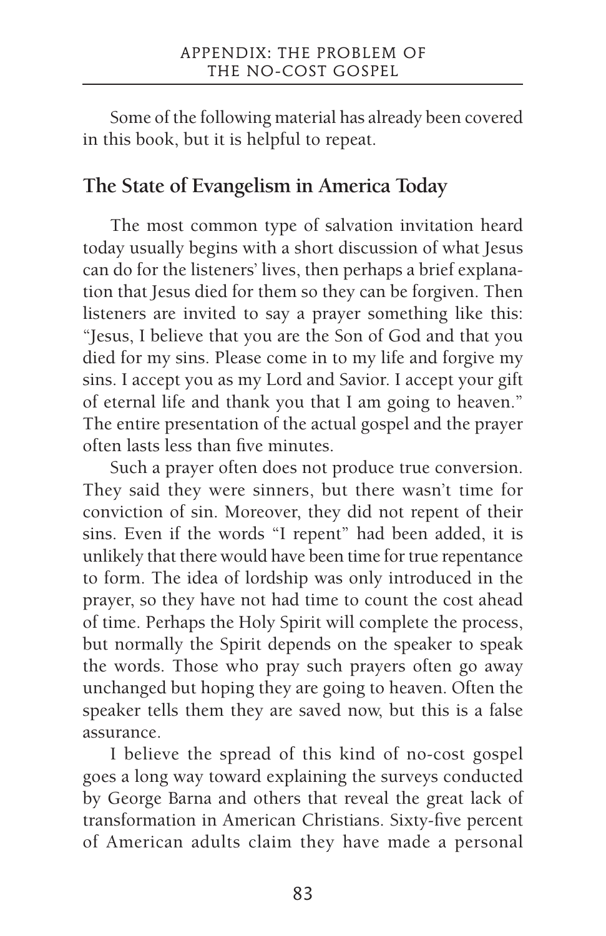Some of the following material has already been covered in this book, but it is helpful to repeat.

#### **The State of Evangelism in America Today**

The most common type of salvation invitation heard today usually begins with a short discussion of what Jesus can do for the listeners' lives, then perhaps a brief explanation that Jesus died for them so they can be forgiven. Then listeners are invited to say a prayer something like this: "Jesus, I believe that you are the Son of God and that you died for my sins. Please come in to my life and forgive my sins. I accept you as my Lord and Savior. I accept your gift of eternal life and thank you that I am going to heaven." The entire presentation of the actual gospel and the prayer often lasts less than five minutes.

Such a prayer often does not produce true conversion. They said they were sinners, but there wasn't time for conviction of sin. Moreover, they did not repent of their sins. Even if the words "I repent" had been added, it is unlikely that there would have been time for true repentance to form. The idea of lordship was only introduced in the prayer, so they have not had time to count the cost ahead of time. Perhaps the Holy Spirit will complete the process, but normally the Spirit depends on the speaker to speak the words. Those who pray such prayers often go away unchanged but hoping they are going to heaven. Often the speaker tells them they are saved now, but this is a false assurance.

I believe the spread of this kind of no-cost gospel goes a long way toward explaining the surveys conducted by George Barna and others that reveal the great lack of transformation in American Christians. Sixty-five percent of American adults claim they have made a personal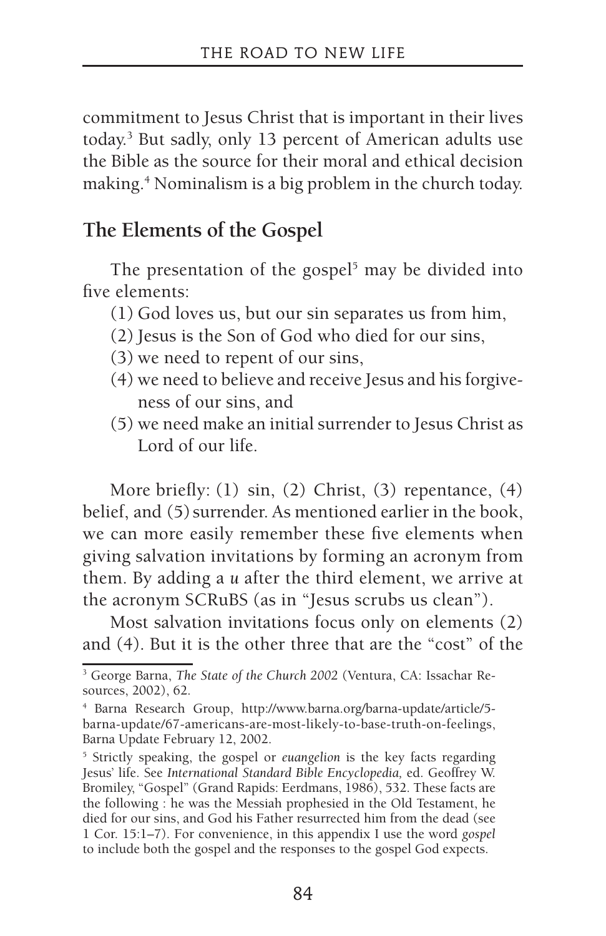commitment to Jesus Christ that is important in their lives today.3 But sadly, only 13 percent of American adults use the Bible as the source for their moral and ethical decision making.4 Nominalism is a big problem in the church today.

#### **The Elements of the Gospel**

The presentation of the gospel<sup>5</sup> may be divided into five elements:

- (1) God loves us, but our sin separates us from him,
- (2) Jesus is the Son of God who died for our sins,
- (3) we need to repent of our sins,
- (4) we need to believe and receive Jesus and his forgiveness of our sins, and
- (5) we need make an initial surrender to Jesus Christ as Lord of our life.

More briefly:  $(1)$  sin,  $(2)$  Christ,  $(3)$  repentance,  $(4)$ belief, and (5) surrender. As mentioned earlier in the book, we can more easily remember these five elements when giving salvation invitations by forming an acronym from them. By adding a *u* after the third element, we arrive at the acronym SCRuBS (as in "Jesus scrubs us clean").

Most salvation invitations focus only on elements (2) and (4). But it is the other three that are the "cost" of the

<sup>&</sup>lt;sup>3</sup> George Barna, *The State of the Church 2002* (Ventura, CA: Issachar Resources, 2002), 62.

<sup>4</sup> Barna Research Group, http://www.barna.org/barna-update/article/5 barna-update/67-americans-are-most-likely-to-base-truth-on-feelings, Barna Update February 12, 2002.

<sup>5</sup> Strictly speaking, the gospel or *euangelion* is the key facts regarding Jesus' life. See *International Standard Bible Encyclopedia,* ed. Geoffrey W. Bromiley, "Gospel" (Grand Rapids: Eerdmans, 1986), 532. These facts are the following : he was the Messiah prophesied in the Old Testament, he died for our sins, and God his Father resurrected him from the dead (see 1 Cor. 15:1–7). For convenience, in this appendix I use the word *gospel* to include both the gospel and the responses to the gospel God expects.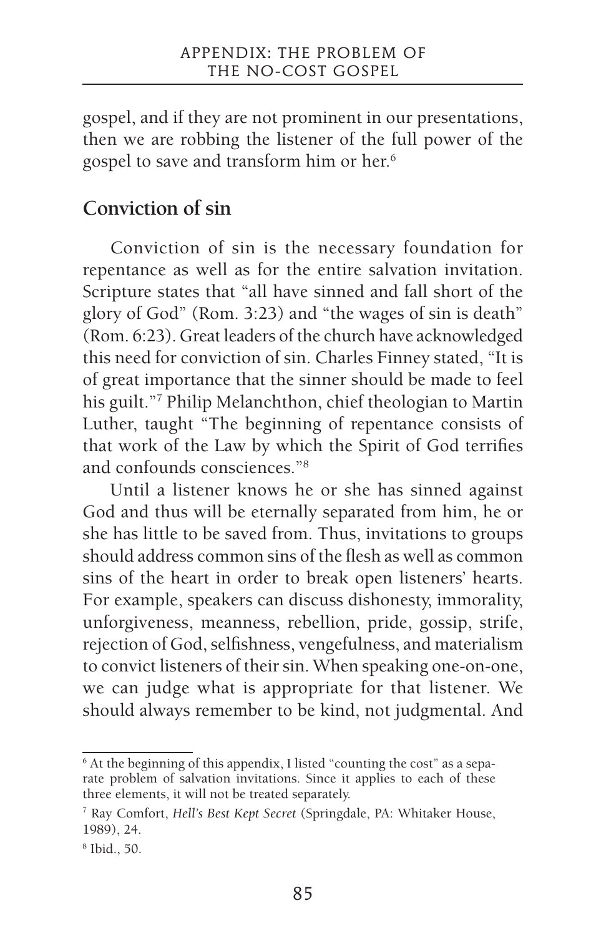gospel, and if they are not prominent in our presentations, then we are robbing the listener of the full power of the gospel to save and transform him or her.<sup>6</sup>

#### **Conviction of sin**

Conviction of sin is the necessary foundation for repentance as well as for the entire salvation invitation. Scripture states that "all have sinned and fall short of the glory of God" (Rom. 3:23) and "the wages of sin is death" (Rom. 6:23). Great leaders of the church have acknowledged this need for conviction of sin. Charles Finney stated, "It is of great importance that the sinner should be made to feel his guilt."7 Philip Melanchthon, chief theologian to Martin Luther, taught "The beginning of repentance consists of that work of the Law by which the Spirit of God terrifies and confounds consciences."8

Until a listener knows he or she has sinned against God and thus will be eternally separated from him, he or she has little to be saved from. Thus, invitations to groups should address common sins of the flesh as well as common sins of the heart in order to break open listeners' hearts. For example, speakers can discuss dishonesty, immorality, unforgiveness, meanness, rebellion, pride, gossip, strife, rejection of God, selfishness, vengefulness, and materialism to convict listeners of their sin. When speaking one-on-one, we can judge what is appropriate for that listener. We should always remember to be kind, not judgmental. And

<sup>6</sup> At the beginning of this appendix, I listed "counting the cost" as a separate problem of salvation invitations. Since it applies to each of these three elements, it will not be treated separately.

<sup>7</sup> Ray Comfort, *Hell's Best Kept Secret* (Springdale, PA: Whitaker House, 1989), 24.

<sup>8</sup> Ibid., 50.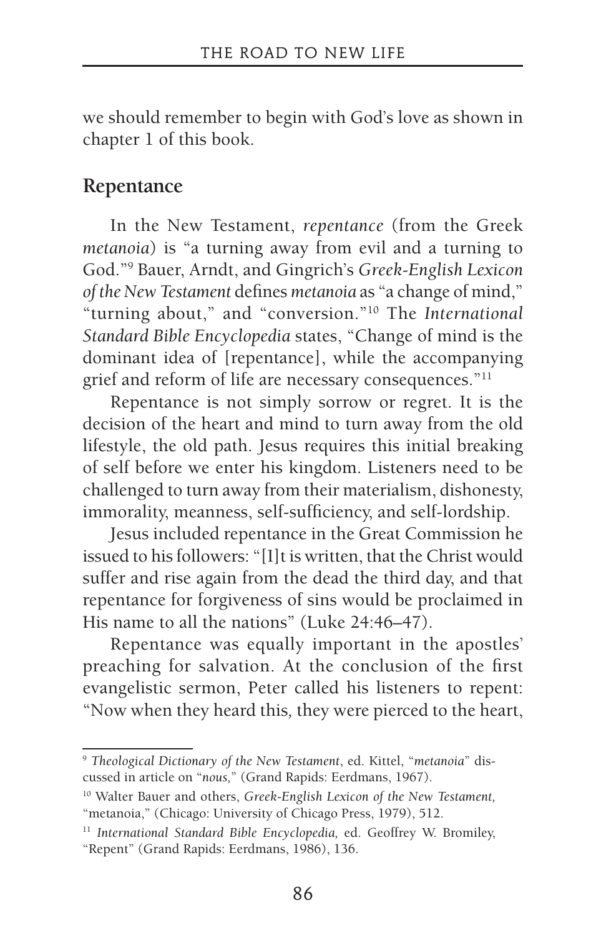we should remember to begin with God's love as shown in chapter 1 of this book.

#### **Repentance**

In the New Testament, *repentance* (from the Greek *metanoia*) is "a turning away from evil and a turning to God."9 Bauer, Arndt, and Gingrich's *Greek-English Lexicon of the New Testament* defines *metanoia* as "a change of mind," "turning about," and "conversion."10 The *International Standard Bible Encyclopedia* states, "Change of mind is the dominant idea of [repentance], while the accompanying grief and reform of life are necessary consequences."11

Repentance is not simply sorrow or regret. It is the decision of the heart and mind to turn away from the old lifestyle, the old path. Jesus requires this initial breaking of self before we enter his kingdom. Listeners need to be challenged to turn away from their materialism, dishonesty, immorality, meanness, self-sufficiency, and self-lordship.

Jesus included repentance in the Great Commission he issued to his followers: "[I]t is written, that the Christ would suffer and rise again from the dead the third day, and that repentance for forgiveness of sins would be proclaimed in His name to all the nations" (Luke 24:46–47).

Repentance was equally important in the apostles' preaching for salvation. At the conclusion of the first evangelistic sermon, Peter called his listeners to repent: "Now when they heard this*,* they were pierced to the heart,

<sup>9</sup> *Theological Dictionary of the New Testament*, ed. Kittel, "*metanoia*" discussed in article on "*nous,*" (Grand Rapids: Eerdmans, 1967).

<sup>10</sup> Walter Bauer and others, *Greek-English Lexicon of the New Testament,* "metanoia," (Chicago: University of Chicago Press, 1979), 512.

<sup>&</sup>lt;sup>11</sup> International Standard Bible Encyclopedia, ed. Geoffrey W. Bromiley, "Repent" (Grand Rapids: Eerdmans, 1986), 136.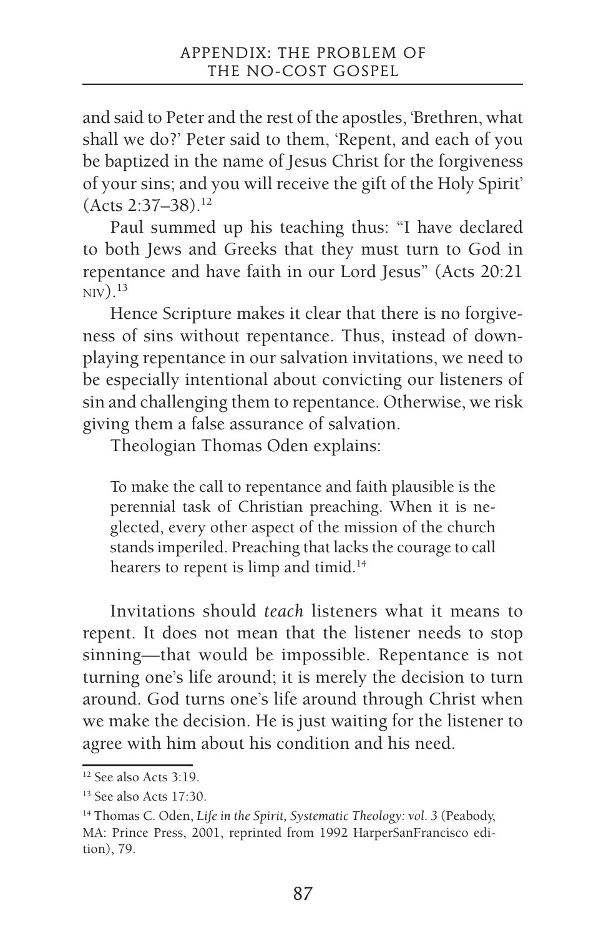and said to Peter and the rest of the apostles, 'Brethren, what shall we do?' Peter said to them, 'Repent, and each of you be baptized in the name of Jesus Christ for the forgiveness of your sins; and you will receive the gift of the Holy Spirit' (Acts 2:37–38).12

Paul summed up his teaching thus: "I have declared to both Jews and Greeks that they must turn to God in repentance and have faith in our Lord Jesus" (Acts 20:21  $NIV$ ).<sup>13</sup>

Hence Scripture makes it clear that there is no forgiveness of sins without repentance. Thus, instead of downplaying repentance in our salvation invitations, we need to be especially intentional about convicting our listeners of sin and challenging them to repentance. Otherwise, we risk giving them a false assurance of salvation.

Theologian Thomas Oden explains:

To make the call to repentance and faith plausible is the perennial task of Christian preaching. When it is neglected, every other aspect of the mission of the church stands imperiled. Preaching that lacks the courage to call hearers to repent is limp and timid.<sup>14</sup>

Invitations should *teach* listeners what it means to repent. It does not mean that the listener needs to stop sinning—that would be impossible. Repentance is not turning one's life around; it is merely the decision to turn around. God turns one's life around through Christ when we make the decision. He is just waiting for the listener to agree with him about his condition and his need.

<sup>&</sup>lt;sup>12</sup> See also Acts 3:19.

<sup>&</sup>lt;sup>13</sup> See also Acts 17:30.

<sup>&</sup>lt;sup>14</sup> Thomas C. Oden, *Life in the Spirit, Systematic Theology: vol.* 3 (Peabody, MA: Prince Press, 2001, reprinted from 1992 HarperSanFrancisco edition), 79.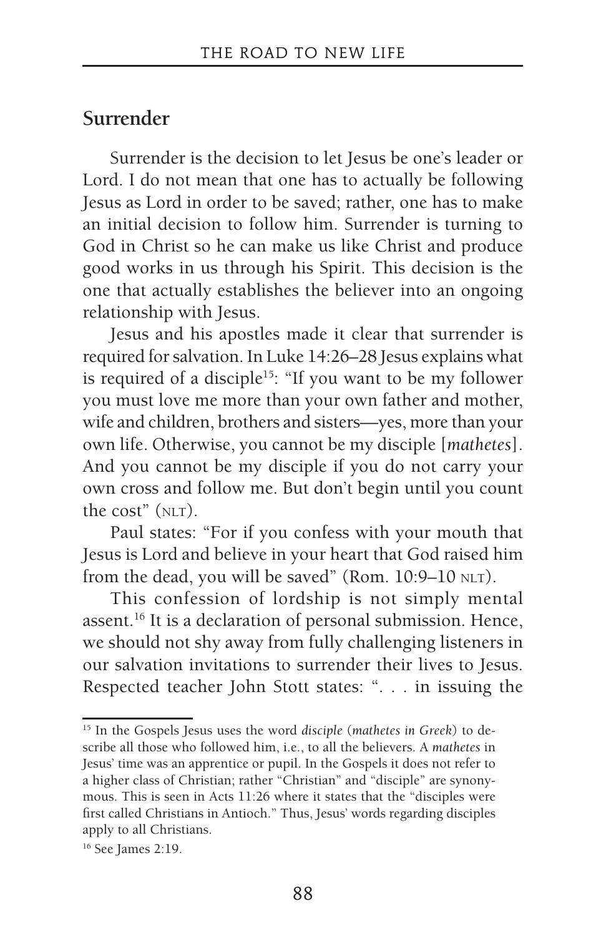#### **Surrender**

Surrender is the decision to let Jesus be one's leader or Lord. I do not mean that one has to actually be following Jesus as Lord in order to be saved; rather, one has to make an initial decision to follow him. Surrender is turning to God in Christ so he can make us like Christ and produce good works in us through his Spirit. This decision is the one that actually establishes the believer into an ongoing relationship with Jesus.

Jesus and his apostles made it clear that surrender is required for salvation. In Luke 14:26–28 Jesus explains what is required of a disciple<sup>15</sup>: "If you want to be my follower you must love me more than your own father and mother, wife and children, brothers and sisters—yes, more than your own life. Otherwise, you cannot be my disciple [*mathetes*]. And you cannot be my disciple if you do not carry your own cross and follow me. But don't begin until you count the cost" (NLT).

Paul states: "For if you confess with your mouth that Jesus is Lord and believe in your heart that God raised him from the dead, you will be saved" (Rom. 10:9-10 NLT).

This confession of lordship is not simply mental assent.<sup>16</sup> It is a declaration of personal submission. Hence, we should not shy away from fully challenging listeners in our salvation invitations to surrender their lives to Jesus. Respected teacher John Stott states: ". . . in issuing the

<sup>15</sup> In the Gospels Jesus uses the word *disciple* (*mathetes in Greek*) to describe all those who followed him, i.e., to all the believers. A *mathetes* in Jesus' time was an apprentice or pupil. In the Gospels it does not refer to a higher class of Christian; rather "Christian" and "disciple" are synonymous. This is seen in Acts 11:26 where it states that the "disciples were first called Christians in Antioch." Thus, Jesus' words regarding disciples apply to all Christians.

<sup>&</sup>lt;sup>16</sup> See James 2:19.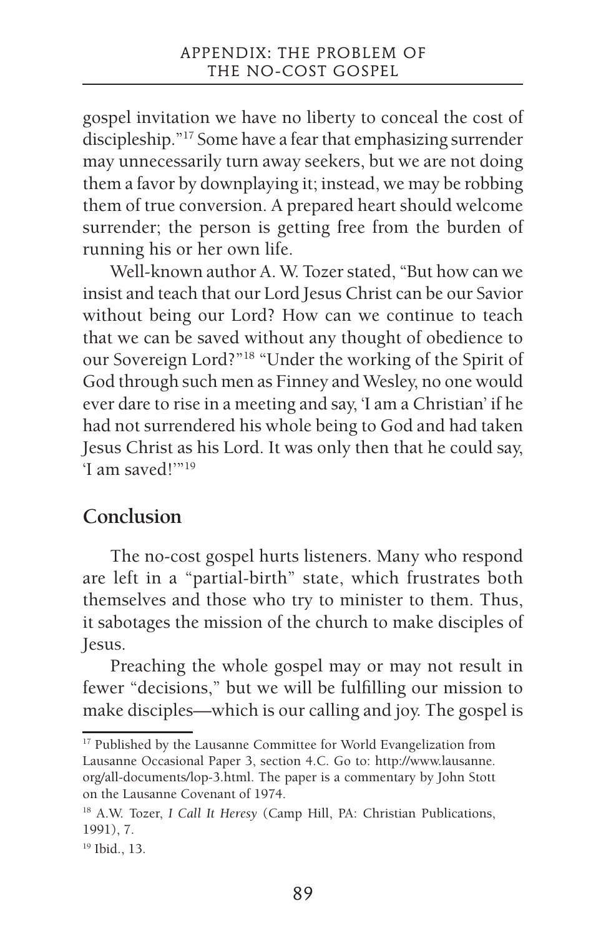gospel invitation we have no liberty to conceal the cost of discipleship."17 Some have a fear that emphasizing surrender may unnecessarily turn away seekers, but we are not doing them a favor by downplaying it; instead, we may be robbing them of true conversion. A prepared heart should welcome surrender; the person is getting free from the burden of running his or her own life.

Well-known author A. W. Tozer stated, "But how can we insist and teach that our Lord Jesus Christ can be our Savior without being our Lord? How can we continue to teach that we can be saved without any thought of obedience to our Sovereign Lord?"18 "Under the working of the Spirit of God through such men as Finney and Wesley, no one would ever dare to rise in a meeting and say, 'I am a Christian' if he had not surrendered his whole being to God and had taken Jesus Christ as his Lord. It was only then that he could say, 'I am saved!'"19

#### **Conclusion**

The no-cost gospel hurts listeners. Many who respond are left in a "partial-birth" state, which frustrates both themselves and those who try to minister to them. Thus, it sabotages the mission of the church to make disciples of Jesus.

Preaching the whole gospel may or may not result in fewer "decisions," but we will be fulfilling our mission to make disciples—which is our calling and joy. The gospel is

<sup>&</sup>lt;sup>17</sup> Published by the Lausanne Committee for World Evangelization from Lausanne Occasional Paper 3, section 4.C. Go to: http://www.lausanne. org/all-documents/lop-3.html. The paper is a commentary by John Stott on the Lausanne Covenant of 1974.

<sup>&</sup>lt;sup>18</sup> A.W. Tozer, *I Call It Heresy* (Camp Hill, PA: Christian Publications, 1991), 7.

<sup>19</sup> Ibid., 13.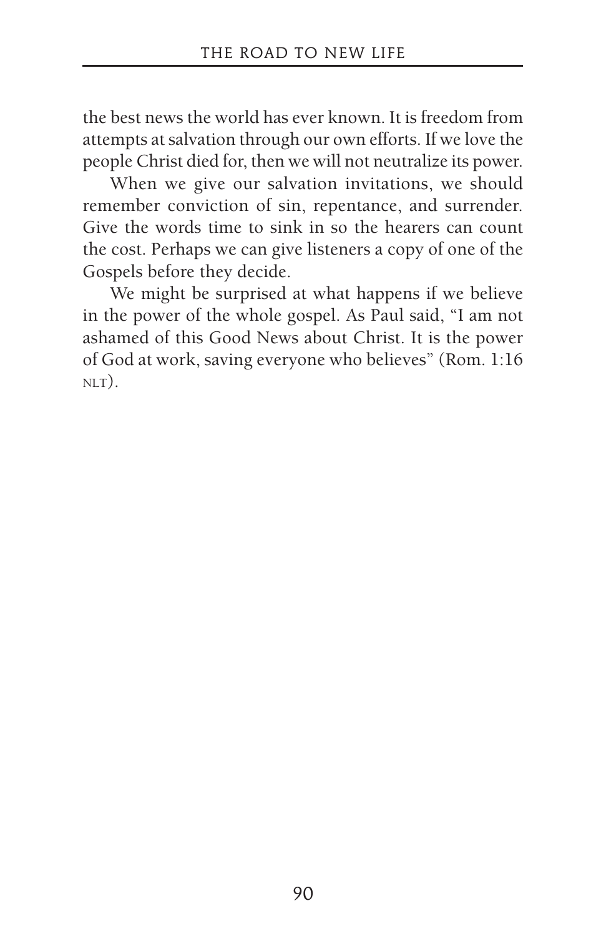the best news the world has ever known. It is freedom from attempts at salvation through our own efforts. If we love the people Christ died for, then we will not neutralize its power.

When we give our salvation invitations, we should remember conviction of sin, repentance, and surrender. Give the words time to sink in so the hearers can count the cost. Perhaps we can give listeners a copy of one of the Gospels before they decide.

We might be surprised at what happens if we believe in the power of the whole gospel. As Paul said, "I am not ashamed of this Good News about Christ. It is the power of God at work, saving everyone who believes" (Rom. 1:16 NLT).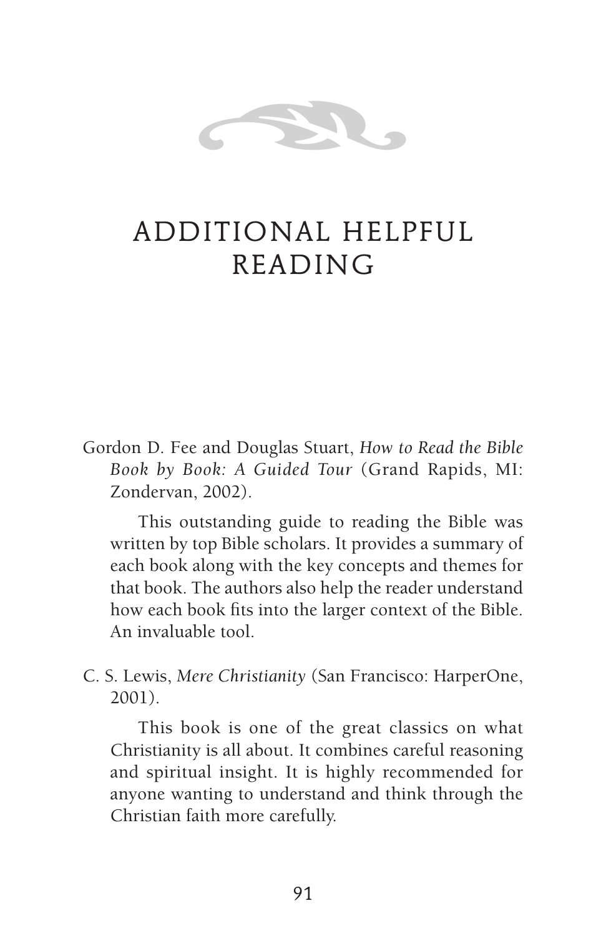

## ADDITIONAL HELPFUL READING

Gordon D. Fee and Douglas Stuart, *How to Read the Bible Book by Book: A Guided Tour* (Grand Rapids, MI: Zondervan, 2002).

This outstanding guide to reading the Bible was written by top Bible scholars. It provides a summary of each book along with the key concepts and themes for that book. The authors also help the reader understand how each book fits into the larger context of the Bible. An invaluable tool.

C. S. Lewis, *Mere Christianity* (San Francisco: HarperOne, 2001).

This book is one of the great classics on what Christianity is all about. It combines careful reasoning and spiritual insight. It is highly recommended for anyone wanting to understand and think through the Christian faith more carefully.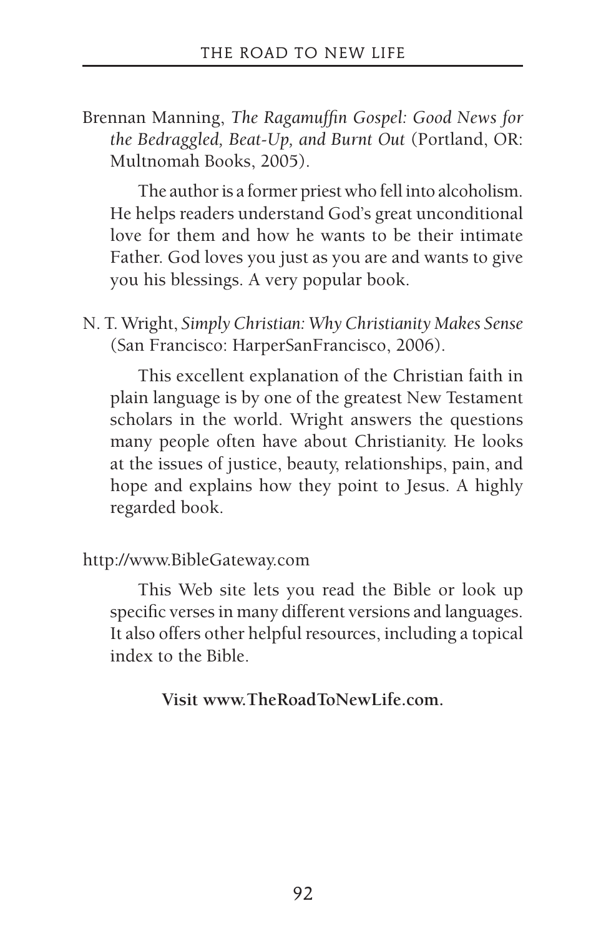Brennan Manning, *The Ragamuffin Gospel: Good News for the Bedraggled, Beat-Up, and Burnt Out* (Portland, OR: Multnomah Books, 2005).

The author is a former priest who fell into alcoholism. He helps readers understand God's great unconditional love for them and how he wants to be their intimate Father. God loves you just as you are and wants to give you his blessings. A very popular book.

N. T. Wright, *Simply Christian: Why Christianity Makes Sense* (San Francisco: HarperSanFrancisco, 2006).

This excellent explanation of the Christian faith in plain language is by one of the greatest New Testament scholars in the world. Wright answers the questions many people often have about Christianity. He looks at the issues of justice, beauty, relationships, pain, and hope and explains how they point to Jesus. A highly regarded book.

#### http://www.BibleGateway.com

This Web site lets you read the Bible or look up specific verses in many different versions and languages. It also offers other helpful resources, including a topical index to the Bible.

**Visit www.TheRoadToNewLife.com.**